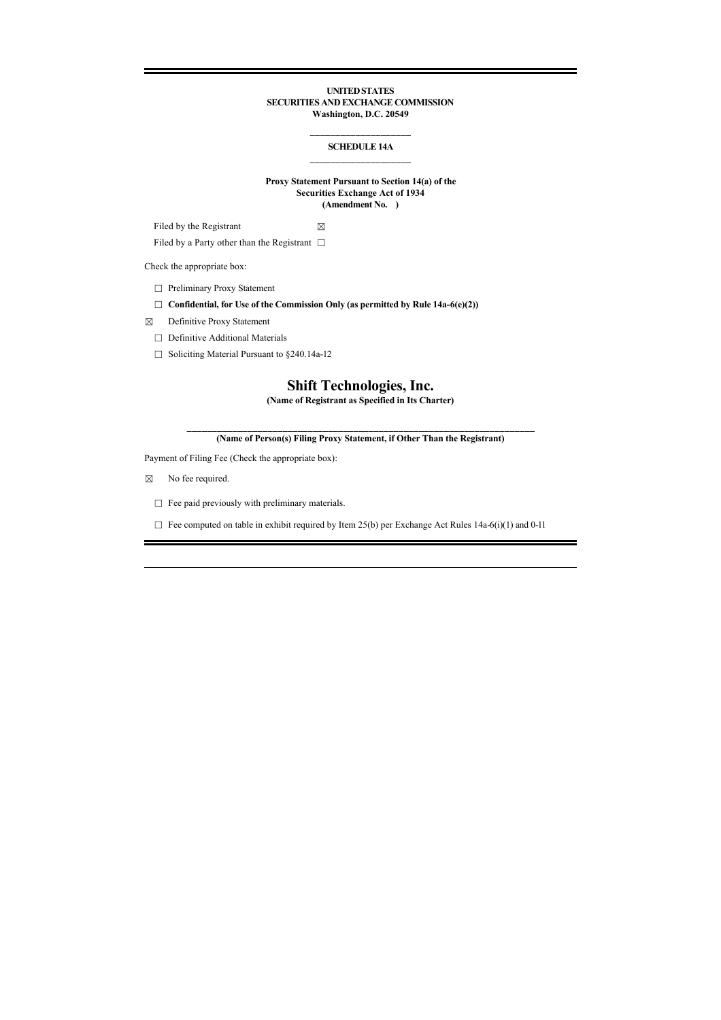## **UNITED STATES SECURITIES AND EXCHANGE COMMISSION Washington, D.C. 20549**

## **\_\_\_\_\_\_\_\_\_\_\_\_\_\_\_\_\_\_\_\_ SCHEDULE 14A \_\_\_\_\_\_\_\_\_\_\_\_\_\_\_\_\_\_\_\_**

## **Proxy Statement Pursuant to Section 14(a) of the Securities Exchange Act of 1934 (Amendment No. )**

Filed by the Registrant  $\boxtimes$ 

Filed by a Party other than the Registrant  $□$ 

Check the appropriate box:

☐ Preliminary Proxy Statement

☐ **Confidential, for Use of the Commission Only (as permitted by Rule 14a-6(e)(2))**

☒ Definitive Proxy Statement

☐ Definitive Additional Materials

☐ Soliciting Material Pursuant to §240.14a-12

# **Shift Technologies, Inc.**

**(Name of Registrant as Specified in Its Charter)**

**\_\_\_\_\_\_\_\_\_\_\_\_\_\_\_\_\_\_\_\_\_\_\_\_\_\_\_\_\_\_\_\_\_\_\_\_\_\_\_\_\_\_\_\_\_\_\_\_\_\_\_\_\_\_\_\_\_\_\_\_\_\_\_\_\_\_\_\_\_ (Name of Person(s) Filing Proxy Statement, if Other Than the Registrant)**

Payment of Filing Fee (Check the appropriate box):

☒ No fee required.

□ Fee paid previously with preliminary materials.

 $\Box$  Fee computed on table in exhibit required by Item 25(b) per Exchange Act Rules 14a-6(i)(1) and 0-11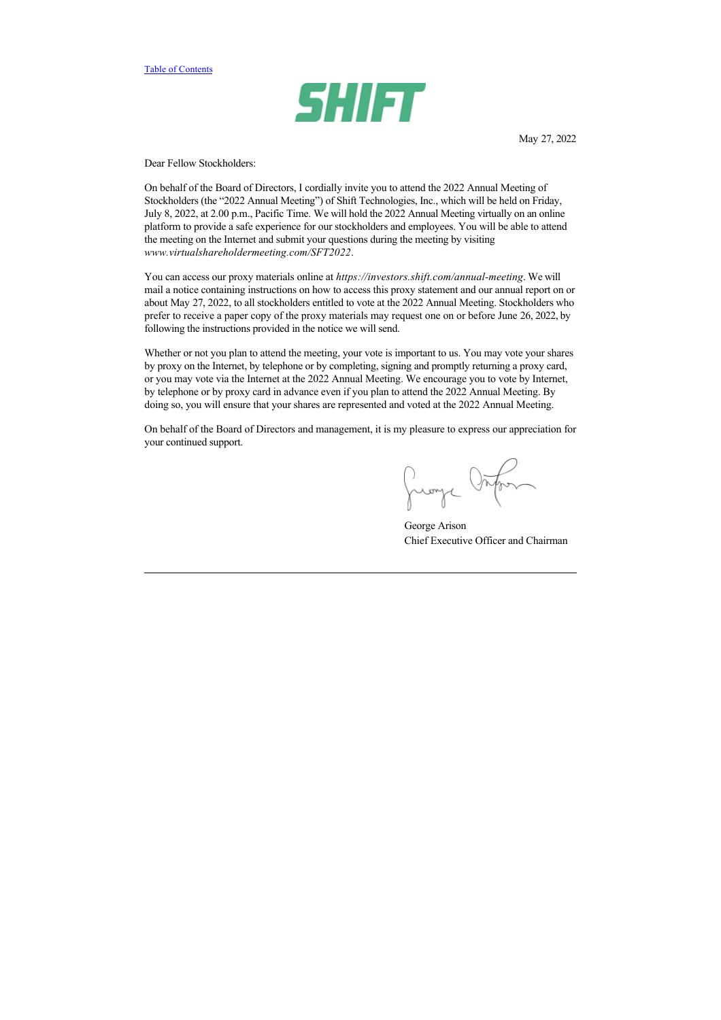

May 27, 2022

Dear Fellow Stockholders:

On behalf of the Board of Directors, I cordially invite you to attend the 2022 Annual Meeting of Stockholders (the "2022 Annual Meeting") of Shift Technologies, Inc., which will be held on Friday, July 8, 2022, at 2.00 p.m., Pacific Time. We will hold the 2022 Annual Meeting virtually on an online platform to provide a safe experience for our stockholders and employees. You will be able to attend the meeting on the Internet and submit your questions during the meeting by visiting *www.virtualshareholdermeeting.com/SFT2022*.

You can access our proxy materials online at *https://investors.shift.com/annual-meeting*. We will mail a notice containing instructions on how to access this proxy statement and our annual report on or about May 27, 2022, to all stockholders entitled to vote at the 2022 Annual Meeting. Stockholders who prefer to receive a paper copy of the proxy materials may request one on or before June 26, 2022, by following the instructions provided in the notice we will send.

Whether or not you plan to attend the meeting, your vote is important to us. You may vote your shares by proxy on the Internet, by telephone or by completing, signing and promptly returning a proxy card, or you may vote via the Internet at the 2022 Annual Meeting. We encourage you to vote by Internet, by telephone or by proxy card in advance even if you plan to attend the 2022 Annual Meeting. By doing so, you will ensure that your shares are represented and voted at the 2022 Annual Meeting.

On behalf of the Board of Directors and management, it is my pleasure to express our appreciation for your continued support.

Juange Orton

George Arison Chief Executive Officer and Chairman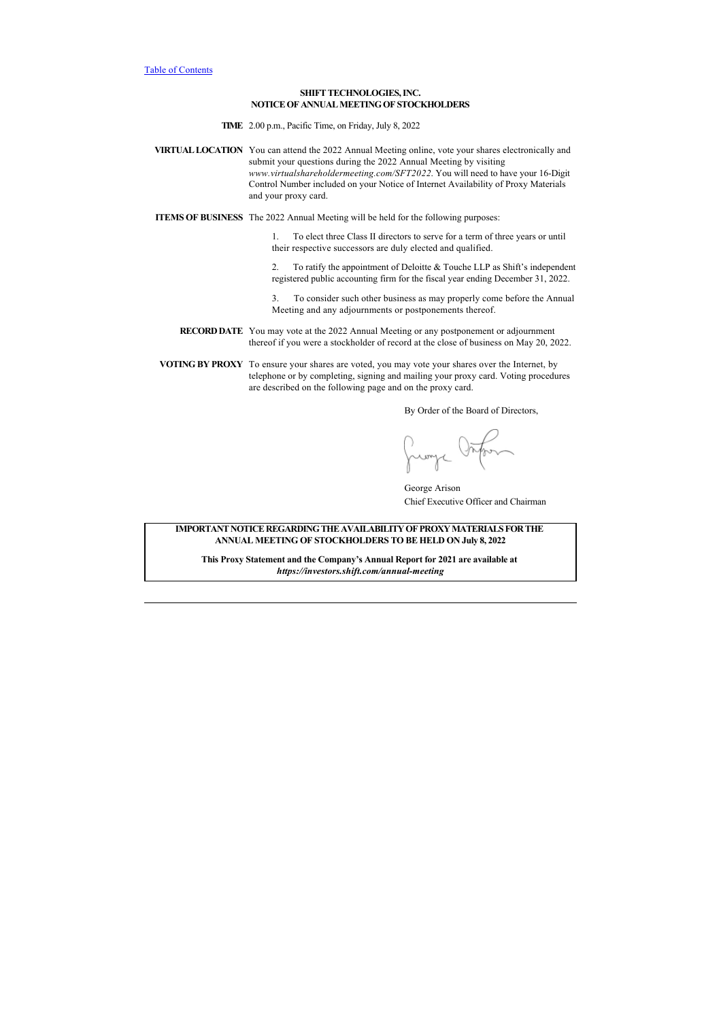## **SHIFT TECHNOLOGIES, INC. NOTICE OF ANNUAL MEETING OF STOCKHOLDERS**

**TIME** 2.00 p.m., Pacific Time, on Friday, July 8, 2022

**VIRTUAL LOCATION** You can attend the 2022 Annual Meeting online, vote your shares electronically and submit your questions during the 2022 Annual Meeting by visiting *www.virtualshareholdermeeting.com/SFT2022*. You will need to have your 16-Digit Control Number included on your Notice of Internet Availability of Proxy Materials and your proxy card.

**ITEMS OF BUSINESS** The 2022 Annual Meeting will be held for the following purposes:

1. To elect three Class II directors to serve for a term of three years or until their respective successors are duly elected and qualified.

2. To ratify the appointment of Deloitte & Touche LLP as Shift's independent registered public accounting firm for the fiscal year ending December 31, 2022.

3. To consider such other business as may properly come before the Annual Meeting and any adjournments or postponements thereof.

**RECORD DATE** You may vote at the 2022 Annual Meeting or any postponement or adjournment thereof if you were a stockholder of record at the close of business on May 20, 2022.

**VOTING BY PROXY** To ensure your shares are voted, you may vote your shares over the Internet, by telephone or by completing, signing and mailing your proxy card. Voting procedures are described on the following page and on the proxy card.

By Order of the Board of Directors,

Jumpe Onfor

George Arison Chief Executive Officer and Chairman

**IMPORTANT NOTICE REGARDING THE AVAILABILITY OF PROXY MATERIALS FOR THE ANNUAL MEETING OF STOCKHOLDERS TO BE HELD ON July 8, 2022**

**This Proxy Statement and the Company's Annual Report for 2021 are available at**  *https://investors.shift.com/annual-meeting*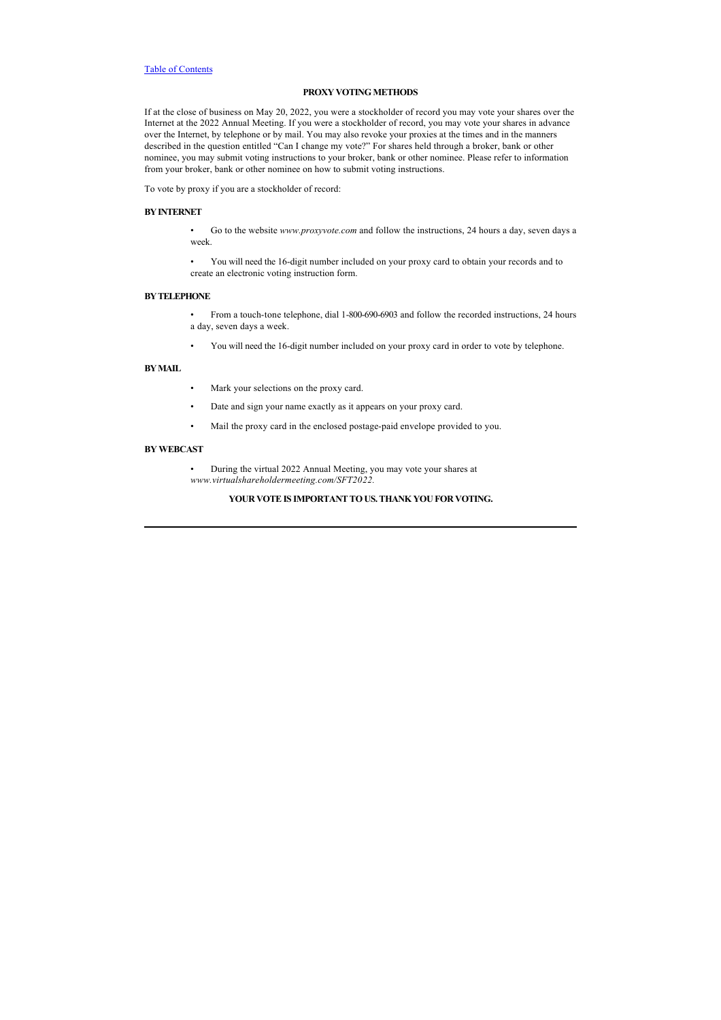## **PROXY VOTING METHODS**

If at the close of business on May 20, 2022, you were a stockholder of record you may vote your shares over the Internet at the 2022 Annual Meeting. If you were a stockholder of record, you may vote your shares in advance over the Internet, by telephone or by mail. You may also revoke your proxies at the times and in the manners described in the question entitled "Can I change my vote?" For shares held through a broker, bank or other nominee, you may submit voting instructions to your broker, bank or other nominee. Please refer to information from your broker, bank or other nominee on how to submit voting instructions.

To vote by proxy if you are a stockholder of record:

## **BY INTERNET**

- Go to the website *www.proxyvote.com* and follow the instructions, 24 hours a day, seven days a week.
- You will need the 16-digit number included on your proxy card to obtain your records and to create an electronic voting instruction form.

#### **BY TELEPHONE**

- From a touch-tone telephone, dial 1-800-690-6903 and follow the recorded instructions, 24 hours a day, seven days a week.
- You will need the 16-digit number included on your proxy card in order to vote by telephone.

# **BY MAIL**

- Mark your selections on the proxy card.
- Date and sign your name exactly as it appears on your proxy card.
- Mail the proxy card in the enclosed postage-paid envelope provided to you.

## **BY WEBCAST**

• During the virtual 2022 Annual Meeting, you may vote your shares at *www.virtualshareholdermeeting.com/SFT2022.*

# **YOUR VOTE IS IMPORTANT TO US. THANK YOU FOR VOTING.**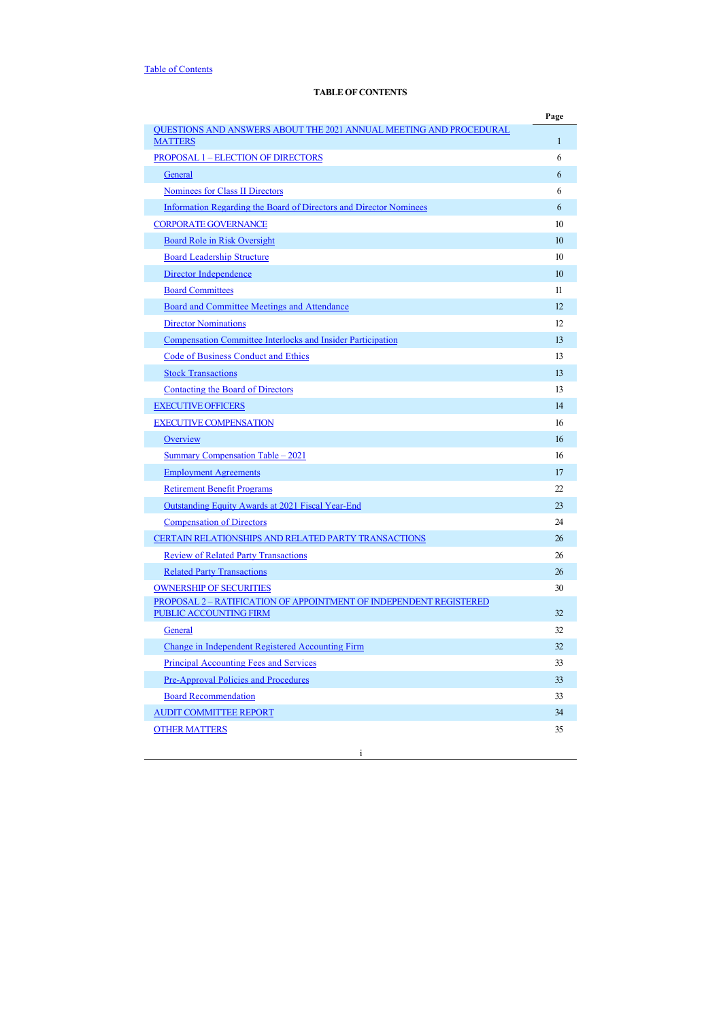# <span id="page-4-0"></span>**TABLE OF CONTENTS**

|                                                                                                     | Page         |
|-----------------------------------------------------------------------------------------------------|--------------|
| <b>QUESTIONS AND ANSWERS ABOUT THE 2021 ANNUAL MEETING AND PROCEDURAL</b><br><b>MATTERS</b>         | $\mathbf{1}$ |
| <b>PROPOSAL 1 - ELECTION OF DIRECTORS</b>                                                           | 6            |
| General                                                                                             | 6            |
| <b>Nominees for Class II Directors</b>                                                              | 6            |
| <b>Information Regarding the Board of Directors and Director Nominees</b>                           | 6            |
| <b>CORPORATE GOVERNANCE</b>                                                                         | 10           |
| Board Role in Risk Oversight                                                                        | 10           |
| <b>Board Leadership Structure</b>                                                                   | 10           |
| Director Independence                                                                               | 10           |
| <b>Board Committees</b>                                                                             | 11           |
| <b>Board and Committee Meetings and Attendance</b>                                                  | 12           |
| <b>Director Nominations</b>                                                                         | 12           |
| Compensation Committee Interlocks and Insider Participation                                         | 13           |
| Code of Business Conduct and Ethics                                                                 | 13           |
| <b>Stock Transactions</b>                                                                           | 13           |
| Contacting the Board of Directors                                                                   | 13           |
| <b>EXECUTIVE OFFICERS</b>                                                                           | 14           |
| <b>EXECUTIVE COMPENSATION</b>                                                                       | 16           |
| Overview                                                                                            | 16           |
| Summary Compensation Table – 2021                                                                   | 16           |
| <b>Employment Agreements</b>                                                                        | 17           |
| <b>Retirement Benefit Programs</b>                                                                  | 22           |
| Outstanding Equity Awards at 2021 Fiscal Year-End                                                   | 23           |
| <b>Compensation of Directors</b>                                                                    | 24           |
| CERTAIN RELATIONSHIPS AND RELATED PARTY TRANSACTIONS                                                | 26           |
| <b>Review of Related Party Transactions</b>                                                         | 26           |
| <b>Related Party Transactions</b>                                                                   | 26           |
| <b>OWNERSHIP OF SECURITIES</b>                                                                      | 30           |
| PROPOSAL 2 - RATIFICATION OF APPOINTMENT OF INDEPENDENT REGISTERED<br><b>PUBLIC ACCOUNTING FIRM</b> | 32           |
| General                                                                                             | 32           |
| Change in Independent Registered Accounting Firm                                                    | 32           |
| <b>Principal Accounting Fees and Services</b>                                                       | 33           |
| <b>Pre-Approval Policies and Procedures</b>                                                         | 33           |
| <b>Board Recommendation</b>                                                                         | 33           |
| <b>AUDIT COMMITTEE REPORT</b>                                                                       | 34           |
| <b>OTHER MATTERS</b>                                                                                | 35           |

i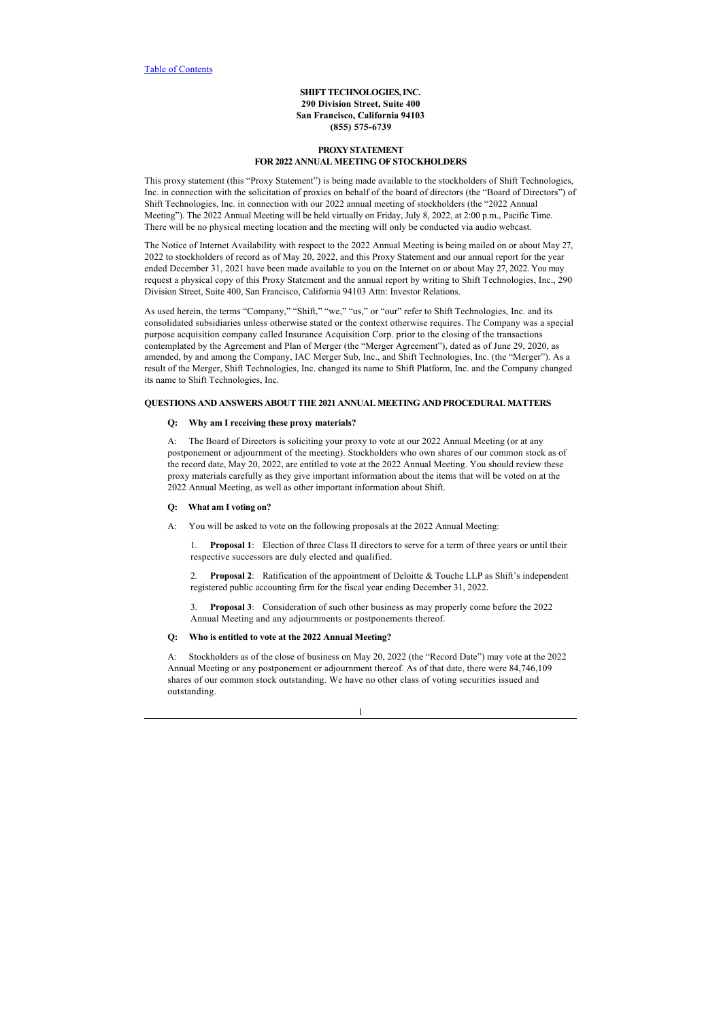## **SHIFT TECHNOLOGIES, INC. 290 Division Street, Suite 400 San Francisco, California 94103 (855) 575-6739**

## **PROXY STATEMENT FOR 2022 ANNUAL MEETING OF STOCKHOLDERS**

This proxy statement (this "Proxy Statement") is being made available to the stockholders of Shift Technologies, Inc. in connection with the solicitation of proxies on behalf of the board of directors (the "Board of Directors") of Shift Technologies, Inc. in connection with our 2022 annual meeting of stockholders (the "2022 Annual Meeting"). The 2022 Annual Meeting will be held virtually on Friday, July 8, 2022, at 2:00 p.m., Pacific Time. There will be no physical meeting location and the meeting will only be conducted via audio webcast.

The Notice of Internet Availability with respect to the 2022 Annual Meeting is being mailed on or about May 27, 2022 to stockholders of record as of May 20, 2022, and this Proxy Statement and our annual report for the year ended December 31, 2021 have been made available to you on the Internet on or about May 27, 2022. You may request a physical copy of this Proxy Statement and the annual report by writing to Shift Technologies, Inc., 290 Division Street, Suite 400, San Francisco, California 94103 Attn: Investor Relations.

As used herein, the terms "Company," "Shift," "we," "us," or "our" refer to Shift Technologies, Inc. and its consolidated subsidiaries unless otherwise stated or the context otherwise requires. The Company was a special purpose acquisition company called Insurance Acquisition Corp. prior to the closing of the transactions contemplated by the Agreement and Plan of Merger (the "Merger Agreement"), dated as of June 29, 2020, as amended, by and among the Company, IAC Merger Sub, Inc., and Shift Technologies, Inc. (the "Merger"). As a result of the Merger, Shift Technologies, Inc. changed its name to Shift Platform, Inc. and the Company changed its name to Shift Technologies, Inc.

# <span id="page-5-0"></span>**QUESTIONS AND ANSWERS ABOUT THE 2021 ANNUAL MEETING AND PROCEDURAL MATTERS**

## **Q: Why am I receiving these proxy materials?**

A: The Board of Directors is soliciting your proxy to vote at our 2022 Annual Meeting (or at any postponement or adjournment of the meeting). Stockholders who own shares of our common stock as of the record date, May 20, 2022, are entitled to vote at the 2022 Annual Meeting. You should review these proxy materials carefully as they give important information about the items that will be voted on at the 2022 Annual Meeting, as well as other important information about Shift.

## **Q: What am I voting on?**

A: You will be asked to vote on the following proposals at the 2022 Annual Meeting:

1. **Proposal 1**:Election of three Class II directors to serve for a term of three years or until their respective successors are duly elected and qualified.

2. **Proposal 2**:Ratification of the appointment of Deloitte & Touche LLP as Shift's independent registered public accounting firm for the fiscal year ending December 31, 2022.

3. **Proposal 3**:Consideration of such other business as may properly come before the 2022 Annual Meeting and any adjournments or postponements thereof.

## **Q: Who is entitled to vote at the 2022 Annual Meeting?**

A: Stockholders as of the close of business on May 20, 2022 (the "Record Date") may vote at the 2022 Annual Meeting or any postponement or adjournment thereof. As of that date, there were 84,746,109 shares of our common stock outstanding. We have no other class of voting securities issued and outstanding.

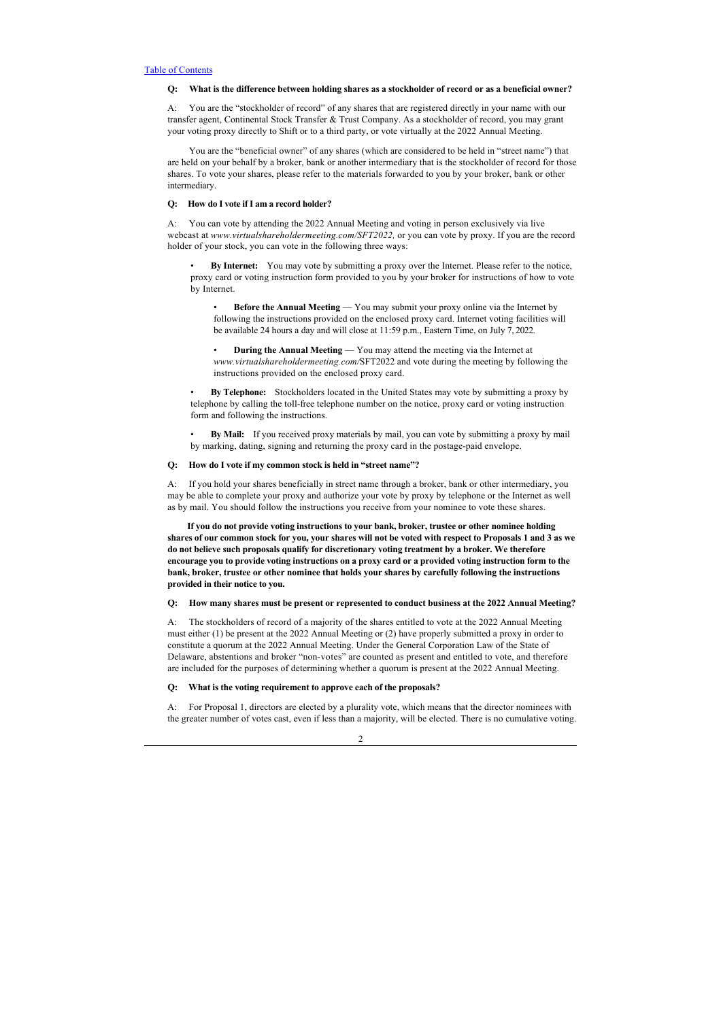## **Q: What is the difference between holding shares as a stockholder of record or as a beneficial owner?**

A: You are the "stockholder of record" of any shares that are registered directly in your name with our transfer agent, Continental Stock Transfer & Trust Company. As a stockholder of record, you may grant your voting proxy directly to Shift or to a third party, or vote virtually at the 2022 Annual Meeting.

 You are the "beneficial owner" of any shares (which are considered to be held in "street name") that are held on your behalf by a broker, bank or another intermediary that is the stockholder of record for those shares. To vote your shares, please refer to the materials forwarded to you by your broker, bank or other intermediary.

## **Q: How do I vote if I am a record holder?**

A: You can vote by attending the 2022 Annual Meeting and voting in person exclusively via live webcast at *www.virtualshareholdermeeting.com/SFT2022,* or you can vote by proxy. If you are the record holder of your stock, you can vote in the following three ways:

• **By Internet:** You may vote by submitting a proxy over the Internet. Please refer to the notice, proxy card or voting instruction form provided to you by your broker for instructions of how to vote by Internet.

**Before the Annual Meeting** — You may submit your proxy online via the Internet by following the instructions provided on the enclosed proxy card. Internet voting facilities will be available 24 hours a day and will close at 11:59 p.m., Eastern Time, on July 7, 2022.

• **During the Annual Meeting** — You may attend the meeting via the Internet at *www.virtualshareholdermeeting.com/*SFT2022 and vote during the meeting by following the instructions provided on the enclosed proxy card.

• **By Telephone:** Stockholders located in the United States may vote by submitting a proxy by telephone by calling the toll-free telephone number on the notice, proxy card or voting instruction form and following the instructions.

• **By Mail:** If you received proxy materials by mail, you can vote by submitting a proxy by mail by marking, dating, signing and returning the proxy card in the postage-paid envelope.

#### **Q: How do I vote if my common stock is held in "street name"?**

A: If you hold your shares beneficially in street name through a broker, bank or other intermediary, you may be able to complete your proxy and authorize your vote by proxy by telephone or the Internet as well as by mail. You should follow the instructions you receive from your nominee to vote these shares.

 **If you do not provide voting instructions to your bank, broker, trustee or other nominee holding shares of our common stock for you, your shares will not be voted with respect to Proposals 1 and 3 as we do not believe such proposals qualify for discretionary voting treatment by a broker. We therefore encourage you to provide voting instructions on a proxy card or a provided voting instruction form to the bank, broker, trustee or other nominee that holds your shares by carefully following the instructions provided in their notice to you.**

#### **Q: How many shares must be present or represented to conduct business at the 2022 Annual Meeting?**

A: The stockholders of record of a majority of the shares entitled to vote at the 2022 Annual Meeting must either (1) be present at the 2022 Annual Meeting or (2) have properly submitted a proxy in order to constitute a quorum at the 2022 Annual Meeting. Under the General Corporation Law of the State of Delaware, abstentions and broker "non-votes" are counted as present and entitled to vote, and therefore are included for the purposes of determining whether a quorum is present at the 2022 Annual Meeting.

## **Q: What is the voting requirement to approve each of the proposals?**

A: For Proposal 1, directors are elected by a plurality vote, which means that the director nominees with the greater number of votes cast, even if less than a majority, will be elected. There is no cumulative voting.

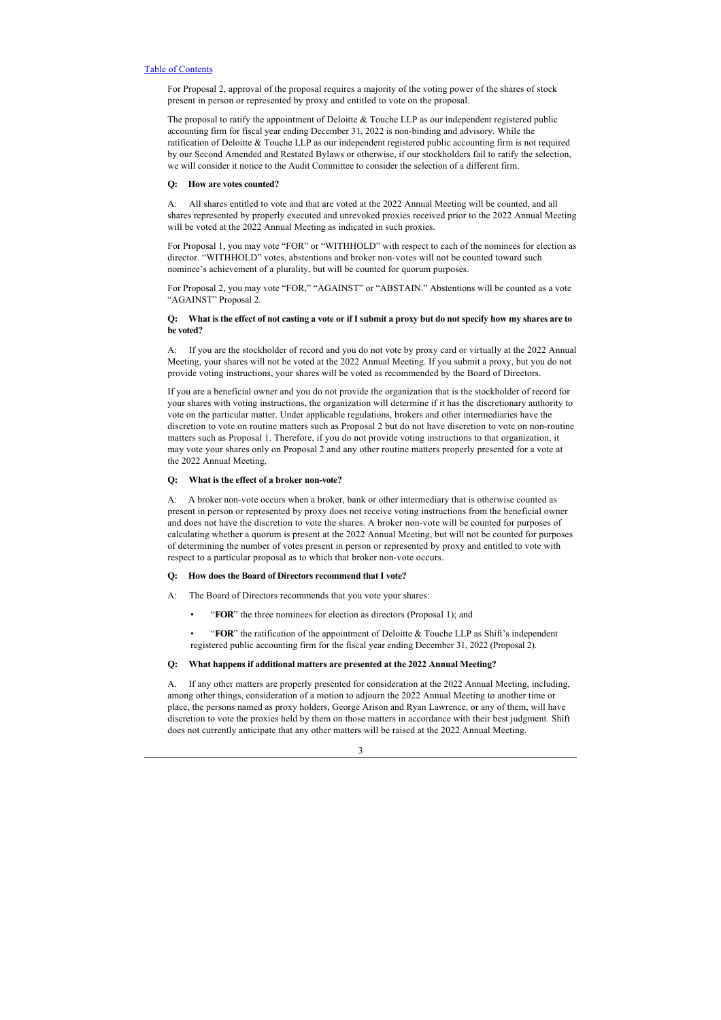For Proposal 2, approval of the proposal requires a majority of the voting power of the shares of stock present in person or represented by proxy and entitled to vote on the proposal.

The proposal to ratify the appointment of Deloitte & Touche LLP as our independent registered public accounting firm for fiscal year ending December 31, 2022 is non-binding and advisory. While the ratification of Deloitte & Touche LLP as our independent registered public accounting firm is not required by our Second Amended and Restated Bylaws or otherwise, if our stockholders fail to ratify the selection, we will consider it notice to the Audit Committee to consider the selection of a different firm.

#### **Q: How are votes counted?**

A: All shares entitled to vote and that are voted at the 2022 Annual Meeting will be counted, and all shares represented by properly executed and unrevoked proxies received prior to the 2022 Annual Meeting will be voted at the 2022 Annual Meeting as indicated in such proxies.

For Proposal 1, you may vote "FOR" or "WITHHOLD" with respect to each of the nominees for election as director. "WITHHOLD" votes, abstentions and broker non-votes will not be counted toward such nominee's achievement of a plurality, but will be counted for quorum purposes.

For Proposal 2, you may vote "FOR," "AGAINST" or "ABSTAIN." Abstentions will be counted as a vote "AGAINST" Proposal 2.

## **Q: What is the effect of not casting a vote or if I submit a proxy but do not specify how my shares are to be voted?**

A: If you are the stockholder of record and you do not vote by proxy card or virtually at the 2022 Annual Meeting, your shares will not be voted at the 2022 Annual Meeting. If you submit a proxy, but you do not provide voting instructions, your shares will be voted as recommended by the Board of Directors.

If you are a beneficial owner and you do not provide the organization that is the stockholder of record for your shares with voting instructions, the organization will determine if it has the discretionary authority to vote on the particular matter. Under applicable regulations, brokers and other intermediaries have the discretion to vote on routine matters such as Proposal 2 but do not have discretion to vote on non-routine matters such as Proposal 1. Therefore, if you do not provide voting instructions to that organization, it may vote your shares only on Proposal 2 and any other routine matters properly presented for a vote at the 2022 Annual Meeting.

## **Q: What is the effect of a broker non-vote?**

A: A broker non-vote occurs when a broker, bank or other intermediary that is otherwise counted as present in person or represented by proxy does not receive voting instructions from the beneficial owner and does not have the discretion to vote the shares. A broker non-vote will be counted for purposes of calculating whether a quorum is present at the 2022 Annual Meeting, but will not be counted for purposes of determining the number of votes present in person or represented by proxy and entitled to vote with respect to a particular proposal as to which that broker non-vote occurs.

## **Q: How does the Board of Directors recommend that I vote?**

A: The Board of Directors recommends that you vote your shares:

• "**FOR**" the three nominees for election as directors (Proposal 1); and

• "**FOR**" the ratification of the appointment of Deloitte & Touche LLP as Shift's independent registered public accounting firm for the fiscal year ending December 31, 2022 (Proposal 2).

## **Q: What happens if additional matters are presented at the 2022 Annual Meeting?**

A. If any other matters are properly presented for consideration at the 2022 Annual Meeting, including, among other things, consideration of a motion to adjourn the 2022 Annual Meeting to another time or place, the persons named as proxy holders, George Arison and Ryan Lawrence, or any of them, will have discretion to vote the proxies held by them on those matters in accordance with their best judgment. Shift does not currently anticipate that any other matters will be raised at the 2022 Annual Meeting.

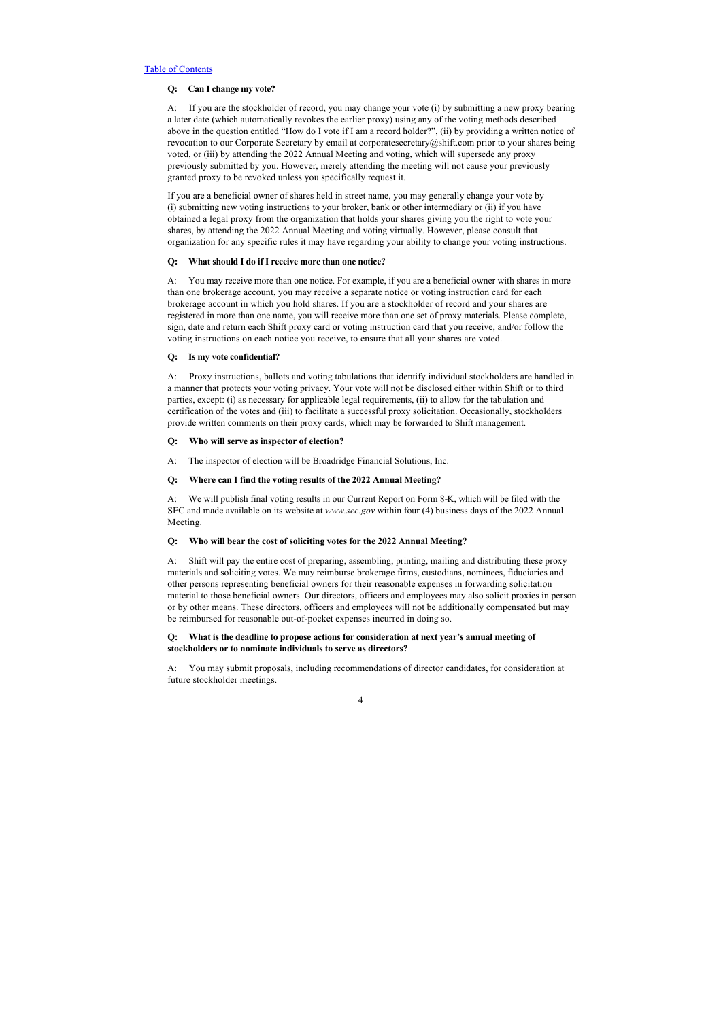## **Q: Can I change my vote?**

A: If you are the stockholder of record, you may change your vote (i) by submitting a new proxy bearing a later date (which automatically revokes the earlier proxy) using any of the voting methods described above in the question entitled "How do I vote if I am a record holder?", (ii) by providing a written notice of revocation to our Corporate Secretary by email at corporatesecretary@shift.com prior to your shares being voted, or (iii) by attending the 2022 Annual Meeting and voting, which will supersede any proxy previously submitted by you. However, merely attending the meeting will not cause your previously granted proxy to be revoked unless you specifically request it.

If you are a beneficial owner of shares held in street name, you may generally change your vote by (i) submitting new voting instructions to your broker, bank or other intermediary or (ii) if you have obtained a legal proxy from the organization that holds your shares giving you the right to vote your shares, by attending the 2022 Annual Meeting and voting virtually. However, please consult that organization for any specific rules it may have regarding your ability to change your voting instructions.

## **Q: What should I do if I receive more than one notice?**

A: You may receive more than one notice. For example, if you are a beneficial owner with shares in more than one brokerage account, you may receive a separate notice or voting instruction card for each brokerage account in which you hold shares. If you are a stockholder of record and your shares are registered in more than one name, you will receive more than one set of proxy materials. Please complete, sign, date and return each Shift proxy card or voting instruction card that you receive, and/or follow the voting instructions on each notice you receive, to ensure that all your shares are voted.

## **Q: Is my vote confidential?**

A: Proxy instructions, ballots and voting tabulations that identify individual stockholders are handled in a manner that protects your voting privacy. Your vote will not be disclosed either within Shift or to third parties, except: (i) as necessary for applicable legal requirements, (ii) to allow for the tabulation and certification of the votes and (iii) to facilitate a successful proxy solicitation. Occasionally, stockholders provide written comments on their proxy cards, which may be forwarded to Shift management.

#### **Q: Who will serve as inspector of election?**

A: The inspector of election will be Broadridge Financial Solutions, Inc.

## **Q: Where can I find the voting results of the 2022 Annual Meeting?**

A: We will publish final voting results in our Current Report on Form 8-K, which will be filed with the SEC and made available on its website at *www.sec.gov* within four (4) business days of the 2022 Annual Meeting.

## **Q: Who will bear the cost of soliciting votes for the 2022 Annual Meeting?**

A: Shift will pay the entire cost of preparing, assembling, printing, mailing and distributing these proxy materials and soliciting votes. We may reimburse brokerage firms, custodians, nominees, fiduciaries and other persons representing beneficial owners for their reasonable expenses in forwarding solicitation material to those beneficial owners. Our directors, officers and employees may also solicit proxies in person or by other means. These directors, officers and employees will not be additionally compensated but may be reimbursed for reasonable out-of-pocket expenses incurred in doing so.

## **Q: What is the deadline to propose actions for consideration at next year's annual meeting of stockholders or to nominate individuals to serve as directors?**

A: You may submit proposals, including recommendations of director candidates, for consideration at future stockholder meetings.

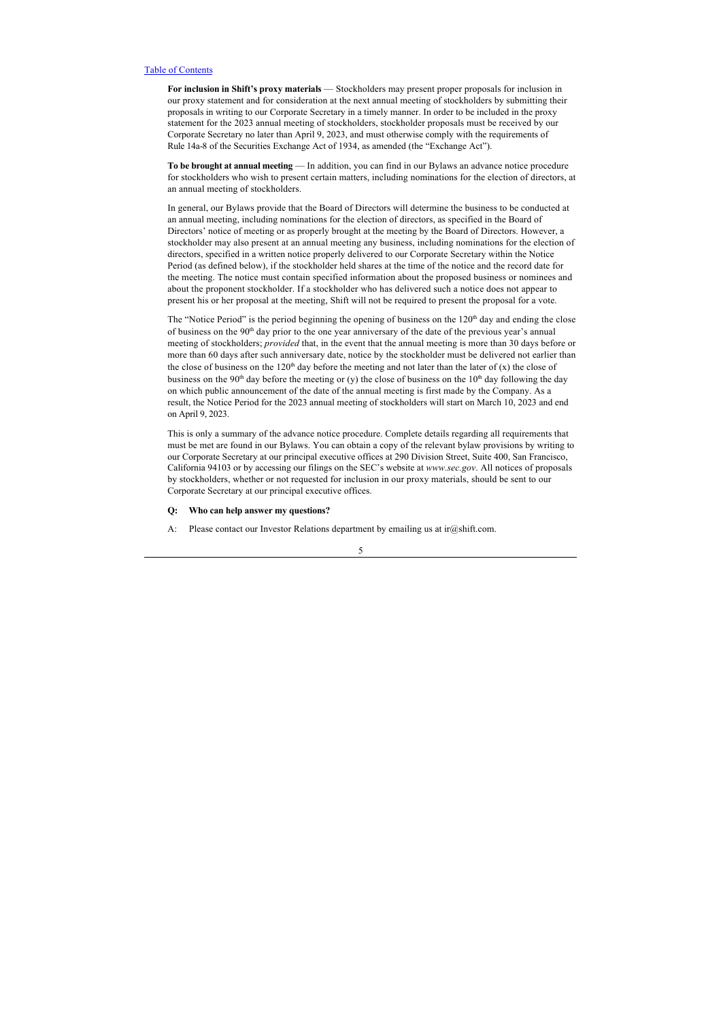**For inclusion in Shift's proxy materials** — Stockholders may present proper proposals for inclusion in our proxy statement and for consideration at the next annual meeting of stockholders by submitting their proposals in writing to our Corporate Secretary in a timely manner. In order to be included in the proxy statement for the 2023 annual meeting of stockholders, stockholder proposals must be received by our Corporate Secretary no later than April 9, 2023, and must otherwise comply with the requirements of Rule 14a-8 of the Securities Exchange Act of 1934, as amended (the "Exchange Act").

**To be brought at annual meeting** — In addition, you can find in our Bylaws an advance notice procedure for stockholders who wish to present certain matters, including nominations for the election of directors, at an annual meeting of stockholders.

In general, our Bylaws provide that the Board of Directors will determine the business to be conducted at an annual meeting, including nominations for the election of directors, as specified in the Board of Directors' notice of meeting or as properly brought at the meeting by the Board of Directors. However, a stockholder may also present at an annual meeting any business, including nominations for the election of directors, specified in a written notice properly delivered to our Corporate Secretary within the Notice Period (as defined below), if the stockholder held shares at the time of the notice and the record date for the meeting. The notice must contain specified information about the proposed business or nominees and about the proponent stockholder. If a stockholder who has delivered such a notice does not appear to present his or her proposal at the meeting, Shift will not be required to present the proposal for a vote.

The "Notice Period" is the period beginning the opening of business on the  $120<sup>th</sup>$  day and ending the close of business on the 90<sup>th</sup> day prior to the one year anniversary of the date of the previous year's annual meeting of stockholders; *provided* that, in the event that the annual meeting is more than 30 days before or more than 60 days after such anniversary date, notice by the stockholder must be delivered not earlier than the close of business on the 120<sup>th</sup> day before the meeting and not later than the later of  $(x)$  the close of business on the 90<sup>th</sup> day before the meeting or (y) the close of business on the 10<sup>th</sup> day following the day on which public announcement of the date of the annual meeting is first made by the Company. As a result, the Notice Period for the 2023 annual meeting of stockholders will start on March 10, 2023 and end on April 9, 2023.

This is only a summary of the advance notice procedure. Complete details regarding all requirements that must be met are found in our Bylaws. You can obtain a copy of the relevant bylaw provisions by writing to our Corporate Secretary at our principal executive offices at 290 Division Street, Suite 400, San Francisco, California 94103 or by accessing our filings on the SEC's website at *www.sec.gov*. All notices of proposals by stockholders, whether or not requested for inclusion in our proxy materials, should be sent to our Corporate Secretary at our principal executive offices.

## **Q: Who can help answer my questions?**

A: Please contact our Investor Relations department by emailing us at ir@shift.com.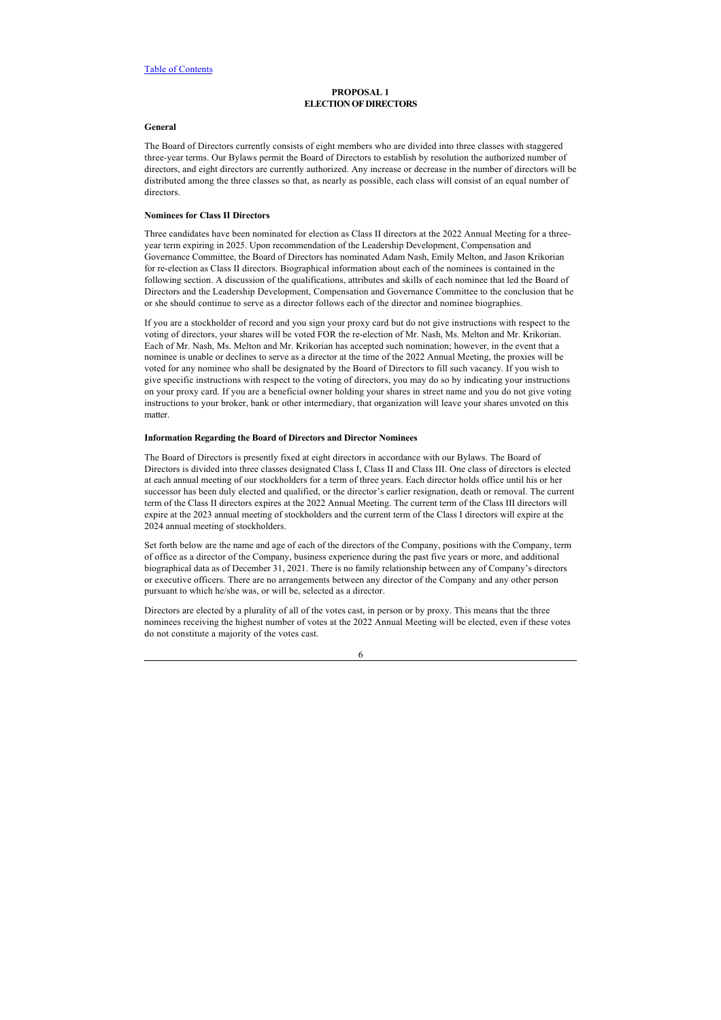## <span id="page-10-0"></span>**PROPOSAL 1 ELECTION OF DIRECTORS**

## <span id="page-10-1"></span>**General**

The Board of Directors currently consists of eight members who are divided into three classes with staggered three-year terms. Our Bylaws permit the Board of Directors to establish by resolution the authorized number of directors, and eight directors are currently authorized. Any increase or decrease in the number of directors will be distributed among the three classes so that, as nearly as possible, each class will consist of an equal number of directors.

#### <span id="page-10-2"></span>**Nominees for Class II Directors**

Three candidates have been nominated for election as Class II directors at the 2022 Annual Meeting for a threeyear term expiring in 2025. Upon recommendation of the Leadership Development, Compensation and Governance Committee, the Board of Directors has nominated Adam Nash, Emily Melton, and Jason Krikorian for re-election as Class II directors. Biographical information about each of the nominees is contained in the following section. A discussion of the qualifications, attributes and skills of each nominee that led the Board of Directors and the Leadership Development, Compensation and Governance Committee to the conclusion that he or she should continue to serve as a director follows each of the director and nominee biographies.

If you are a stockholder of record and you sign your proxy card but do not give instructions with respect to the voting of directors, your shares will be voted FOR the re-election of Mr. Nash, Ms. Melton and Mr. Krikorian. Each of Mr. Nash, Ms. Melton and Mr. Krikorian has accepted such nomination; however, in the event that a nominee is unable or declines to serve as a director at the time of the 2022 Annual Meeting, the proxies will be voted for any nominee who shall be designated by the Board of Directors to fill such vacancy. If you wish to give specific instructions with respect to the voting of directors, you may do so by indicating your instructions on your proxy card. If you are a beneficial owner holding your shares in street name and you do not give voting instructions to your broker, bank or other intermediary, that organization will leave your shares unvoted on this matter.

## <span id="page-10-3"></span>**Information Regarding the Board of Directors and Director Nominees**

The Board of Directors is presently fixed at eight directors in accordance with our Bylaws. The Board of Directors is divided into three classes designated Class I, Class II and Class III. One class of directors is elected at each annual meeting of our stockholders for a term of three years. Each director holds office until his or her successor has been duly elected and qualified, or the director's earlier resignation, death or removal. The current term of the Class II directors expires at the 2022 Annual Meeting. The current term of the Class III directors will expire at the 2023 annual meeting of stockholders and the current term of the Class I directors will expire at the 2024 annual meeting of stockholders.

Set forth below are the name and age of each of the directors of the Company, positions with the Company, term of office as a director of the Company, business experience during the past five years or more, and additional biographical data as of December 31, 2021. There is no family relationship between any of Company's directors or executive officers. There are no arrangements between any director of the Company and any other person pursuant to which he/she was, or will be, selected as a director.

Directors are elected by a plurality of all of the votes cast, in person or by proxy. This means that the three nominees receiving the highest number of votes at the 2022 Annual Meeting will be elected, even if these votes do not constitute a majority of the votes cast.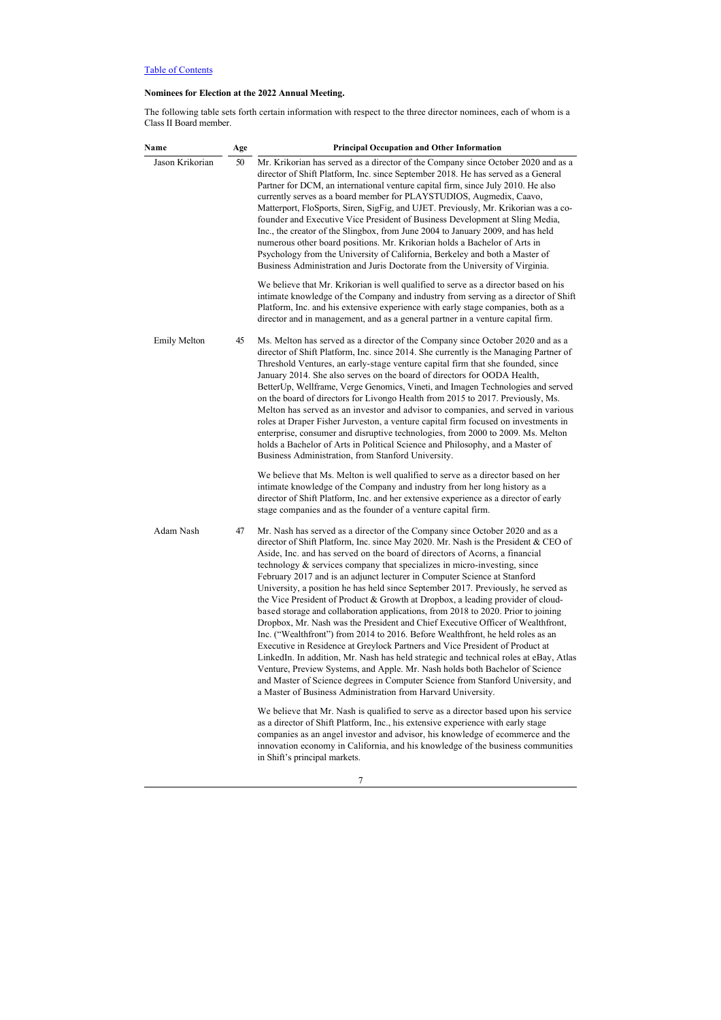# **Nominees for Election at the 2022 Annual Meeting.**

The following table sets forth certain information with respect to the three director nominees, each of whom is a Class II Board member.

| Name                | Age | <b>Principal Occupation and Other Information</b>                                                                                                                                                                                                                                                                                                                                                                                                                                                                                                                                                                                                                                                                                                                                                                                                                                                                                                                                                                                                                                                                                                                                                                                                         |
|---------------------|-----|-----------------------------------------------------------------------------------------------------------------------------------------------------------------------------------------------------------------------------------------------------------------------------------------------------------------------------------------------------------------------------------------------------------------------------------------------------------------------------------------------------------------------------------------------------------------------------------------------------------------------------------------------------------------------------------------------------------------------------------------------------------------------------------------------------------------------------------------------------------------------------------------------------------------------------------------------------------------------------------------------------------------------------------------------------------------------------------------------------------------------------------------------------------------------------------------------------------------------------------------------------------|
| Jason Krikorian     | 50  | Mr. Krikorian has served as a director of the Company since October 2020 and as a<br>director of Shift Platform, Inc. since September 2018. He has served as a General<br>Partner for DCM, an international venture capital firm, since July 2010. He also<br>currently serves as a board member for PLAYSTUDIOS, Augmedix, Caavo,<br>Matterport, FloSports, Siren, SigFig, and UJET. Previously, Mr. Krikorian was a co-<br>founder and Executive Vice President of Business Development at Sling Media,<br>Inc., the creator of the Slingbox, from June 2004 to January 2009, and has held<br>numerous other board positions. Mr. Krikorian holds a Bachelor of Arts in<br>Psychology from the University of California, Berkeley and both a Master of<br>Business Administration and Juris Doctorate from the University of Virginia.                                                                                                                                                                                                                                                                                                                                                                                                                  |
|                     |     | We believe that Mr. Krikorian is well qualified to serve as a director based on his<br>intimate knowledge of the Company and industry from serving as a director of Shift<br>Platform, Inc. and his extensive experience with early stage companies, both as a<br>director and in management, and as a general partner in a venture capital firm.                                                                                                                                                                                                                                                                                                                                                                                                                                                                                                                                                                                                                                                                                                                                                                                                                                                                                                         |
| <b>Emily Melton</b> | 45  | Ms. Melton has served as a director of the Company since October 2020 and as a<br>director of Shift Platform, Inc. since 2014. She currently is the Managing Partner of<br>Threshold Ventures, an early-stage venture capital firm that she founded, since<br>January 2014. She also serves on the board of directors for OODA Health,<br>BetterUp, Wellframe, Verge Genomics, Vineti, and Imagen Technologies and served<br>on the board of directors for Livongo Health from 2015 to 2017. Previously, Ms.<br>Melton has served as an investor and advisor to companies, and served in various<br>roles at Draper Fisher Jurveston, a venture capital firm focused on investments in<br>enterprise, consumer and disruptive technologies, from 2000 to 2009. Ms. Melton<br>holds a Bachelor of Arts in Political Science and Philosophy, and a Master of<br>Business Administration, from Stanford University.                                                                                                                                                                                                                                                                                                                                          |
|                     |     | We believe that Ms. Melton is well qualified to serve as a director based on her<br>intimate knowledge of the Company and industry from her long history as a<br>director of Shift Platform, Inc. and her extensive experience as a director of early<br>stage companies and as the founder of a venture capital firm.                                                                                                                                                                                                                                                                                                                                                                                                                                                                                                                                                                                                                                                                                                                                                                                                                                                                                                                                    |
| Adam Nash           | 47  | Mr. Nash has served as a director of the Company since October 2020 and as a<br>director of Shift Platform, Inc. since May 2020. Mr. Nash is the President & CEO of<br>Aside, Inc. and has served on the board of directors of Acorns, a financial<br>technology & services company that specializes in micro-investing, since<br>February 2017 and is an adjunct lecturer in Computer Science at Stanford<br>University, a position he has held since September 2017. Previously, he served as<br>the Vice President of Product & Growth at Dropbox, a leading provider of cloud-<br>based storage and collaboration applications, from 2018 to 2020. Prior to joining<br>Dropbox, Mr. Nash was the President and Chief Executive Officer of Wealthfront,<br>Inc. ("Wealthfront") from 2014 to 2016. Before Wealthfront, he held roles as an<br>Executive in Residence at Greylock Partners and Vice President of Product at<br>LinkedIn. In addition, Mr. Nash has held strategic and technical roles at eBay, Atlas<br>Venture, Preview Systems, and Apple. Mr. Nash holds both Bachelor of Science<br>and Master of Science degrees in Computer Science from Stanford University, and<br>a Master of Business Administration from Harvard University. |
|                     |     | We believe that Mr. Nash is qualified to serve as a director based upon his service<br>as a director of Shift Platform, Inc., his extensive experience with early stage<br>companies as an angel investor and advisor, his knowledge of ecommerce and the<br>innovation economy in California, and his knowledge of the business communities<br>in Shift's principal markets.                                                                                                                                                                                                                                                                                                                                                                                                                                                                                                                                                                                                                                                                                                                                                                                                                                                                             |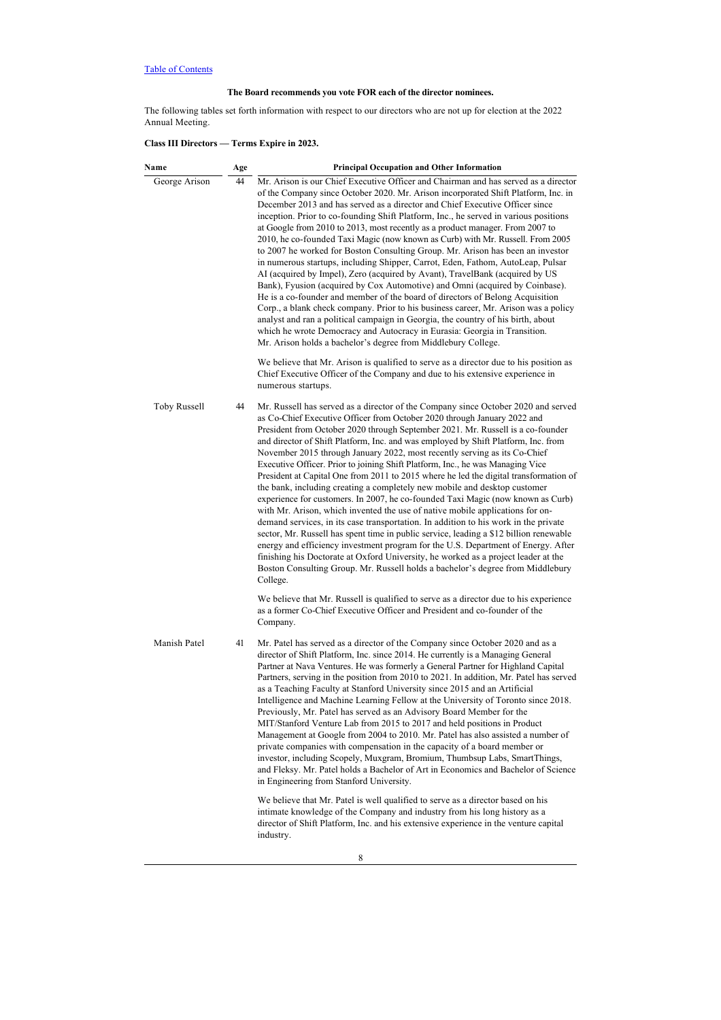# **The Board recommends you vote FOR each of the director nominees.**

The following tables set forth information with respect to our directors who are not up for election at the 2022 Annual Meeting.

# **Class III Directors — Terms Expire in 2023.**

| Name          | Age | <b>Principal Occupation and Other Information</b>                                                                                                                                                                                                                                                                                                                                                                                                                                                                                                                                                                                                                                                                                                                                                                                                                                                                                                                                                                                                                                                                                                                                                                                                                                                                                                                                                                                             |
|---------------|-----|-----------------------------------------------------------------------------------------------------------------------------------------------------------------------------------------------------------------------------------------------------------------------------------------------------------------------------------------------------------------------------------------------------------------------------------------------------------------------------------------------------------------------------------------------------------------------------------------------------------------------------------------------------------------------------------------------------------------------------------------------------------------------------------------------------------------------------------------------------------------------------------------------------------------------------------------------------------------------------------------------------------------------------------------------------------------------------------------------------------------------------------------------------------------------------------------------------------------------------------------------------------------------------------------------------------------------------------------------------------------------------------------------------------------------------------------------|
| George Arison | 44  | Mr. Arison is our Chief Executive Officer and Chairman and has served as a director<br>of the Company since October 2020. Mr. Arison incorporated Shift Platform, Inc. in<br>December 2013 and has served as a director and Chief Executive Officer since<br>inception. Prior to co-founding Shift Platform, Inc., he served in various positions<br>at Google from 2010 to 2013, most recently as a product manager. From 2007 to<br>2010, he co-founded Taxi Magic (now known as Curb) with Mr. Russell. From 2005<br>to 2007 he worked for Boston Consulting Group. Mr. Arison has been an investor<br>in numerous startups, including Shipper, Carrot, Eden, Fathom, AutoLeap, Pulsar<br>AI (acquired by Impel), Zero (acquired by Avant), TravelBank (acquired by US<br>Bank), Fyusion (acquired by Cox Automotive) and Omni (acquired by Coinbase).<br>He is a co-founder and member of the board of directors of Belong Acquisition<br>Corp., a blank check company. Prior to his business career, Mr. Arison was a policy<br>analyst and ran a political campaign in Georgia, the country of his birth, about<br>which he wrote Democracy and Autocracy in Eurasia: Georgia in Transition.<br>Mr. Arison holds a bachelor's degree from Middlebury College.<br>We believe that Mr. Arison is qualified to serve as a director due to his position as<br>Chief Executive Officer of the Company and due to his extensive experience in |
| Toby Russell  | 44  | numerous startups.<br>Mr. Russell has served as a director of the Company since October 2020 and served<br>as Co-Chief Executive Officer from October 2020 through January 2022 and<br>President from October 2020 through September 2021. Mr. Russell is a co-founder<br>and director of Shift Platform, Inc. and was employed by Shift Platform, Inc. from<br>November 2015 through January 2022, most recently serving as its Co-Chief<br>Executive Officer. Prior to joining Shift Platform, Inc., he was Managing Vice<br>President at Capital One from 2011 to 2015 where he led the digital transformation of<br>the bank, including creating a completely new mobile and desktop customer<br>experience for customers. In 2007, he co-founded Taxi Magic (now known as Curb)<br>with Mr. Arison, which invented the use of native mobile applications for on-<br>demand services, in its case transportation. In addition to his work in the private<br>sector, Mr. Russell has spent time in public service, leading a \$12 billion renewable<br>energy and efficiency investment program for the U.S. Department of Energy. After<br>finishing his Doctorate at Oxford University, he worked as a project leader at the<br>Boston Consulting Group. Mr. Russell holds a bachelor's degree from Middlebury<br>College.                                                                                                               |
|               |     | We believe that Mr. Russell is qualified to serve as a director due to his experience<br>as a former Co-Chief Executive Officer and President and co-founder of the<br>Company.                                                                                                                                                                                                                                                                                                                                                                                                                                                                                                                                                                                                                                                                                                                                                                                                                                                                                                                                                                                                                                                                                                                                                                                                                                                               |
| Manish Patel  | 41  | Mr. Patel has served as a director of the Company since October 2020 and as a<br>director of Shift Platform, Inc. since 2014. He currently is a Managing General<br>Partner at Nava Ventures. He was formerly a General Partner for Highland Capital<br>Partners, serving in the position from 2010 to 2021. In addition, Mr. Patel has served<br>as a Teaching Faculty at Stanford University since 2015 and an Artificial<br>Intelligence and Machine Learning Fellow at the University of Toronto since 2018.<br>Previously, Mr. Patel has served as an Advisory Board Member for the<br>MIT/Stanford Venture Lab from 2015 to 2017 and held positions in Product<br>Management at Google from 2004 to 2010. Mr. Patel has also assisted a number of<br>private companies with compensation in the capacity of a board member or<br>investor, including Scopely, Muxgram, Bromium, Thumbsup Labs, SmartThings,<br>and Fleksy. Mr. Patel holds a Bachelor of Art in Economics and Bachelor of Science<br>in Engineering from Stanford University.                                                                                                                                                                                                                                                                                                                                                                                           |
|               |     | We believe that Mr. Patel is well qualified to serve as a director based on his<br>intimate knowledge of the Company and industry from his long history as a<br>director of Shift Platform, Inc. and his extensive experience in the venture capital<br>industry.                                                                                                                                                                                                                                                                                                                                                                                                                                                                                                                                                                                                                                                                                                                                                                                                                                                                                                                                                                                                                                                                                                                                                                             |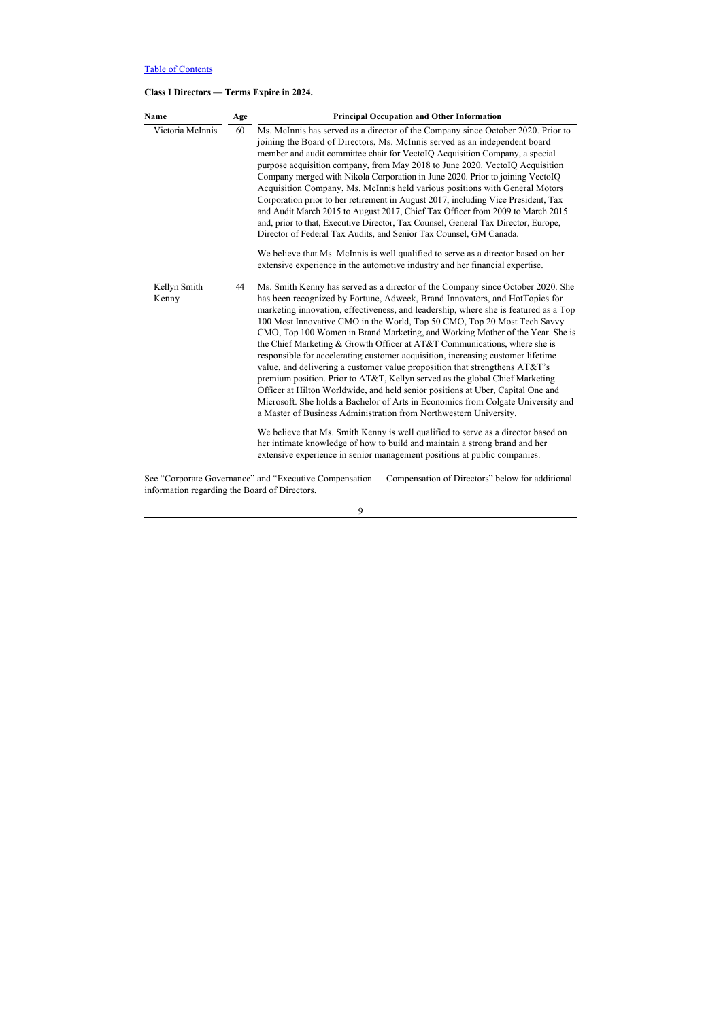# **Class I Directors — Terms Expire in 2024.**

| <b>Name</b>           | Age | <b>Principal Occupation and Other Information</b>                                                                                                                                                                                                                                                                                                                                                                                                                                                                                                                                                                                                                                                                                                                                                                                                                                                                                                                                                                                                                                                                                                                                                                                           |
|-----------------------|-----|---------------------------------------------------------------------------------------------------------------------------------------------------------------------------------------------------------------------------------------------------------------------------------------------------------------------------------------------------------------------------------------------------------------------------------------------------------------------------------------------------------------------------------------------------------------------------------------------------------------------------------------------------------------------------------------------------------------------------------------------------------------------------------------------------------------------------------------------------------------------------------------------------------------------------------------------------------------------------------------------------------------------------------------------------------------------------------------------------------------------------------------------------------------------------------------------------------------------------------------------|
| Victoria McInnis      | 60  | Ms. McInnis has served as a director of the Company since October 2020. Prior to<br>joining the Board of Directors, Ms. McInnis served as an independent board<br>member and audit committee chair for VectoIQ Acquisition Company, a special<br>purpose acquisition company, from May 2018 to June 2020. VectoIQ Acquisition<br>Company merged with Nikola Corporation in June 2020. Prior to joining VectolO<br>Acquisition Company, Ms. McInnis held various positions with General Motors<br>Corporation prior to her retirement in August 2017, including Vice President, Tax<br>and Audit March 2015 to August 2017, Chief Tax Officer from 2009 to March 2015<br>and, prior to that, Executive Director, Tax Counsel, General Tax Director, Europe,<br>Director of Federal Tax Audits, and Senior Tax Counsel, GM Canada.                                                                                                                                                                                                                                                                                                                                                                                                            |
|                       |     | We believe that Ms. McInnis is well qualified to serve as a director based on her<br>extensive experience in the automotive industry and her financial expertise.                                                                                                                                                                                                                                                                                                                                                                                                                                                                                                                                                                                                                                                                                                                                                                                                                                                                                                                                                                                                                                                                           |
| Kellyn Smith<br>Kenny | 44  | Ms. Smith Kenny has served as a director of the Company since October 2020. She<br>has been recognized by Fortune, Adweek, Brand Innovators, and HotTopics for<br>marketing innovation, effectiveness, and leadership, where she is featured as a Top<br>100 Most Innovative CMO in the World, Top 50 CMO, Top 20 Most Tech Savvy<br>CMO, Top 100 Women in Brand Marketing, and Working Mother of the Year. She is<br>the Chief Marketing & Growth Officer at AT&T Communications, where she is<br>responsible for accelerating customer acquisition, increasing customer lifetime<br>value, and delivering a customer value proposition that strengthens AT&T's<br>premium position. Prior to AT&T, Kellyn served as the global Chief Marketing<br>Officer at Hilton Worldwide, and held senior positions at Uber, Capital One and<br>Microsoft. She holds a Bachelor of Arts in Economics from Colgate University and<br>a Master of Business Administration from Northwestern University.<br>We believe that Ms. Smith Kenny is well qualified to serve as a director based on<br>her intimate knowledge of how to build and maintain a strong brand and her<br>extensive experience in senior management positions at public companies. |

See "Corporate Governance" and "Executive Compensation — Compensation of Directors" below for additional information regarding the Board of Directors.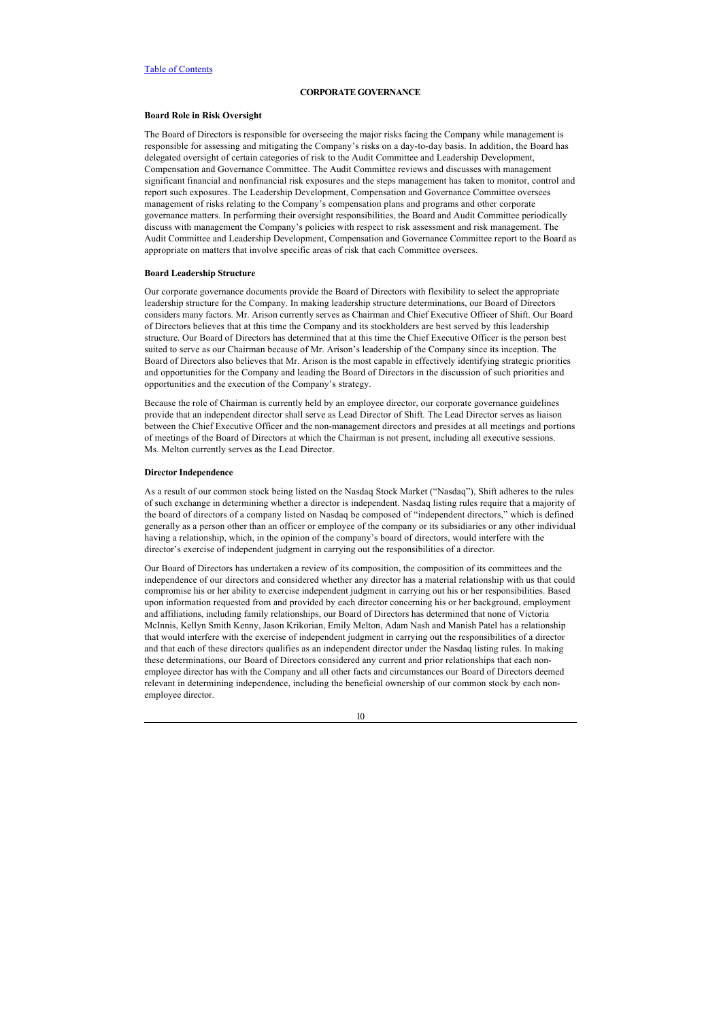## <span id="page-14-0"></span>**CORPORATE GOVERNANCE**

## <span id="page-14-1"></span>**Board Role in Risk Oversight**

The Board of Directors is responsible for overseeing the major risks facing the Company while management is responsible for assessing and mitigating the Company's risks on a day-to-day basis. In addition, the Board has delegated oversight of certain categories of risk to the Audit Committee and Leadership Development, Compensation and Governance Committee. The Audit Committee reviews and discusses with management significant financial and nonfinancial risk exposures and the steps management has taken to monitor, control and report such exposures. The Leadership Development, Compensation and Governance Committee oversees management of risks relating to the Company's compensation plans and programs and other corporate governance matters. In performing their oversight responsibilities, the Board and Audit Committee periodically discuss with management the Company's policies with respect to risk assessment and risk management. The Audit Committee and Leadership Development, Compensation and Governance Committee report to the Board as appropriate on matters that involve specific areas of risk that each Committee oversees.

#### <span id="page-14-2"></span>**Board Leadership Structure**

Our corporate governance documents provide the Board of Directors with flexibility to select the appropriate leadership structure for the Company. In making leadership structure determinations, our Board of Directors considers many factors. Mr. Arison currently serves as Chairman and Chief Executive Officer of Shift. Our Board of Directors believes that at this time the Company and its stockholders are best served by this leadership structure. Our Board of Directors has determined that at this time the Chief Executive Officer is the person best suited to serve as our Chairman because of Mr. Arison's leadership of the Company since its inception. The Board of Directors also believes that Mr. Arison is the most capable in effectively identifying strategic priorities and opportunities for the Company and leading the Board of Directors in the discussion of such priorities and opportunities and the execution of the Company's strategy.

Because the role of Chairman is currently held by an employee director, our corporate governance guidelines provide that an independent director shall serve as Lead Director of Shift. The Lead Director serves as liaison between the Chief Executive Officer and the non-management directors and presides at all meetings and portions of meetings of the Board of Directors at which the Chairman is not present, including all executive sessions. Ms. Melton currently serves as the Lead Director.

## <span id="page-14-3"></span>**Director Independence**

As a result of our common stock being listed on the Nasdaq Stock Market ("Nasdaq"), Shift adheres to the rules of such exchange in determining whether a director is independent. Nasdaq listing rules require that a majority of the board of directors of a company listed on Nasdaq be composed of "independent directors," which is defined generally as a person other than an officer or employee of the company or its subsidiaries or any other individual having a relationship, which, in the opinion of the company's board of directors, would interfere with the director's exercise of independent judgment in carrying out the responsibilities of a director.

Our Board of Directors has undertaken a review of its composition, the composition of its committees and the independence of our directors and considered whether any director has a material relationship with us that could compromise his or her ability to exercise independent judgment in carrying out his or her responsibilities. Based upon information requested from and provided by each director concerning his or her background, employment and affiliations, including family relationships, our Board of Directors has determined that none of Victoria McInnis, Kellyn Smith Kenny, Jason Krikorian, Emily Melton, Adam Nash and Manish Patel has a relationship that would interfere with the exercise of independent judgment in carrying out the responsibilities of a director and that each of these directors qualifies as an independent director under the Nasdaq listing rules. In making these determinations, our Board of Directors considered any current and prior relationships that each nonemployee director has with the Company and all other facts and circumstances our Board of Directors deemed relevant in determining independence, including the beneficial ownership of our common stock by each nonemployee director.

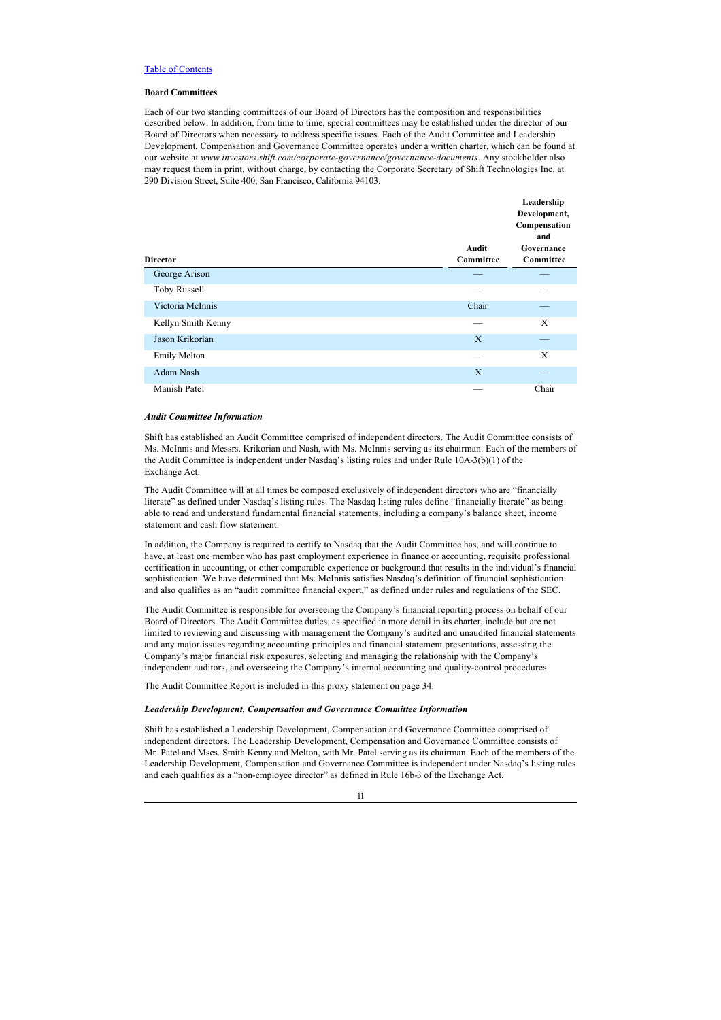## <span id="page-15-0"></span>**Board Committees**

Each of our two standing committees of our Board of Directors has the composition and responsibilities described below. In addition, from time to time, special committees may be established under the director of our Board of Directors when necessary to address specific issues. Each of the Audit Committee and Leadership Development, Compensation and Governance Committee operates under a written charter, which can be found at our website at *www.investors.shift.com/corporate-governance/governance-documents*. Any stockholder also may request them in print, without charge, by contacting the Corporate Secretary of Shift Technologies Inc. at 290 Division Street, Suite 400, San Francisco, California 94103.

**Leadership** 

| <b>Director</b>     | Audit<br>Committee | Leadership<br>Development,<br>Compensation<br>and<br>Governance<br>Committee |
|---------------------|--------------------|------------------------------------------------------------------------------|
| George Arison       |                    |                                                                              |
| Toby Russell        |                    |                                                                              |
| Victoria McInnis    | Chair              |                                                                              |
| Kellyn Smith Kenny  |                    | Χ                                                                            |
| Jason Krikorian     | X                  |                                                                              |
| <b>Emily Melton</b> |                    | X                                                                            |
| Adam Nash           | $\mathbf{X}$       |                                                                              |
| Manish Patel        |                    | Chair                                                                        |

## *Audit Committee Information*

Shift has established an Audit Committee comprised of independent directors. The Audit Committee consists of Ms. McInnis and Messrs. Krikorian and Nash, with Ms. McInnis serving as its chairman. Each of the members of the Audit Committee is independent under Nasdaq's listing rules and under Rule 10A-3(b)(1) of the Exchange Act.

The Audit Committee will at all times be composed exclusively of independent directors who are "financially literate" as defined under Nasdaq's listing rules. The Nasdaq listing rules define "financially literate" as being able to read and understand fundamental financial statements, including a company's balance sheet, income statement and cash flow statement.

In addition, the Company is required to certify to Nasdaq that the Audit Committee has, and will continue to have, at least one member who has past employment experience in finance or accounting, requisite professional certification in accounting, or other comparable experience or background that results in the individual's financial sophistication. We have determined that Ms. McInnis satisfies Nasdaq's definition of financial sophistication and also qualifies as an "audit committee financial expert," as defined under rules and regulations of the SEC.

The Audit Committee is responsible for overseeing the Company's financial reporting process on behalf of our Board of Directors. The Audit Committee duties, as specified in more detail in its charter, include but are not limited to reviewing and discussing with management the Company's audited and unaudited financial statements and any major issues regarding accounting principles and financial statement presentations, assessing the Company's major financial risk exposures, selecting and managing the relationship with the Company's independent auditors, and overseeing the Company's internal accounting and quality-control procedures.

The Audit Committee Report is included in this proxy statement on page 34.

## *Leadership Development, Compensation and Governance Committee Information*

Shift has established a Leadership Development, Compensation and Governance Committee comprised of independent directors. The Leadership Development, Compensation and Governance Committee consists of Mr. Patel and Mses. Smith Kenny and Melton, with Mr. Patel serving as its chairman. Each of the members of the Leadership Development, Compensation and Governance Committee is independent under Nasdaq's listing rules and each qualifies as a "non-employee director" as defined in Rule 16b-3 of the Exchange Act.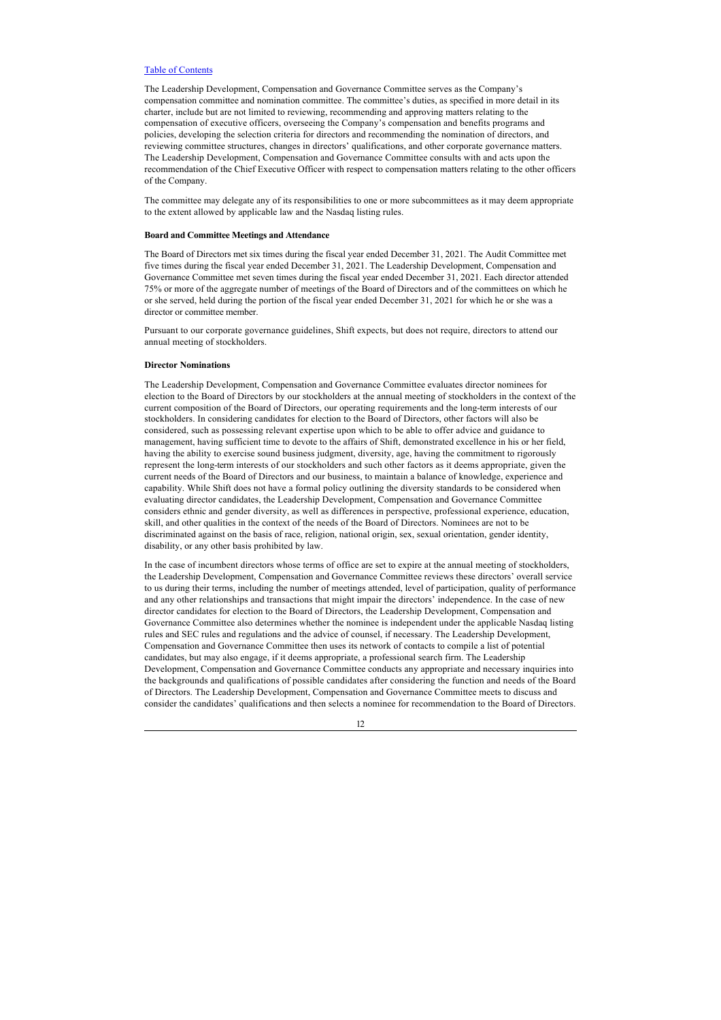The Leadership Development, Compensation and Governance Committee serves as the Company's compensation committee and nomination committee. The committee's duties, as specified in more detail in its charter, include but are not limited to reviewing, recommending and approving matters relating to the compensation of executive officers, overseeing the Company's compensation and benefits programs and policies, developing the selection criteria for directors and recommending the nomination of directors, and reviewing committee structures, changes in directors' qualifications, and other corporate governance matters. The Leadership Development, Compensation and Governance Committee consults with and acts upon the recommendation of the Chief Executive Officer with respect to compensation matters relating to the other officers of the Company.

The committee may delegate any of its responsibilities to one or more subcommittees as it may deem appropriate to the extent allowed by applicable law and the Nasdaq listing rules.

## <span id="page-16-0"></span>**Board and Committee Meetings and Attendance**

The Board of Directors met six times during the fiscal year ended December 31, 2021. The Audit Committee met five times during the fiscal year ended December 31, 2021. The Leadership Development, Compensation and Governance Committee met seven times during the fiscal year ended December 31, 2021. Each director attended 75% or more of the aggregate number of meetings of the Board of Directors and of the committees on which he or she served, held during the portion of the fiscal year ended December 31, 2021 for which he or she was a director or committee member.

Pursuant to our corporate governance guidelines, Shift expects, but does not require, directors to attend our annual meeting of stockholders.

## <span id="page-16-1"></span>**Director Nominations**

The Leadership Development, Compensation and Governance Committee evaluates director nominees for election to the Board of Directors by our stockholders at the annual meeting of stockholders in the context of the current composition of the Board of Directors, our operating requirements and the long-term interests of our stockholders. In considering candidates for election to the Board of Directors, other factors will also be considered, such as possessing relevant expertise upon which to be able to offer advice and guidance to management, having sufficient time to devote to the affairs of Shift, demonstrated excellence in his or her field, having the ability to exercise sound business judgment, diversity, age, having the commitment to rigorously represent the long-term interests of our stockholders and such other factors as it deems appropriate, given the current needs of the Board of Directors and our business, to maintain a balance of knowledge, experience and capability. While Shift does not have a formal policy outlining the diversity standards to be considered when evaluating director candidates, the Leadership Development, Compensation and Governance Committee considers ethnic and gender diversity, as well as differences in perspective, professional experience, education, skill, and other qualities in the context of the needs of the Board of Directors. Nominees are not to be discriminated against on the basis of race, religion, national origin, sex, sexual orientation, gender identity, disability, or any other basis prohibited by law.

In the case of incumbent directors whose terms of office are set to expire at the annual meeting of stockholders, the Leadership Development, Compensation and Governance Committee reviews these directors' overall service to us during their terms, including the number of meetings attended, level of participation, quality of performance and any other relationships and transactions that might impair the directors' independence. In the case of new director candidates for election to the Board of Directors, the Leadership Development, Compensation and Governance Committee also determines whether the nominee is independent under the applicable Nasdaq listing rules and SEC rules and regulations and the advice of counsel, if necessary. The Leadership Development, Compensation and Governance Committee then uses its network of contacts to compile a list of potential candidates, but may also engage, if it deems appropriate, a professional search firm. The Leadership Development, Compensation and Governance Committee conducts any appropriate and necessary inquiries into the backgrounds and qualifications of possible candidates after considering the function and needs of the Board of Directors. The Leadership Development, Compensation and Governance Committee meets to discuss and consider the candidates' qualifications and then selects a nominee for recommendation to the Board of Directors.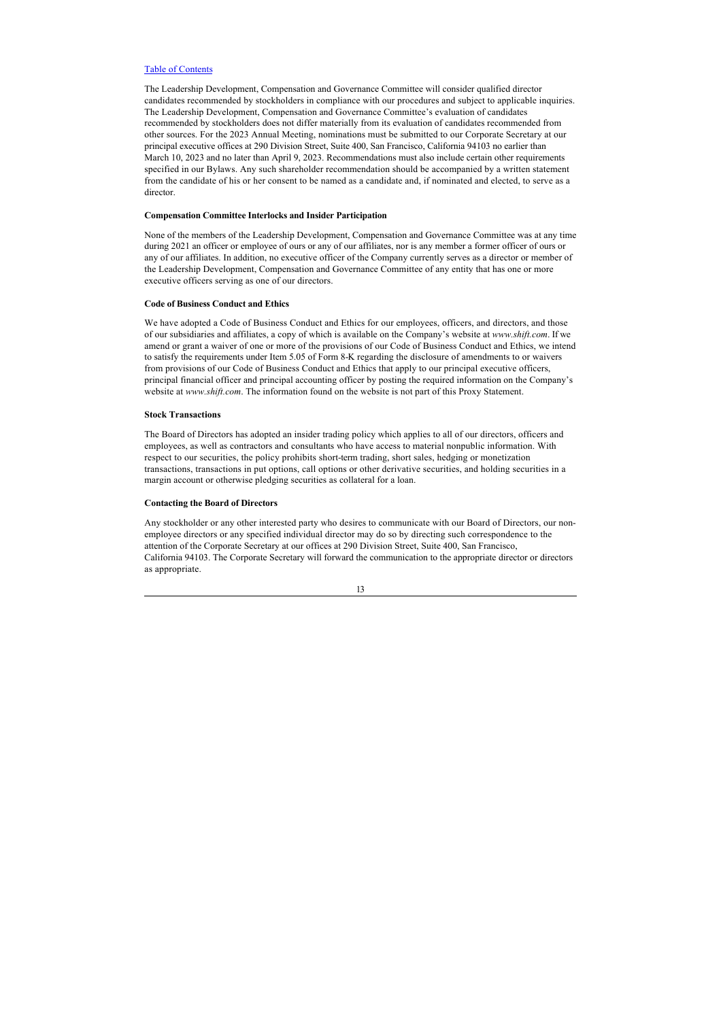The Leadership Development, Compensation and Governance Committee will consider qualified director candidates recommended by stockholders in compliance with our procedures and subject to applicable inquiries. The Leadership Development, Compensation and Governance Committee's evaluation of candidates recommended by stockholders does not differ materially from its evaluation of candidates recommended from other sources. For the 2023 Annual Meeting, nominations must be submitted to our Corporate Secretary at our principal executive offices at 290 Division Street, Suite 400, San Francisco, California 94103 no earlier than March 10, 2023 and no later than April 9, 2023. Recommendations must also include certain other requirements specified in our Bylaws. Any such shareholder recommendation should be accompanied by a written statement from the candidate of his or her consent to be named as a candidate and, if nominated and elected, to serve as a director.

## <span id="page-17-0"></span>**Compensation Committee Interlocks and Insider Participation**

None of the members of the Leadership Development, Compensation and Governance Committee was at any time during 2021 an officer or employee of ours or any of our affiliates, nor is any member a former officer of ours or any of our affiliates. In addition, no executive officer of the Company currently serves as a director or member of the Leadership Development, Compensation and Governance Committee of any entity that has one or more executive officers serving as one of our directors.

#### <span id="page-17-1"></span>**Code of Business Conduct and Ethics**

We have adopted a Code of Business Conduct and Ethics for our employees, officers, and directors, and those of our subsidiaries and affiliates, a copy of which is available on the Company's website at *www.shift.com*. If we amend or grant a waiver of one or more of the provisions of our Code of Business Conduct and Ethics, we intend to satisfy the requirements under Item 5.05 of Form 8-K regarding the disclosure of amendments to or waivers from provisions of our Code of Business Conduct and Ethics that apply to our principal executive officers, principal financial officer and principal accounting officer by posting the required information on the Company's website at *www.shift.com*. The information found on the website is not part of this Proxy Statement.

## <span id="page-17-2"></span>**Stock Transactions**

The Board of Directors has adopted an insider trading policy which applies to all of our directors, officers and employees, as well as contractors and consultants who have access to material nonpublic information. With respect to our securities, the policy prohibits short-term trading, short sales, hedging or monetization transactions, transactions in put options, call options or other derivative securities, and holding securities in a margin account or otherwise pledging securities as collateral for a loan.

## <span id="page-17-3"></span>**Contacting the Board of Directors**

Any stockholder or any other interested party who desires to communicate with our Board of Directors, our nonemployee directors or any specified individual director may do so by directing such correspondence to the attention of the Corporate Secretary at our offices at 290 Division Street, Suite 400, San Francisco, California 94103. The Corporate Secretary will forward the communication to the appropriate director or directors as appropriate.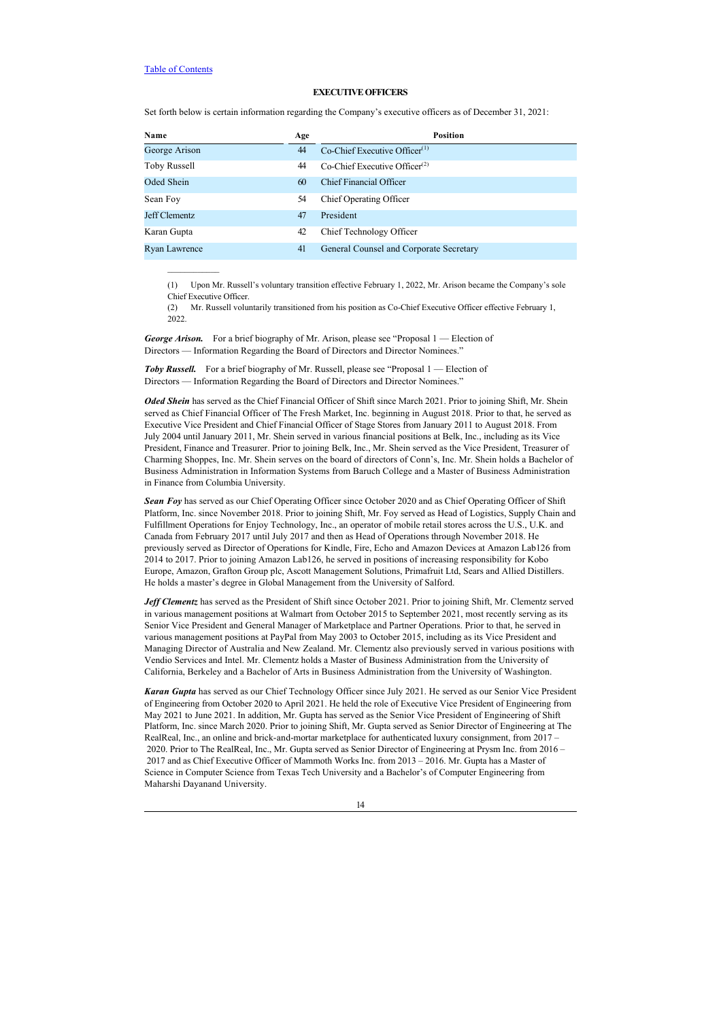$\frac{1}{2}$  ,  $\frac{1}{2}$  ,  $\frac{1}{2}$  ,  $\frac{1}{2}$  ,  $\frac{1}{2}$  ,  $\frac{1}{2}$ 

## <span id="page-18-0"></span>**EXECUTIVE OFFICERS**

Set forth below is certain information regarding the Company's executive officers as of December 31, 2021:

| Name          | Age | <b>Position</b>                              |
|---------------|-----|----------------------------------------------|
| George Arison | 44  | $Co$ -Chief Executive Officer $(1)$          |
| Toby Russell  | 44  | $Co$ -Chief Executive Officer <sup>(2)</sup> |
| Oded Shein    | 60  | Chief Financial Officer                      |
| Sean Foy      | 54  | Chief Operating Officer                      |
| Jeff Clementz | 47  | President                                    |
| Karan Gupta   | 42  | Chief Technology Officer                     |
| Ryan Lawrence | 41  | General Counsel and Corporate Secretary      |

(1) Upon Mr. Russell's voluntary transition effective February 1, 2022, Mr. Arison became the Company's sole Chief Executive Officer.

(2) Mr. Russell voluntarily transitioned from his position as Co-Chief Executive Officer effective February 1, 2022

*George Arison.* For a brief biography of Mr. Arison, please see "Proposal 1 — Election of Directors — Information Regarding the Board of Directors and Director Nominees."

**Toby Russell.** For a brief biography of Mr. Russell, please see "Proposal 1 — Election of Directors — Information Regarding the Board of Directors and Director Nominees."

*Oded Shein* has served as the Chief Financial Officer of Shift since March 2021. Prior to joining Shift, Mr. Shein served as Chief Financial Officer of The Fresh Market, Inc. beginning in August 2018. Prior to that, he served as Executive Vice President and Chief Financial Officer of Stage Stores from January 2011 to August 2018. From July 2004 until January 2011, Mr. Shein served in various financial positions at Belk, Inc., including as its Vice President, Finance and Treasurer. Prior to joining Belk, Inc., Mr. Shein served as the Vice President, Treasurer of Charming Shoppes, Inc. Mr. Shein serves on the board of directors of Conn's, Inc. Mr. Shein holds a Bachelor of Business Administration in Information Systems from Baruch College and a Master of Business Administration in Finance from Columbia University.

*Sean Foy* has served as our Chief Operating Officer since October 2020 and as Chief Operating Officer of Shift Platform, Inc. since November 2018. Prior to joining Shift, Mr. Foy served as Head of Logistics, Supply Chain and Fulfillment Operations for Enjoy Technology, Inc., an operator of mobile retail stores across the U.S., U.K. and Canada from February 2017 until July 2017 and then as Head of Operations through November 2018. He previously served as Director of Operations for Kindle, Fire, Echo and Amazon Devices at Amazon Lab126 from 2014 to 2017. Prior to joining Amazon Lab126, he served in positions of increasing responsibility for Kobo Europe, Amazon, Grafton Group plc, Ascott Management Solutions, Primafruit Ltd, Sears and Allied Distillers. He holds a master's degree in Global Management from the University of Salford.

*Jeff Clementz* has served as the President of Shift since October 2021. Prior to joining Shift, Mr. Clementz served in various management positions at Walmart from October 2015 to September 2021, most recently serving as its Senior Vice President and General Manager of Marketplace and Partner Operations. Prior to that, he served in various management positions at PayPal from May 2003 to October 2015, including as its Vice President and Managing Director of Australia and New Zealand. Mr. Clementz also previously served in various positions with Vendio Services and Intel. Mr. Clementz holds a Master of Business Administration from the University of California, Berkeley and a Bachelor of Arts in Business Administration from the University of Washington.

*Karan Gupta* has served as our Chief Technology Officer since July 2021. He served as our Senior Vice President of Engineering from October 2020 to April 2021. He held the role of Executive Vice President of Engineering from May 2021 to June 2021. In addition, Mr. Gupta has served as the Senior Vice President of Engineering of Shift Platform, Inc. since March 2020. Prior to joining Shift, Mr. Gupta served as Senior Director of Engineering at The RealReal, Inc., an online and brick-and-mortar marketplace for authenticated luxury consignment, from 2017 – 2020. Prior to The RealReal, Inc., Mr. Gupta served as Senior Director of Engineering at Prysm Inc. from 2016 – 2017 and as Chief Executive Officer of Mammoth Works Inc. from 2013 – 2016. Mr. Gupta has a Master of Science in Computer Science from Texas Tech University and a Bachelor's of Computer Engineering from Maharshi Dayanand University.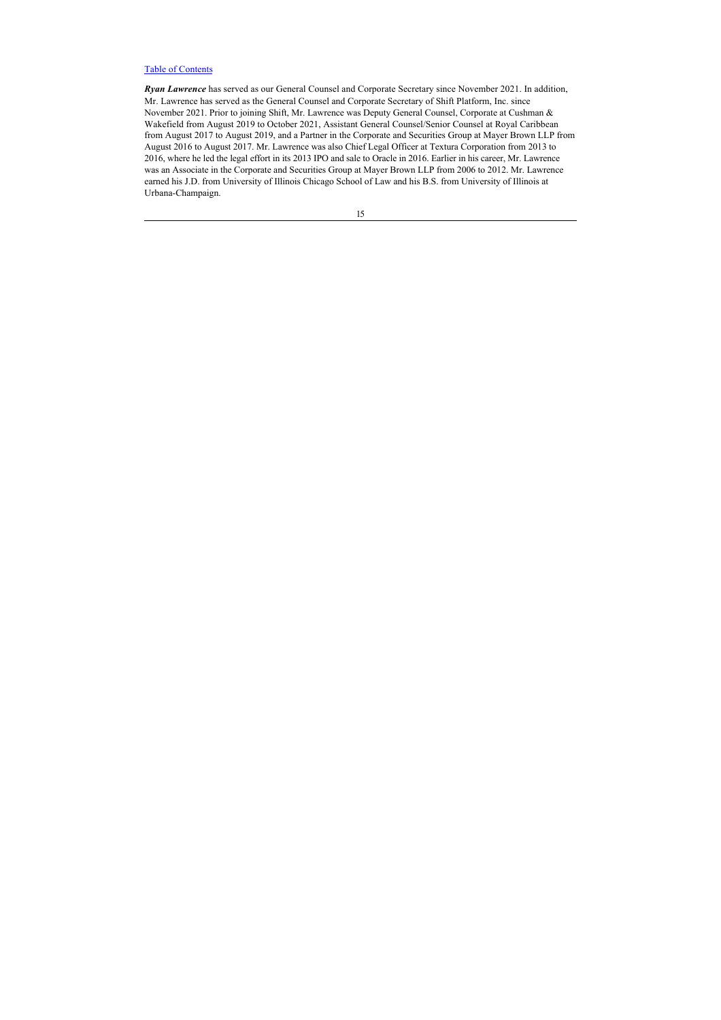*Ryan Lawrence* has served as our General Counsel and Corporate Secretary since November 2021. In addition, Mr. Lawrence has served as the General Counsel and Corporate Secretary of Shift Platform, Inc. since November 2021. Prior to joining Shift, Mr. Lawrence was Deputy General Counsel, Corporate at Cushman & Wakefield from August 2019 to October 2021, Assistant General Counsel/Senior Counsel at Royal Caribbean from August 2017 to August 2019, and a Partner in the Corporate and Securities Group at Mayer Brown LLP from August 2016 to August 2017. Mr. Lawrence was also Chief Legal Officer at Textura Corporation from 2013 to 2016, where he led the legal effort in its 2013 IPO and sale to Oracle in 2016. Earlier in his career, Mr. Lawrence was an Associate in the Corporate and Securities Group at Mayer Brown LLP from 2006 to 2012. Mr. Lawrence earned his J.D. from University of Illinois Chicago School of Law and his B.S. from University of Illinois at Urbana-Champaign.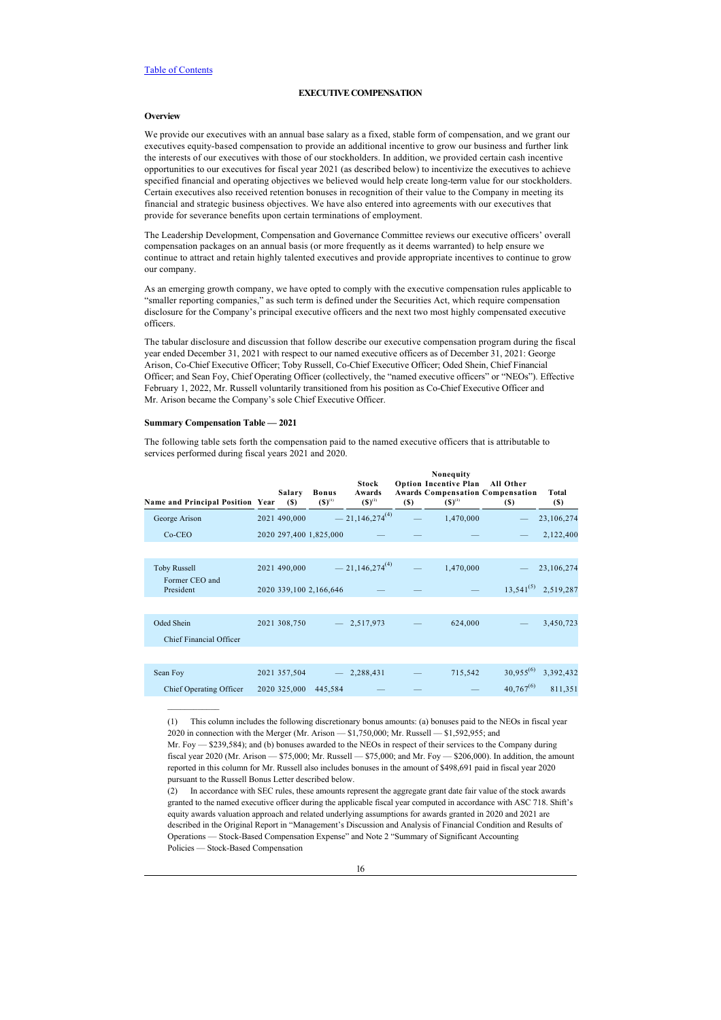## <span id="page-20-0"></span>**EXECUTIVE COMPENSATION**

## <span id="page-20-1"></span>**Overview**

We provide our executives with an annual base salary as a fixed, stable form of compensation, and we grant our executives equity-based compensation to provide an additional incentive to grow our business and further link the interests of our executives with those of our stockholders. In addition, we provided certain cash incentive opportunities to our executives for fiscal year 2021 (as described below) to incentivize the executives to achieve specified financial and operating objectives we believed would help create long-term value for our stockholders. Certain executives also received retention bonuses in recognition of their value to the Company in meeting its financial and strategic business objectives. We have also entered into agreements with our executives that provide for severance benefits upon certain terminations of employment.

The Leadership Development, Compensation and Governance Committee reviews our executive officers' overall compensation packages on an annual basis (or more frequently as it deems warranted) to help ensure we continue to attract and retain highly talented executives and provide appropriate incentives to continue to grow our company.

As an emerging growth company, we have opted to comply with the executive compensation rules applicable to "smaller reporting companies," as such term is defined under the Securities Act, which require compensation disclosure for the Company's principal executive officers and the next two most highly compensated executive officers.

The tabular disclosure and discussion that follow describe our executive compensation program during the fiscal year ended December 31, 2021 with respect to our named executive officers as of December 31, 2021: George Arison, Co-Chief Executive Officer; Toby Russell, Co-Chief Executive Officer; Oded Shein, Chief Financial Officer; and Sean Foy, Chief Operating Officer (collectively, the "named executive officers" or "NEOs"). Effective February 1, 2022, Mr. Russell voluntarily transitioned from his position as Co-Chief Executive Officer and Mr. Arison became the Company's sole Chief Executive Officer.

## <span id="page-20-2"></span>**Summary Compensation Table — 2021**

 $\frac{1}{2}$  ,  $\frac{1}{2}$  ,  $\frac{1}{2}$  ,  $\frac{1}{2}$  ,  $\frac{1}{2}$  ,  $\frac{1}{2}$ 

The following table sets forth the compensation paid to the named executive officers that is attributable to services performed during fiscal years 2021 and 2020.

| Name and Principal Position Year      | Salary<br>(S) | <b>Bonus</b><br>$(S)^{(1)}$ | Stock<br>Awards<br>$(S)^{(2)}$ | <b>(S)</b> | Nonequity<br><b>Option Incentive Plan</b><br><b>Awards Compensation Compensation</b><br>$(S)^{(3)}$ | All Other<br>(S) | Total<br>(S)             |
|---------------------------------------|---------------|-----------------------------|--------------------------------|------------|-----------------------------------------------------------------------------------------------------|------------------|--------------------------|
| George Arison                         | 2021 490,000  |                             | $-21,146,274^{(4)}$            |            | 1,470,000                                                                                           |                  | 23,106,274               |
| $Co-CEO$                              |               | 2020 297,400 1,825,000      |                                |            |                                                                                                     |                  | 2,122,400                |
|                                       |               |                             |                                |            |                                                                                                     |                  |                          |
| <b>Toby Russell</b>                   | 2021 490,000  |                             | $-21,146,274^{(4)}$            |            | 1,470,000                                                                                           |                  | 23,106,274               |
| Former CEO and<br>President           |               | 2020 339,100 2,166,646      |                                |            |                                                                                                     |                  | $13,541^{(5)}$ 2,519,287 |
| Oded Shein<br>Chief Financial Officer | 2021 308,750  |                             | $-2,517,973$                   |            | 624,000                                                                                             |                  | 3,450,723                |
|                                       |               |                             |                                |            |                                                                                                     |                  |                          |
| Sean Foy                              | 2021 357,504  |                             | 2,288,431                      |            | 715,542                                                                                             | $30,955^{(6)}$   | 3,392,432                |
| Chief Operating Officer               | 2020 325,000  | 445,584                     |                                |            |                                                                                                     | $40,767^{(6)}$   | 811.351                  |

<sup>(1)</sup> This column includes the following discretionary bonus amounts: (a) bonuses paid to the NEOs in fiscal year 2020 in connection with the Merger (Mr. Arison — \$1,750,000; Mr. Russell — \$1,592,955; and

Mr. Foy — \$239,584); and (b) bonuses awarded to the NEOs in respect of their services to the Company during fiscal year 2020 (Mr. Arison — \$75,000; Mr. Russell — \$75,000; and Mr. Foy — \$206,000). In addition, the amount reported in this column for Mr. Russell also includes bonuses in the amount of \$498,691 paid in fiscal year 2020 pursuant to the Russell Bonus Letter described below.

<sup>(2)</sup> In accordance with SEC rules, these amounts represent the aggregate grant date fair value of the stock awards granted to the named executive officer during the applicable fiscal year computed in accordance with ASC 718. Shift's equity awards valuation approach and related underlying assumptions for awards granted in 2020 and 2021 are described in the Original Report in "Management's Discussion and Analysis of Financial Condition and Results of Operations — Stock-Based Compensation Expense" and Note 2 "Summary of Significant Accounting Policies — Stock-Based Compensation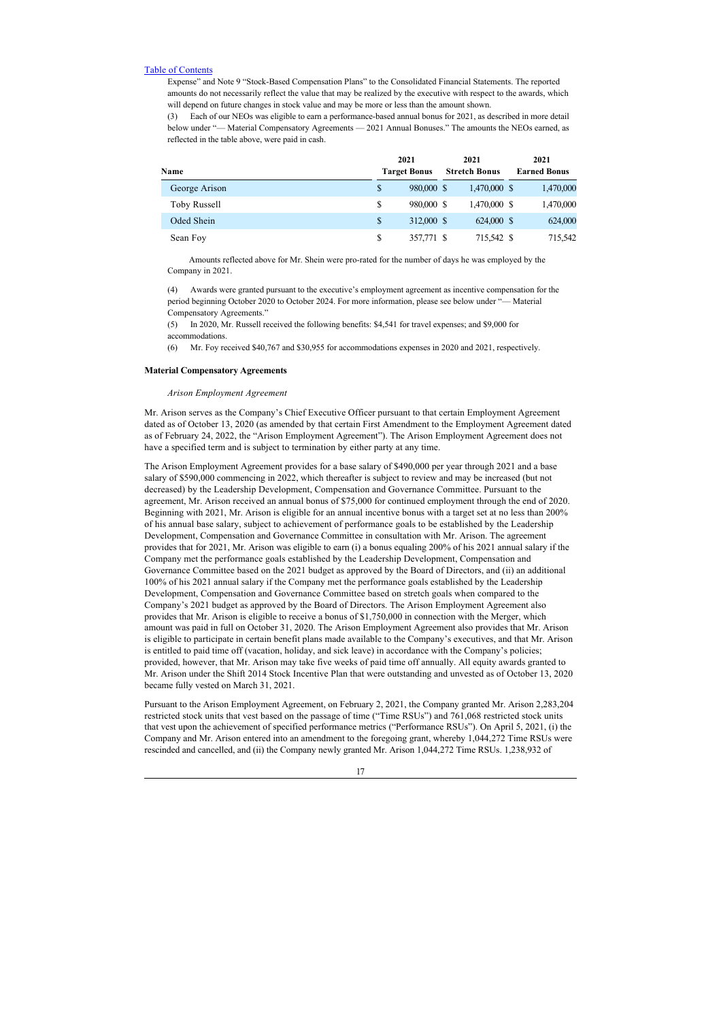Expense" and Note 9 "Stock-Based Compensation Plans" to the Consolidated Financial Statements. The reported amounts do not necessarily reflect the value that may be realized by the executive with respect to the awards, which will depend on future changes in stock value and may be more or less than the amount shown.

(3) Each of our NEOs was eligible to earn a performance-based annual bonus for 2021, as described in more detail below under "— Material Compensatory Agreements — 2021 Annual Bonuses." The amounts the NEOs earned, as reflected in the table above, were paid in cash.

| Name          | 2021<br><b>Target Bonus</b> | 2021<br><b>Stretch Bonus</b> | 2021<br><b>Earned Bonus</b> |
|---------------|-----------------------------|------------------------------|-----------------------------|
|               |                             |                              |                             |
| George Arison | 980,000 \$                  | 1,470,000 \$                 | 1,470,000                   |
| Toby Russell  | 980,000 \$                  | 1,470,000 \$                 | 1,470,000                   |
| Oded Shein    | 312,000 \$<br>\$            | 624,000 \$                   | 624,000                     |
| Sean Foy      | S<br>357,771 \$             | 715,542 \$                   | 715,542                     |

 Amounts reflected above for Mr. Shein were pro-rated for the number of days he was employed by the Company in 2021.

(4) Awards were granted pursuant to the executive's employment agreement as incentive compensation for the period beginning October 2020 to October 2024. For more information, please see below under "— Material Compensatory Agreements."

(5) In 2020, Mr. Russell received the following benefits: \$4,541 for travel expenses; and \$9,000 for accommodations.

(6) Mr. Foy received \$40,767 and \$30,955 for accommodations expenses in 2020 and 2021, respectively.

#### <span id="page-21-0"></span>**Material Compensatory Agreements**

## *Arison Employment Agreement*

Mr. Arison serves as the Company's Chief Executive Officer pursuant to that certain Employment Agreement dated as of October 13, 2020 (as amended by that certain First Amendment to the Employment Agreement dated as of February 24, 2022, the "Arison Employment Agreement"). The Arison Employment Agreement does not have a specified term and is subject to termination by either party at any time.

The Arison Employment Agreement provides for a base salary of \$490,000 per year through 2021 and a base salary of \$590,000 commencing in 2022, which thereafter is subject to review and may be increased (but not decreased) by the Leadership Development, Compensation and Governance Committee. Pursuant to the agreement, Mr. Arison received an annual bonus of \$75,000 for continued employment through the end of 2020. Beginning with 2021, Mr. Arison is eligible for an annual incentive bonus with a target set at no less than 200% of his annual base salary, subject to achievement of performance goals to be established by the Leadership Development, Compensation and Governance Committee in consultation with Mr. Arison. The agreement provides that for 2021, Mr. Arison was eligible to earn (i) a bonus equaling 200% of his 2021 annual salary if the Company met the performance goals established by the Leadership Development, Compensation and Governance Committee based on the 2021 budget as approved by the Board of Directors, and (ii) an additional 100% of his 2021 annual salary if the Company met the performance goals established by the Leadership Development, Compensation and Governance Committee based on stretch goals when compared to the Company's 2021 budget as approved by the Board of Directors. The Arison Employment Agreement also provides that Mr. Arison is eligible to receive a bonus of \$1,750,000 in connection with the Merger, which amount was paid in full on October 31, 2020. The Arison Employment Agreement also provides that Mr. Arison is eligible to participate in certain benefit plans made available to the Company's executives, and that Mr. Arison is entitled to paid time off (vacation, holiday, and sick leave) in accordance with the Company's policies; provided, however, that Mr. Arison may take five weeks of paid time off annually. All equity awards granted to Mr. Arison under the Shift 2014 Stock Incentive Plan that were outstanding and unvested as of October 13, 2020 became fully vested on March 31, 2021.

Pursuant to the Arison Employment Agreement, on February 2, 2021, the Company granted Mr. Arison 2,283,204 restricted stock units that vest based on the passage of time ("Time RSUs") and 761,068 restricted stock units that vest upon the achievement of specified performance metrics ("Performance RSUs"). On April 5, 2021, (i) the Company and Mr. Arison entered into an amendment to the foregoing grant, whereby 1,044,272 Time RSUs were rescinded and cancelled, and (ii) the Company newly granted Mr. Arison 1,044,272 Time RSUs. 1,238,932 of

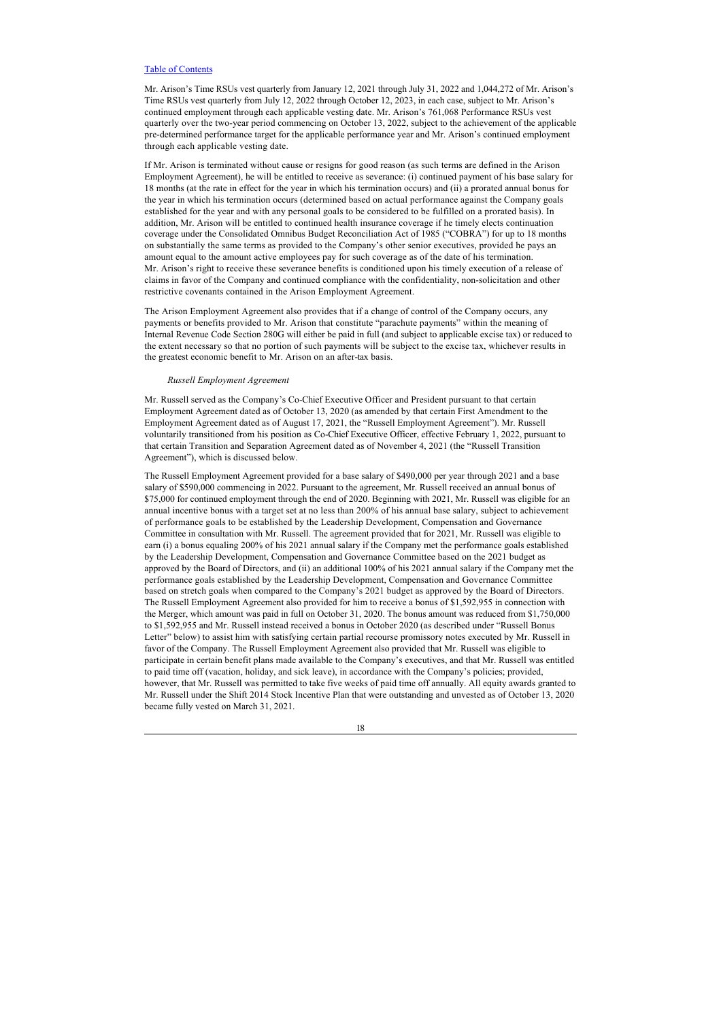Mr. Arison's Time RSUs vest quarterly from January 12, 2021 through July 31, 2022 and 1,044,272 of Mr. Arison's Time RSUs vest quarterly from July 12, 2022 through October 12, 2023, in each case, subject to Mr. Arison's continued employment through each applicable vesting date. Mr. Arison's 761,068 Performance RSUs vest quarterly over the two-year period commencing on October 13, 2022, subject to the achievement of the applicable pre-determined performance target for the applicable performance year and Mr. Arison's continued employment through each applicable vesting date.

If Mr. Arison is terminated without cause or resigns for good reason (as such terms are defined in the Arison Employment Agreement), he will be entitled to receive as severance: (i) continued payment of his base salary for 18 months (at the rate in effect for the year in which his termination occurs) and (ii) a prorated annual bonus for the year in which his termination occurs (determined based on actual performance against the Company goals established for the year and with any personal goals to be considered to be fulfilled on a prorated basis). In addition, Mr. Arison will be entitled to continued health insurance coverage if he timely elects continuation coverage under the Consolidated Omnibus Budget Reconciliation Act of 1985 ("COBRA") for up to 18 months on substantially the same terms as provided to the Company's other senior executives, provided he pays an amount equal to the amount active employees pay for such coverage as of the date of his termination. Mr. Arison's right to receive these severance benefits is conditioned upon his timely execution of a release of claims in favor of the Company and continued compliance with the confidentiality, non-solicitation and other restrictive covenants contained in the Arison Employment Agreement.

The Arison Employment Agreement also provides that if a change of control of the Company occurs, any payments or benefits provided to Mr. Arison that constitute "parachute payments" within the meaning of Internal Revenue Code Section 280G will either be paid in full (and subject to applicable excise tax) or reduced to the extent necessary so that no portion of such payments will be subject to the excise tax, whichever results in the greatest economic benefit to Mr. Arison on an after-tax basis.

## *Russell Employment Agreement*

Mr. Russell served as the Company's Co-Chief Executive Officer and President pursuant to that certain Employment Agreement dated as of October 13, 2020 (as amended by that certain First Amendment to the Employment Agreement dated as of August 17, 2021, the "Russell Employment Agreement"). Mr. Russell voluntarily transitioned from his position as Co-Chief Executive Officer, effective February 1, 2022, pursuant to that certain Transition and Separation Agreement dated as of November 4, 2021 (the "Russell Transition Agreement"), which is discussed below.

The Russell Employment Agreement provided for a base salary of \$490,000 per year through 2021 and a base salary of \$590,000 commencing in 2022. Pursuant to the agreement, Mr. Russell received an annual bonus of \$75,000 for continued employment through the end of 2020. Beginning with 2021, Mr. Russell was eligible for an annual incentive bonus with a target set at no less than 200% of his annual base salary, subject to achievement of performance goals to be established by the Leadership Development, Compensation and Governance Committee in consultation with Mr. Russell. The agreement provided that for 2021, Mr. Russell was eligible to earn (i) a bonus equaling 200% of his 2021 annual salary if the Company met the performance goals established by the Leadership Development, Compensation and Governance Committee based on the 2021 budget as approved by the Board of Directors, and (ii) an additional 100% of his 2021 annual salary if the Company met the performance goals established by the Leadership Development, Compensation and Governance Committee based on stretch goals when compared to the Company's 2021 budget as approved by the Board of Directors. The Russell Employment Agreement also provided for him to receive a bonus of \$1,592,955 in connection with the Merger, which amount was paid in full on October 31, 2020. The bonus amount was reduced from \$1,750,000 to \$1,592,955 and Mr. Russell instead received a bonus in October 2020 (as described under "Russell Bonus Letter" below) to assist him with satisfying certain partial recourse promissory notes executed by Mr. Russell in favor of the Company. The Russell Employment Agreement also provided that Mr. Russell was eligible to participate in certain benefit plans made available to the Company's executives, and that Mr. Russell was entitled to paid time off (vacation, holiday, and sick leave), in accordance with the Company's policies; provided, however, that Mr. Russell was permitted to take five weeks of paid time off annually. All equity awards granted to Mr. Russell under the Shift 2014 Stock Incentive Plan that were outstanding and unvested as of October 13, 2020 became fully vested on March 31, 2021.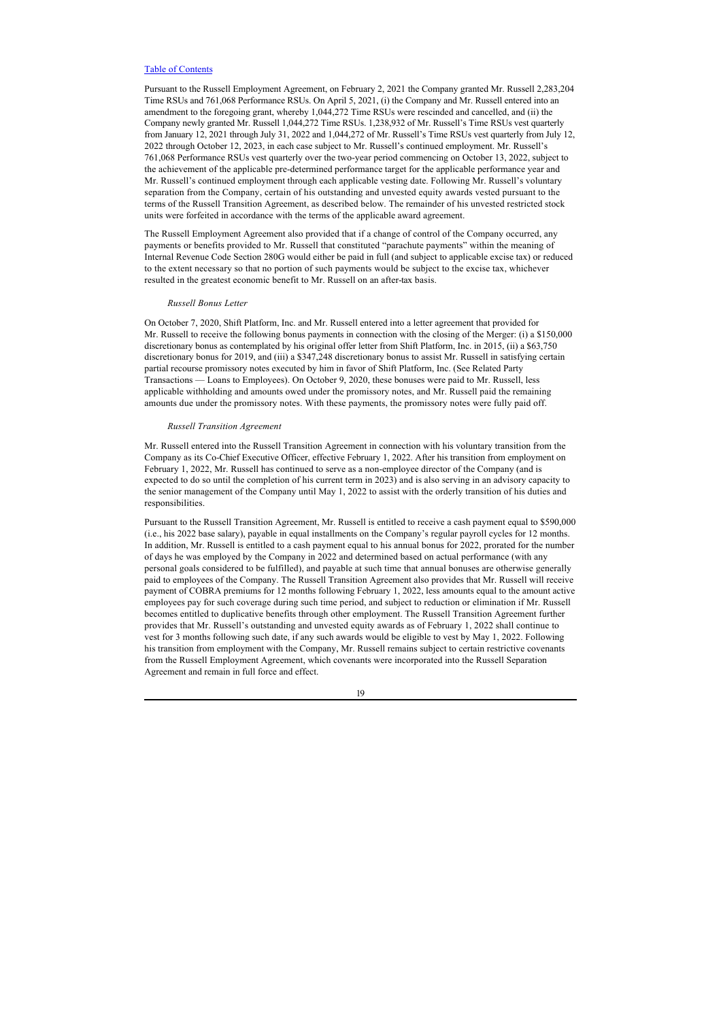Pursuant to the Russell Employment Agreement, on February 2, 2021 the Company granted Mr. Russell 2,283,204 Time RSUs and 761,068 Performance RSUs. On April 5, 2021, (i) the Company and Mr. Russell entered into an amendment to the foregoing grant, whereby 1,044,272 Time RSUs were rescinded and cancelled, and (ii) the Company newly granted Mr. Russell 1,044,272 Time RSUs. 1,238,932 of Mr. Russell's Time RSUs vest quarterly from January 12, 2021 through July 31, 2022 and 1,044,272 of Mr. Russell's Time RSUs vest quarterly from July 12, 2022 through October 12, 2023, in each case subject to Mr. Russell's continued employment. Mr. Russell's 761,068 Performance RSUs vest quarterly over the two-year period commencing on October 13, 2022, subject to the achievement of the applicable pre-determined performance target for the applicable performance year and Mr. Russell's continued employment through each applicable vesting date. Following Mr. Russell's voluntary separation from the Company, certain of his outstanding and unvested equity awards vested pursuant to the terms of the Russell Transition Agreement, as described below. The remainder of his unvested restricted stock units were forfeited in accordance with the terms of the applicable award agreement.

The Russell Employment Agreement also provided that if a change of control of the Company occurred, any payments or benefits provided to Mr. Russell that constituted "parachute payments" within the meaning of Internal Revenue Code Section 280G would either be paid in full (and subject to applicable excise tax) or reduced to the extent necessary so that no portion of such payments would be subject to the excise tax, whichever resulted in the greatest economic benefit to Mr. Russell on an after-tax basis.

## *Russell Bonus Letter*

On October 7, 2020, Shift Platform, Inc. and Mr. Russell entered into a letter agreement that provided for Mr. Russell to receive the following bonus payments in connection with the closing of the Merger: (i) a \$150,000 discretionary bonus as contemplated by his original offer letter from Shift Platform, Inc. in 2015, (ii) a \$63,750 discretionary bonus for 2019, and (iii) a \$347,248 discretionary bonus to assist Mr. Russell in satisfying certain partial recourse promissory notes executed by him in favor of Shift Platform, Inc. (See Related Party Transactions — Loans to Employees). On October 9, 2020, these bonuses were paid to Mr. Russell, less applicable withholding and amounts owed under the promissory notes, and Mr. Russell paid the remaining amounts due under the promissory notes. With these payments, the promissory notes were fully paid off.

#### *Russell Transition Agreement*

Mr. Russell entered into the Russell Transition Agreement in connection with his voluntary transition from the Company as its Co-Chief Executive Officer, effective February 1, 2022. After his transition from employment on February 1, 2022, Mr. Russell has continued to serve as a non-employee director of the Company (and is expected to do so until the completion of his current term in 2023) and is also serving in an advisory capacity to the senior management of the Company until May 1, 2022 to assist with the orderly transition of his duties and responsibilities.

Pursuant to the Russell Transition Agreement, Mr. Russell is entitled to receive a cash payment equal to \$590,000 (i.e., his 2022 base salary), payable in equal installments on the Company's regular payroll cycles for 12 months. In addition, Mr. Russell is entitled to a cash payment equal to his annual bonus for 2022, prorated for the number of days he was employed by the Company in 2022 and determined based on actual performance (with any personal goals considered to be fulfilled), and payable at such time that annual bonuses are otherwise generally paid to employees of the Company. The Russell Transition Agreement also provides that Mr. Russell will receive payment of COBRA premiums for 12 months following February 1, 2022, less amounts equal to the amount active employees pay for such coverage during such time period, and subject to reduction or elimination if Mr. Russell becomes entitled to duplicative benefits through other employment. The Russell Transition Agreement further provides that Mr. Russell's outstanding and unvested equity awards as of February 1, 2022 shall continue to vest for 3 months following such date, if any such awards would be eligible to vest by May 1, 2022. Following his transition from employment with the Company, Mr. Russell remains subject to certain restrictive covenants from the Russell Employment Agreement, which covenants were incorporated into the Russell Separation Agreement and remain in full force and effect.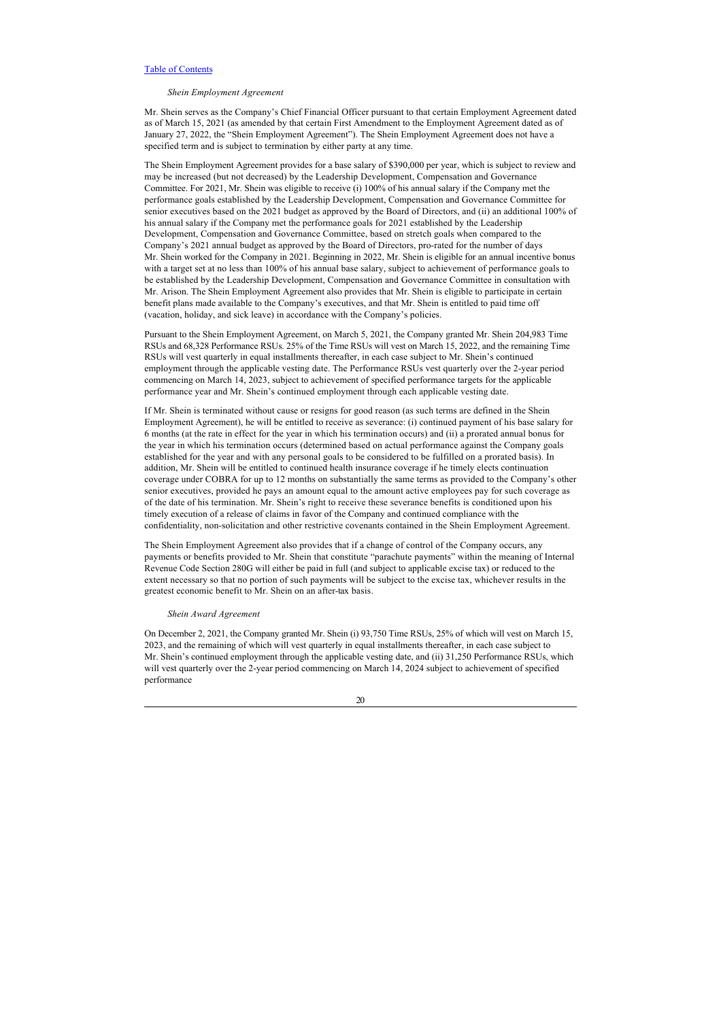## *Shein Employment Agreement*

Mr. Shein serves as the Company's Chief Financial Officer pursuant to that certain Employment Agreement dated as of March 15, 2021 (as amended by that certain First Amendment to the Employment Agreement dated as of January 27, 2022, the "Shein Employment Agreement"). The Shein Employment Agreement does not have a specified term and is subject to termination by either party at any time.

The Shein Employment Agreement provides for a base salary of \$390,000 per year, which is subject to review and may be increased (but not decreased) by the Leadership Development, Compensation and Governance Committee. For 2021, Mr. Shein was eligible to receive (i) 100% of his annual salary if the Company met the performance goals established by the Leadership Development, Compensation and Governance Committee for senior executives based on the 2021 budget as approved by the Board of Directors, and (ii) an additional 100% of his annual salary if the Company met the performance goals for 2021 established by the Leadership Development, Compensation and Governance Committee, based on stretch goals when compared to the Company's 2021 annual budget as approved by the Board of Directors, pro-rated for the number of days Mr. Shein worked for the Company in 2021. Beginning in 2022, Mr. Shein is eligible for an annual incentive bonus with a target set at no less than 100% of his annual base salary, subject to achievement of performance goals to be established by the Leadership Development, Compensation and Governance Committee in consultation with Mr. Arison. The Shein Employment Agreement also provides that Mr. Shein is eligible to participate in certain benefit plans made available to the Company's executives, and that Mr. Shein is entitled to paid time off (vacation, holiday, and sick leave) in accordance with the Company's policies.

Pursuant to the Shein Employment Agreement, on March 5, 2021, the Company granted Mr. Shein 204,983 Time RSUs and 68,328 Performance RSUs. 25% of the Time RSUs will vest on March 15, 2022, and the remaining Time RSUs will vest quarterly in equal installments thereafter, in each case subject to Mr. Shein's continued employment through the applicable vesting date. The Performance RSUs vest quarterly over the 2-year period commencing on March 14, 2023, subject to achievement of specified performance targets for the applicable performance year and Mr. Shein's continued employment through each applicable vesting date.

If Mr. Shein is terminated without cause or resigns for good reason (as such terms are defined in the Shein Employment Agreement), he will be entitled to receive as severance: (i) continued payment of his base salary for 6 months (at the rate in effect for the year in which his termination occurs) and (ii) a prorated annual bonus for the year in which his termination occurs (determined based on actual performance against the Company goals established for the year and with any personal goals to be considered to be fulfilled on a prorated basis). In addition, Mr. Shein will be entitled to continued health insurance coverage if he timely elects continuation coverage under COBRA for up to 12 months on substantially the same terms as provided to the Company's other senior executives, provided he pays an amount equal to the amount active employees pay for such coverage as of the date of his termination. Mr. Shein's right to receive these severance benefits is conditioned upon his timely execution of a release of claims in favor of the Company and continued compliance with the confidentiality, non-solicitation and other restrictive covenants contained in the Shein Employment Agreement.

The Shein Employment Agreement also provides that if a change of control of the Company occurs, any payments or benefits provided to Mr. Shein that constitute "parachute payments" within the meaning of Internal Revenue Code Section 280G will either be paid in full (and subject to applicable excise tax) or reduced to the extent necessary so that no portion of such payments will be subject to the excise tax, whichever results in the greatest economic benefit to Mr. Shein on an after-tax basis.

## *Shein Award Agreement*

On December 2, 2021, the Company granted Mr. Shein (i) 93,750 Time RSUs, 25% of which will vest on March 15, 2023, and the remaining of which will vest quarterly in equal installments thereafter, in each case subject to Mr. Shein's continued employment through the applicable vesting date, and (ii) 31,250 Performance RSUs, which will vest quarterly over the 2-year period commencing on March 14, 2024 subject to achievement of specified performance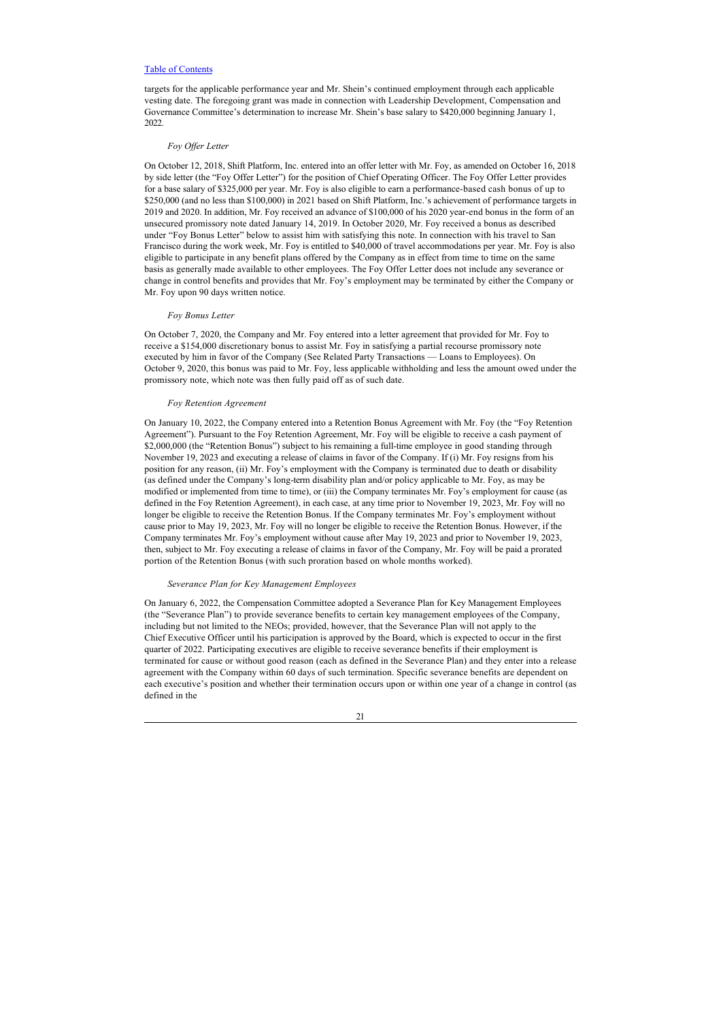targets for the applicable performance year and Mr. Shein's continued employment through each applicable vesting date. The foregoing grant was made in connection with Leadership Development, Compensation and Governance Committee's determination to increase Mr. Shein's base salary to \$420,000 beginning January 1, 2022.

## *Foy Offer Letter*

On October 12, 2018, Shift Platform, Inc. entered into an offer letter with Mr. Foy, as amended on October 16, 2018 by side letter (the "Foy Offer Letter") for the position of Chief Operating Officer. The Foy Offer Letter provides for a base salary of \$325,000 per year. Mr. Foy is also eligible to earn a performance-based cash bonus of up to \$250,000 (and no less than \$100,000) in 2021 based on Shift Platform, Inc.'s achievement of performance targets in 2019 and 2020. In addition, Mr. Foy received an advance of \$100,000 of his 2020 year-end bonus in the form of an unsecured promissory note dated January 14, 2019. In October 2020, Mr. Foy received a bonus as described under "Foy Bonus Letter" below to assist him with satisfying this note. In connection with his travel to San Francisco during the work week, Mr. Foy is entitled to \$40,000 of travel accommodations per year. Mr. Foy is also eligible to participate in any benefit plans offered by the Company as in effect from time to time on the same basis as generally made available to other employees. The Foy Offer Letter does not include any severance or change in control benefits and provides that Mr. Foy's employment may be terminated by either the Company or Mr. Foy upon 90 days written notice.

#### *Foy Bonus Letter*

On October 7, 2020, the Company and Mr. Foy entered into a letter agreement that provided for Mr. Foy to receive a \$154,000 discretionary bonus to assist Mr. Foy in satisfying a partial recourse promissory note executed by him in favor of the Company (See Related Party Transactions — Loans to Employees). On October 9, 2020, this bonus was paid to Mr. Foy, less applicable withholding and less the amount owed under the promissory note, which note was then fully paid off as of such date.

## *Foy Retention Agreement*

On January 10, 2022, the Company entered into a Retention Bonus Agreement with Mr. Foy (the "Foy Retention Agreement"). Pursuant to the Foy Retention Agreement, Mr. Foy will be eligible to receive a cash payment of \$2,000,000 (the "Retention Bonus") subject to his remaining a full-time employee in good standing through November 19, 2023 and executing a release of claims in favor of the Company. If (i) Mr. Foy resigns from his position for any reason, (ii) Mr. Foy's employment with the Company is terminated due to death or disability (as defined under the Company's long-term disability plan and/or policy applicable to Mr. Foy, as may be modified or implemented from time to time), or (iii) the Company terminates Mr. Foy's employment for cause (as defined in the Foy Retention Agreement), in each case, at any time prior to November 19, 2023, Mr. Foy will no longer be eligible to receive the Retention Bonus. If the Company terminates Mr. Foy's employment without cause prior to May 19, 2023, Mr. Foy will no longer be eligible to receive the Retention Bonus. However, if the Company terminates Mr. Foy's employment without cause after May 19, 2023 and prior to November 19, 2023, then, subject to Mr. Foy executing a release of claims in favor of the Company, Mr. Foy will be paid a prorated portion of the Retention Bonus (with such proration based on whole months worked).

#### *Severance Plan for Key Management Employees*

On January 6, 2022, the Compensation Committee adopted a Severance Plan for Key Management Employees (the "Severance Plan") to provide severance benefits to certain key management employees of the Company, including but not limited to the NEOs; provided, however, that the Severance Plan will not apply to the Chief Executive Officer until his participation is approved by the Board, which is expected to occur in the first quarter of 2022. Participating executives are eligible to receive severance benefits if their employment is terminated for cause or without good reason (each as defined in the Severance Plan) and they enter into a release agreement with the Company within 60 days of such termination. Specific severance benefits are dependent on each executive's position and whether their termination occurs upon or within one year of a change in control (as defined in the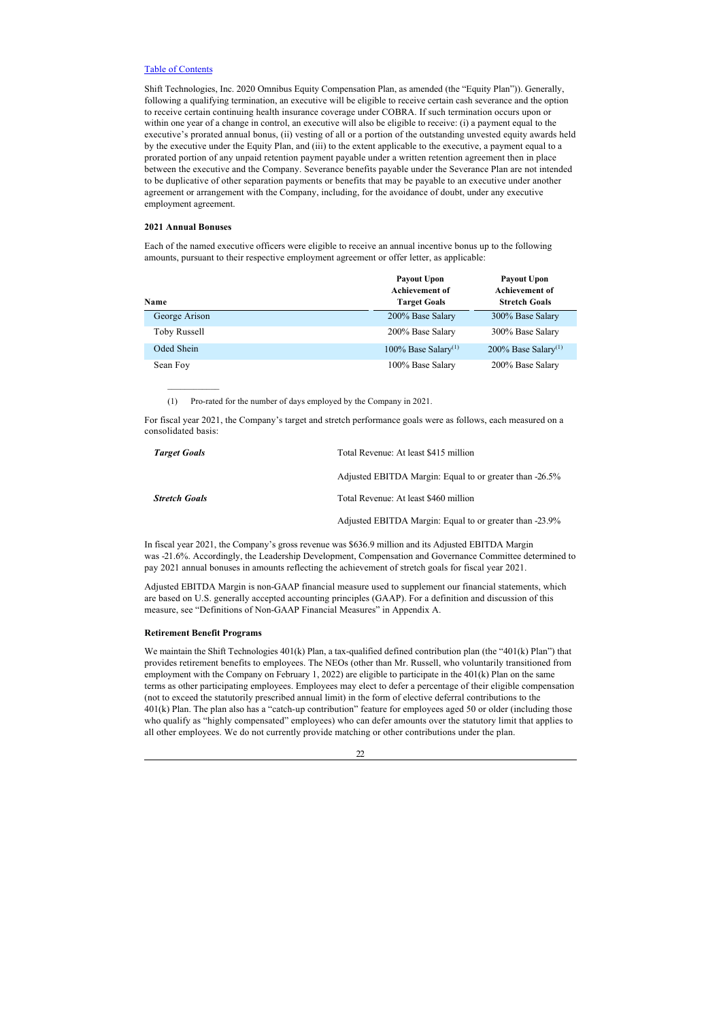Shift Technologies, Inc. 2020 Omnibus Equity Compensation Plan, as amended (the "Equity Plan")). Generally, following a qualifying termination, an executive will be eligible to receive certain cash severance and the option to receive certain continuing health insurance coverage under COBRA. If such termination occurs upon or within one year of a change in control, an executive will also be eligible to receive: (i) a payment equal to the executive's prorated annual bonus, (ii) vesting of all or a portion of the outstanding unvested equity awards held by the executive under the Equity Plan, and (iii) to the extent applicable to the executive, a payment equal to a prorated portion of any unpaid retention payment payable under a written retention agreement then in place between the executive and the Company. Severance benefits payable under the Severance Plan are not intended to be duplicative of other separation payments or benefits that may be payable to an executive under another agreement or arrangement with the Company, including, for the avoidance of doubt, under any executive employment agreement.

#### **2021 Annual Bonuses**

 $\frac{1}{2}$  ,  $\frac{1}{2}$  ,  $\frac{1}{2}$  ,  $\frac{1}{2}$  ,  $\frac{1}{2}$  ,  $\frac{1}{2}$ 

Each of the named executive officers were eligible to receive an annual incentive bonus up to the following amounts, pursuant to their respective employment agreement or offer letter, as applicable:

| Name          | <b>Payout Upon</b><br><b>Achievement of</b><br><b>Target Goals</b> | <b>Payout Upon</b><br><b>Achievement of</b><br><b>Stretch Goals</b> |  |  |
|---------------|--------------------------------------------------------------------|---------------------------------------------------------------------|--|--|
| George Arison | 200% Base Salary                                                   | 300% Base Salary                                                    |  |  |
| Toby Russell  | 200% Base Salary                                                   | 300% Base Salary                                                    |  |  |
| Oded Shein    | 100% Base Salary <sup>(1)</sup>                                    | 200% Base Salary <sup>(1)</sup>                                     |  |  |
| Sean Foy      | 100% Base Salary                                                   | 200% Base Salary                                                    |  |  |

(1) Pro-rated for the number of days employed by the Company in 2021.

For fiscal year 2021, the Company's target and stretch performance goals were as follows, each measured on a consolidated basis:

| <b>Target Goals</b>  | Total Revenue: At least \$415 million                   |
|----------------------|---------------------------------------------------------|
|                      | Adjusted EBITDA Margin: Equal to or greater than -26.5% |
| <b>Stretch Goals</b> | Total Revenue: At least \$460 million                   |
|                      | Adjusted EBITDA Margin: Equal to or greater than -23.9% |

In fiscal year 2021, the Company's gross revenue was \$636.9 million and its Adjusted EBITDA Margin was -21.6%. Accordingly, the Leadership Development, Compensation and Governance Committee determined to pay 2021 annual bonuses in amounts reflecting the achievement of stretch goals for fiscal year 2021.

Adjusted EBITDA Margin is non-GAAP financial measure used to supplement our financial statements, which are based on U.S. generally accepted accounting principles (GAAP). For a definition and discussion of this measure, see "Definitions of Non-GAAP Financial Measures" in Appendix A.

## <span id="page-26-0"></span>**Retirement Benefit Programs**

We maintain the Shift Technologies 401(k) Plan, a tax-qualified defined contribution plan (the "401(k) Plan") that provides retirement benefits to employees. The NEOs (other than Mr. Russell, who voluntarily transitioned from employment with the Company on February 1, 2022) are eligible to participate in the 401(k) Plan on the same terms as other participating employees. Employees may elect to defer a percentage of their eligible compensation (not to exceed the statutorily prescribed annual limit) in the form of elective deferral contributions to the 401(k) Plan. The plan also has a "catch-up contribution" feature for employees aged 50 or older (including those who qualify as "highly compensated" employees) who can defer amounts over the statutory limit that applies to all other employees. We do not currently provide matching or other contributions under the plan.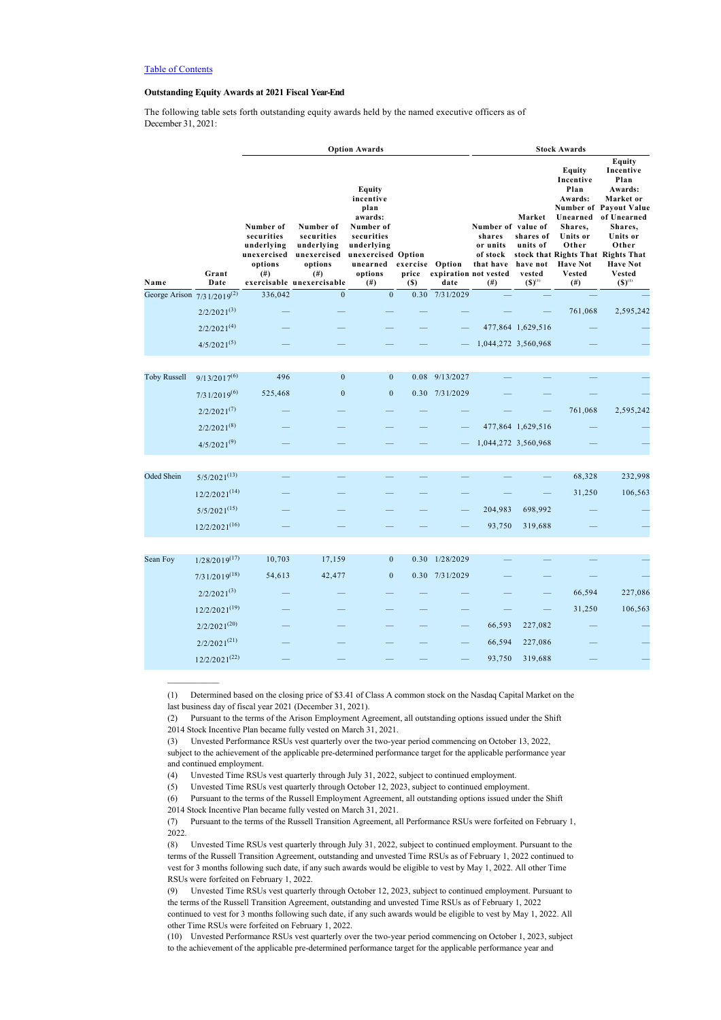$\frac{1}{2}$  ,  $\frac{1}{2}$  ,  $\frac{1}{2}$  ,  $\frac{1}{2}$  ,  $\frac{1}{2}$  ,  $\frac{1}{2}$ 

## <span id="page-27-0"></span>**Outstanding Equity Awards at 2021 Fiscal Year-End**

The following table sets forth outstanding equity awards held by the named executive officers as of December 31, 2021:

|                                 |                    | <b>Option Awards</b>                                                   |                                                                                                          |                                                                                                                                                      |              |                               | <b>Stock Awards</b>                                                      |                                                                      |                                                                                                                                |                                                                                                                                                                                                                              |  |
|---------------------------------|--------------------|------------------------------------------------------------------------|----------------------------------------------------------------------------------------------------------|------------------------------------------------------------------------------------------------------------------------------------------------------|--------------|-------------------------------|--------------------------------------------------------------------------|----------------------------------------------------------------------|--------------------------------------------------------------------------------------------------------------------------------|------------------------------------------------------------------------------------------------------------------------------------------------------------------------------------------------------------------------------|--|
| Name                            | Grant<br>Date      | Number of<br>securities<br>underlying<br>unexercised<br>options<br>(#) | Number of<br>securities<br>underlying<br>unexercised<br>options<br>$^{(#)}$<br>exercisable unexercisable | Equity<br>incentive<br>plan<br>awards:<br>Number of<br>securities<br>underlying<br>unexercised Option<br>unearned exercise Option<br>options<br>(# ) | price<br>(S) | expiration not vested<br>date | Number of value of<br>shares<br>or units<br>of stock<br>that have<br>(#) | Market<br>shares of<br>units of<br>have not<br>vested<br>$(S)^{(1)}$ | Equity<br>Incentive<br>Plan<br>Awards:<br>Unearned<br>Shares,<br>Units or<br>Other<br><b>Have Not</b><br><b>Vested</b><br>(# ) | Equity<br>Incentive<br>Plan<br>Awards:<br>Market or<br><b>Number of Payout Value</b><br>of Unearned<br>Shares,<br>Units or<br>Other<br>stock that Rights That Rights That<br><b>Have Not</b><br><b>Vested</b><br>$(S)^{(1)}$ |  |
| George Arison $7/31/2019^{(2)}$ |                    | 336,042                                                                | $\Omega$                                                                                                 | $\mathbf{0}$                                                                                                                                         |              | 0.30 7/31/2029                |                                                                          |                                                                      |                                                                                                                                |                                                                                                                                                                                                                              |  |
|                                 | $2/2/2021^{(3)}$   |                                                                        |                                                                                                          |                                                                                                                                                      |              |                               |                                                                          |                                                                      | 761,068                                                                                                                        | 2,595,242                                                                                                                                                                                                                    |  |
|                                 | $2/2/2021^{(4)}$   |                                                                        |                                                                                                          |                                                                                                                                                      |              |                               |                                                                          | 477,864 1,629,516                                                    |                                                                                                                                |                                                                                                                                                                                                                              |  |
|                                 | $4/5/2021^{(5)}$   |                                                                        |                                                                                                          |                                                                                                                                                      |              |                               |                                                                          | 1,044,272 3,560,968                                                  |                                                                                                                                |                                                                                                                                                                                                                              |  |
|                                 |                    |                                                                        |                                                                                                          |                                                                                                                                                      |              |                               |                                                                          |                                                                      |                                                                                                                                |                                                                                                                                                                                                                              |  |
| <b>Toby Russell</b>             | $9/13/2017^{(6)}$  | 496                                                                    | $\mathbf{0}$                                                                                             | $\overline{0}$                                                                                                                                       | 0.08         | 9/13/2027                     |                                                                          |                                                                      |                                                                                                                                |                                                                                                                                                                                                                              |  |
|                                 | $7/31/2019^{(6)}$  | 525,468                                                                | $\mathbf{0}$                                                                                             | $\boldsymbol{0}$                                                                                                                                     |              | 0.30 7/31/2029                |                                                                          |                                                                      |                                                                                                                                |                                                                                                                                                                                                                              |  |
|                                 | $2/2/2021^{(7)}$   |                                                                        |                                                                                                          |                                                                                                                                                      |              |                               |                                                                          |                                                                      | 761,068                                                                                                                        | 2,595,242                                                                                                                                                                                                                    |  |
|                                 | $2/2/2021^{(8)}$   |                                                                        |                                                                                                          |                                                                                                                                                      |              |                               |                                                                          | 477,864 1,629,516                                                    |                                                                                                                                |                                                                                                                                                                                                                              |  |
|                                 | $4/5/2021^{(9)}$   |                                                                        |                                                                                                          |                                                                                                                                                      |              |                               |                                                                          | 1,044,272 3,560,968                                                  |                                                                                                                                |                                                                                                                                                                                                                              |  |
|                                 |                    |                                                                        |                                                                                                          |                                                                                                                                                      |              |                               |                                                                          |                                                                      |                                                                                                                                |                                                                                                                                                                                                                              |  |
| Oded Shein                      | $5/5/2021^{(13)}$  |                                                                        |                                                                                                          |                                                                                                                                                      |              |                               |                                                                          |                                                                      | 68,328                                                                                                                         | 232,998                                                                                                                                                                                                                      |  |
|                                 | $12/2/2021^{(14)}$ |                                                                        |                                                                                                          |                                                                                                                                                      |              |                               |                                                                          |                                                                      | 31,250                                                                                                                         | 106,563                                                                                                                                                                                                                      |  |
|                                 | $5/5/2021^{(15)}$  |                                                                        |                                                                                                          |                                                                                                                                                      |              |                               | 204,983                                                                  | 698,992                                                              |                                                                                                                                |                                                                                                                                                                                                                              |  |
|                                 | $12/2/2021^{(16)}$ |                                                                        |                                                                                                          |                                                                                                                                                      |              |                               | 93,750                                                                   | 319,688                                                              |                                                                                                                                |                                                                                                                                                                                                                              |  |
|                                 |                    |                                                                        |                                                                                                          |                                                                                                                                                      |              |                               |                                                                          |                                                                      |                                                                                                                                |                                                                                                                                                                                                                              |  |
| Sean Foy                        | $1/28/2019^{(17)}$ | 10,703                                                                 | 17,159                                                                                                   | $\overline{0}$                                                                                                                                       | 0.30         | 1/28/2029                     |                                                                          |                                                                      |                                                                                                                                |                                                                                                                                                                                                                              |  |
|                                 | $7/31/2019^{(18)}$ | 54,613                                                                 | 42,477                                                                                                   | $\boldsymbol{0}$                                                                                                                                     |              | 0.30 7/31/2029                |                                                                          |                                                                      |                                                                                                                                |                                                                                                                                                                                                                              |  |
|                                 | $2/2/2021^{(3)}$   |                                                                        |                                                                                                          |                                                                                                                                                      |              |                               |                                                                          |                                                                      | 66,594                                                                                                                         | 227,086                                                                                                                                                                                                                      |  |
|                                 | $12/2/2021^{(19)}$ |                                                                        |                                                                                                          |                                                                                                                                                      |              |                               |                                                                          |                                                                      | 31,250                                                                                                                         | 106,563                                                                                                                                                                                                                      |  |
|                                 | $2/2/2021^{(20)}$  |                                                                        |                                                                                                          |                                                                                                                                                      |              |                               | 66,593                                                                   | 227,082                                                              |                                                                                                                                |                                                                                                                                                                                                                              |  |
|                                 | $2/2/2021^{(21)}$  |                                                                        |                                                                                                          |                                                                                                                                                      |              |                               | 66,594                                                                   | 227,086                                                              |                                                                                                                                |                                                                                                                                                                                                                              |  |
|                                 | $12/2/2021^{(22)}$ |                                                                        |                                                                                                          |                                                                                                                                                      |              |                               | 93,750                                                                   | 319,688                                                              |                                                                                                                                |                                                                                                                                                                                                                              |  |

<sup>(1)</sup> Determined based on the closing price of \$3.41 of Class A common stock on the Nasdaq Capital Market on the last business day of fiscal year 2021 (December 31, 2021).

<sup>(2)</sup> Pursuant to the terms of the Arison Employment Agreement, all outstanding options issued under the Shift 2014 Stock Incentive Plan became fully vested on March 31, 2021.

<sup>(3)</sup> Unvested Performance RSUs vest quarterly over the two-year period commencing on October 13, 2022,

subject to the achievement of the applicable pre-determined performance target for the applicable performance year and continued employment.

<sup>(4)</sup> Unvested Time RSUs vest quarterly through July 31, 2022, subject to continued employment.

<sup>(5)</sup> Unvested Time RSUs vest quarterly through October 12, 2023, subject to continued employment.

<sup>(6)</sup> Pursuant to the terms of the Russell Employment Agreement, all outstanding options issued under the Shift 2014 Stock Incentive Plan became fully vested on March 31, 2021.

<sup>(7)</sup> Pursuant to the terms of the Russell Transition Agreement, all Performance RSUs were forfeited on February 1, 2022.

<sup>(8)</sup> Unvested Time RSUs vest quarterly through July 31, 2022, subject to continued employment. Pursuant to the terms of the Russell Transition Agreement, outstanding and unvested Time RSUs as of February 1, 2022 continued to vest for 3 months following such date, if any such awards would be eligible to vest by May 1, 2022. All other Time RSUs were forfeited on February 1, 2022.

<sup>(9)</sup> Unvested Time RSUs vest quarterly through October 12, 2023, subject to continued employment. Pursuant to the terms of the Russell Transition Agreement, outstanding and unvested Time RSUs as of February 1, 2022 continued to vest for 3 months following such date, if any such awards would be eligible to vest by May 1, 2022. All

other Time RSUs were forfeited on February 1, 2022. (10) Unvested Performance RSUs vest quarterly over the two-year period commencing on October 1, 2023, subject to the achievement of the applicable pre-determined performance target for the applicable performance year and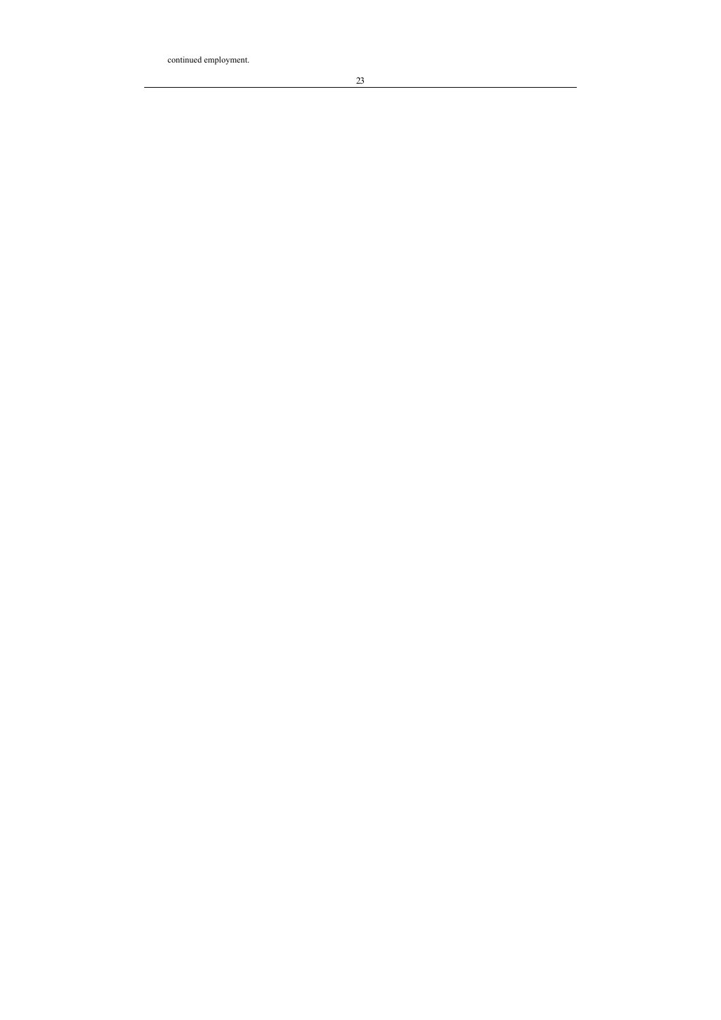continued employment.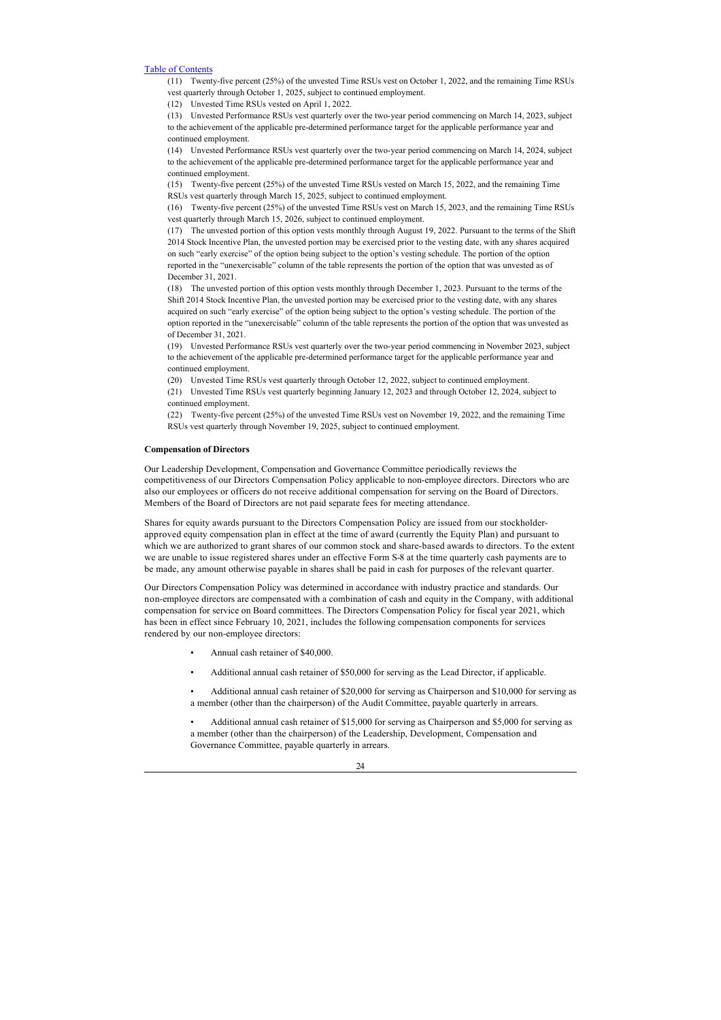(11) Twenty-five percent (25%) of the unvested Time RSUs vest on October 1, 2022, and the remaining Time RSUs vest quarterly through October 1, 2025, subject to continued employment.

(12) Unvested Time RSUs vested on April 1, 2022.

(13) Unvested Performance RSUs vest quarterly over the two-year period commencing on March 14, 2023, subject to the achievement of the applicable pre-determined performance target for the applicable performance year and continued employment.

(14) Unvested Performance RSUs vest quarterly over the two-year period commencing on March 14, 2024, subject to the achievement of the applicable pre-determined performance target for the applicable performance year and continued employment.

(15) Twenty-five percent (25%) of the unvested Time RSUs vested on March 15, 2022, and the remaining Time RSUs vest quarterly through March 15, 2025, subject to continued employment.

(16) Twenty-five percent (25%) of the unvested Time RSUs vest on March 15, 2023, and the remaining Time RSUs vest quarterly through March 15, 2026, subject to continued employment.

(17) The unvested portion of this option vests monthly through August 19, 2022. Pursuant to the terms of the Shift 2014 Stock Incentive Plan, the unvested portion may be exercised prior to the vesting date, with any shares acquired on such "early exercise" of the option being subject to the option's vesting schedule. The portion of the option reported in the "unexercisable" column of the table represents the portion of the option that was unvested as of December 31, 2021.

(18) The unvested portion of this option vests monthly through December 1, 2023. Pursuant to the terms of the Shift 2014 Stock Incentive Plan, the unvested portion may be exercised prior to the vesting date, with any shares acquired on such "early exercise" of the option being subject to the option's vesting schedule. The portion of the option reported in the "unexercisable" column of the table represents the portion of the option that was unvested as of December 31, 2021.

(19) Unvested Performance RSUs vest quarterly over the two-year period commencing in November 2023, subject to the achievement of the applicable pre-determined performance target for the applicable performance year and continued employment.

(20) Unvested Time RSUs vest quarterly through October 12, 2022, subject to continued employment.

(21) Unvested Time RSUs vest quarterly beginning January 12, 2023 and through October 12, 2024, subject to continued employment.

(22) Twenty-five percent (25%) of the unvested Time RSUs vest on November 19, 2022, and the remaining Time RSUs vest quarterly through November 19, 2025, subject to continued employment.

## <span id="page-29-0"></span>**Compensation of Directors**

Our Leadership Development, Compensation and Governance Committee periodically reviews the competitiveness of our Directors Compensation Policy applicable to non-employee directors. Directors who are also our employees or officers do not receive additional compensation for serving on the Board of Directors. Members of the Board of Directors are not paid separate fees for meeting attendance.

Shares for equity awards pursuant to the Directors Compensation Policy are issued from our stockholderapproved equity compensation plan in effect at the time of award (currently the Equity Plan) and pursuant to which we are authorized to grant shares of our common stock and share-based awards to directors. To the extent we are unable to issue registered shares under an effective Form S-8 at the time quarterly cash payments are to be made, any amount otherwise payable in shares shall be paid in cash for purposes of the relevant quarter.

Our Directors Compensation Policy was determined in accordance with industry practice and standards. Our non-employee directors are compensated with a combination of cash and equity in the Company, with additional compensation for service on Board committees. The Directors Compensation Policy for fiscal year 2021, which has been in effect since February 10, 2021, includes the following compensation components for services rendered by our non-employee directors:

- Annual cash retainer of \$40,000.
- Additional annual cash retainer of \$50,000 for serving as the Lead Director, if applicable.
- Additional annual cash retainer of \$20,000 for serving as Chairperson and \$10,000 for serving as a member (other than the chairperson) of the Audit Committee, payable quarterly in arrears.

• Additional annual cash retainer of \$15,000 for serving as Chairperson and \$5,000 for serving as a member (other than the chairperson) of the Leadership, Development, Compensation and Governance Committee, payable quarterly in arrears.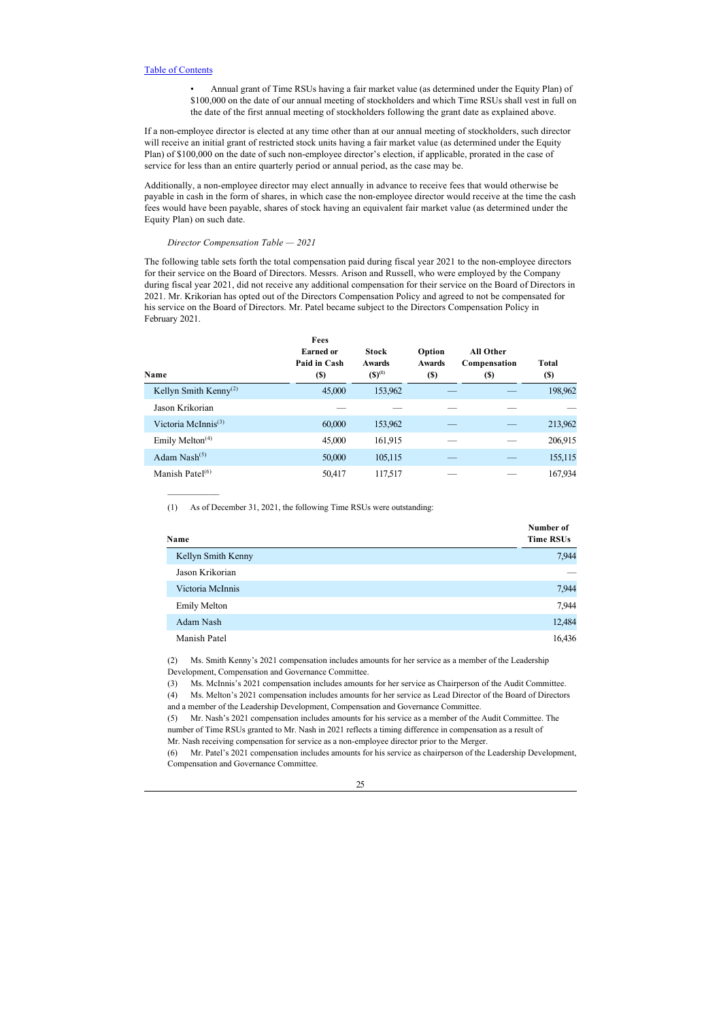• Annual grant of Time RSUs having a fair market value (as determined under the Equity Plan) of \$100,000 on the date of our annual meeting of stockholders and which Time RSUs shall vest in full on the date of the first annual meeting of stockholders following the grant date as explained above.

If a non-employee director is elected at any time other than at our annual meeting of stockholders, such director will receive an initial grant of restricted stock units having a fair market value (as determined under the Equity Plan) of \$100,000 on the date of such non-employee director's election, if applicable, prorated in the case of service for less than an entire quarterly period or annual period, as the case may be.

Additionally, a non-employee director may elect annually in advance to receive fees that would otherwise be payable in cash in the form of shares, in which case the non-employee director would receive at the time the cash fees would have been payable, shares of stock having an equivalent fair market value (as determined under the Equity Plan) on such date.

## *Director Compensation Table — 2021*

 $\frac{1}{2}$  ,  $\frac{1}{2}$  ,  $\frac{1}{2}$  ,  $\frac{1}{2}$  ,  $\frac{1}{2}$  ,  $\frac{1}{2}$ 

The following table sets forth the total compensation paid during fiscal year 2021 to the non-employee directors for their service on the Board of Directors. Messrs. Arison and Russell, who were employed by the Company during fiscal year 2021, did not receive any additional compensation for their service on the Board of Directors in 2021. Mr. Krikorian has opted out of the Directors Compensation Policy and agreed to not be compensated for his service on the Board of Directors. Mr. Patel became subject to the Directors Compensation Policy in February 2021.

| Name                              | Fees<br><b>Earned or</b><br>Paid in Cash<br><b>(S)</b> | <b>Stock</b><br><b>Awards</b><br>$(S)^{(1)}$ | Option<br><b>Awards</b><br><b>(S)</b> | All Other<br>Compensation<br>(S) | <b>Total</b><br><b>(S)</b> |
|-----------------------------------|--------------------------------------------------------|----------------------------------------------|---------------------------------------|----------------------------------|----------------------------|
| Kellyn Smith Kenny <sup>(2)</sup> | 45,000                                                 | 153,962                                      |                                       |                                  | 198,962                    |
| Jason Krikorian                   |                                                        |                                              |                                       |                                  |                            |
| Victoria McInnis $(3)$            | 60,000                                                 | 153,962                                      |                                       |                                  | 213,962                    |
| Emily Melton $(4)$                | 45,000                                                 | 161,915                                      |                                       |                                  | 206,915                    |
| Adam Nash $(5)$                   | 50,000                                                 | 105,115                                      |                                       |                                  | 155,115                    |
| Manish Patel $(6)$                | 50,417                                                 | 117,517                                      |                                       |                                  | 167,934                    |

(1) As of December 31, 2021, the following Time RSUs were outstanding:

| Name                | Number of<br><b>Time RSUs</b> |  |  |  |
|---------------------|-------------------------------|--|--|--|
| Kellyn Smith Kenny  | 7,944                         |  |  |  |
| Jason Krikorian     |                               |  |  |  |
| Victoria McInnis    | 7,944                         |  |  |  |
| <b>Emily Melton</b> | 7,944                         |  |  |  |
| Adam Nash           | 12,484                        |  |  |  |
| Manish Patel        | 16,436                        |  |  |  |

(2) Ms. Smith Kenny's 2021 compensation includes amounts for her service as a member of the Leadership Development, Compensation and Governance Committee.

(3) Ms. McInnis's 2021 compensation includes amounts for her service as Chairperson of the Audit Committee.

(4) Ms. Melton's 2021 compensation includes amounts for her service as Lead Director of the Board of Directors and a member of the Leadership Development, Compensation and Governance Committee.

(5) Mr. Nash's 2021 compensation includes amounts for his service as a member of the Audit Committee. The number of Time RSUs granted to Mr. Nash in 2021 reflects a timing difference in compensation as a result of Mr. Nash receiving compensation for service as a non-employee director prior to the Merger.

(6) Mr. Patel's 2021 compensation includes amounts for his service as chairperson of the Leadership Development, Compensation and Governance Committee.

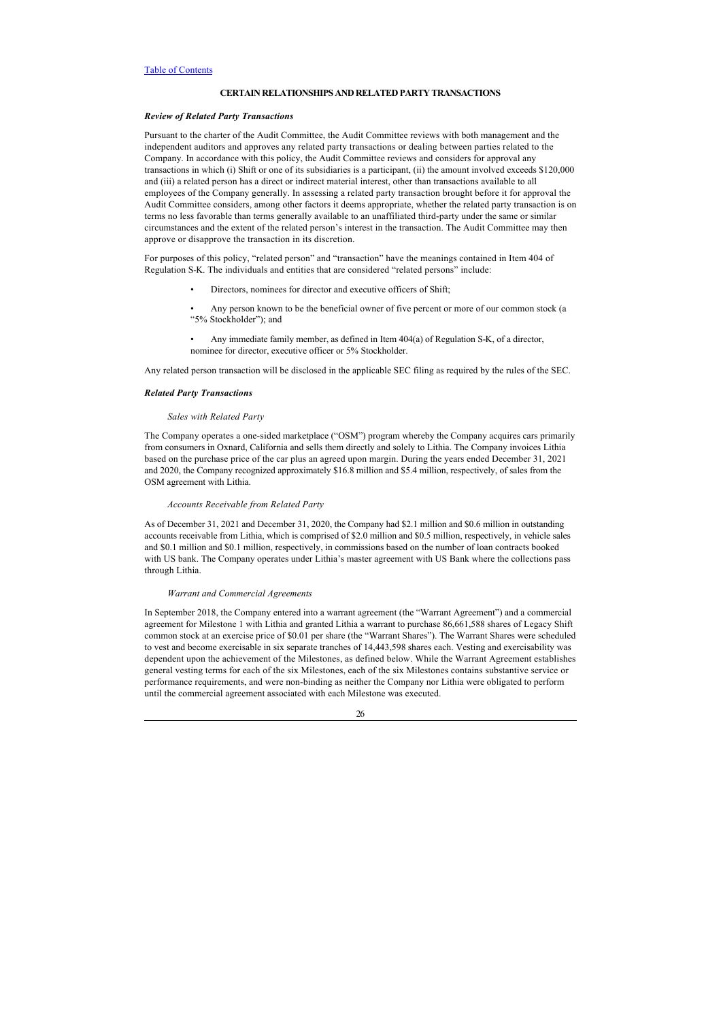## <span id="page-31-0"></span>**CERTAIN RELATIONSHIPS AND RELATED PARTY TRANSACTIONS**

## <span id="page-31-1"></span>*Review of Related Party Transactions*

Pursuant to the charter of the Audit Committee, the Audit Committee reviews with both management and the independent auditors and approves any related party transactions or dealing between parties related to the Company. In accordance with this policy, the Audit Committee reviews and considers for approval any transactions in which (i) Shift or one of its subsidiaries is a participant, (ii) the amount involved exceeds \$120,000 and (iii) a related person has a direct or indirect material interest, other than transactions available to all employees of the Company generally. In assessing a related party transaction brought before it for approval the Audit Committee considers, among other factors it deems appropriate, whether the related party transaction is on terms no less favorable than terms generally available to an unaffiliated third-party under the same or similar circumstances and the extent of the related person's interest in the transaction. The Audit Committee may then approve or disapprove the transaction in its discretion.

For purposes of this policy, "related person" and "transaction" have the meanings contained in Item 404 of Regulation S-K. The individuals and entities that are considered "related persons" include:

- Directors, nominees for director and executive officers of Shift;
- Any person known to be the beneficial owner of five percent or more of our common stock (a "5% Stockholder"); and
- Any immediate family member, as defined in Item 404(a) of Regulation S-K, of a director, nominee for director, executive officer or 5% Stockholder.

Any related person transaction will be disclosed in the applicable SEC filing as required by the rules of the SEC.

## <span id="page-31-2"></span>*Related Party Transactions*

## *Sales with Related Party*

The Company operates a one-sided marketplace ("OSM") program whereby the Company acquires cars primarily from consumers in Oxnard, California and sells them directly and solely to Lithia. The Company invoices Lithia based on the purchase price of the car plus an agreed upon margin. During the years ended December 31, 2021 and 2020, the Company recognized approximately \$16.8 million and \$5.4 million, respectively, of sales from the OSM agreement with Lithia.

#### *Accounts Receivable from Related Party*

As of December 31, 2021 and December 31, 2020, the Company had \$2.1 million and \$0.6 million in outstanding accounts receivable from Lithia, which is comprised of \$2.0 million and \$0.5 million, respectively, in vehicle sales and \$0.1 million and \$0.1 million, respectively, in commissions based on the number of loan contracts booked with US bank. The Company operates under Lithia's master agreement with US Bank where the collections pass through Lithia.

## *Warrant and Commercial Agreements*

In September 2018, the Company entered into a warrant agreement (the "Warrant Agreement") and a commercial agreement for Milestone 1 with Lithia and granted Lithia a warrant to purchase 86,661,588 shares of Legacy Shift common stock at an exercise price of \$0.01 per share (the "Warrant Shares"). The Warrant Shares were scheduled to vest and become exercisable in six separate tranches of 14,443,598 shares each. Vesting and exercisability was dependent upon the achievement of the Milestones, as defined below. While the Warrant Agreement establishes general vesting terms for each of the six Milestones, each of the six Milestones contains substantive service or performance requirements, and were non-binding as neither the Company nor Lithia were obligated to perform until the commercial agreement associated with each Milestone was executed.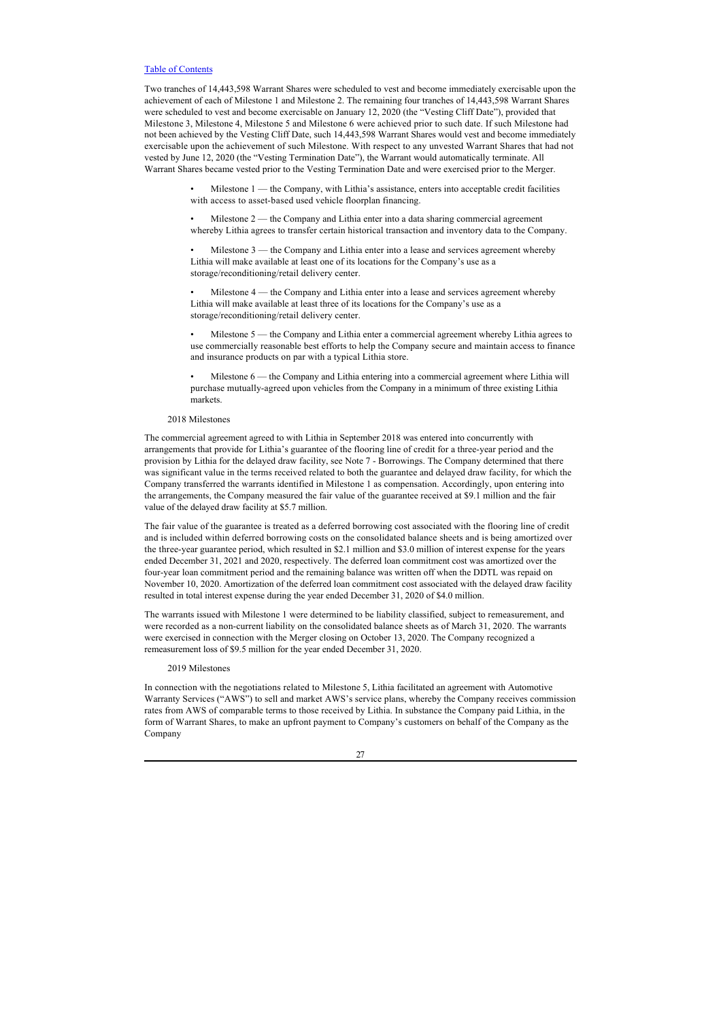Two tranches of 14,443,598 Warrant Shares were scheduled to vest and become immediately exercisable upon the achievement of each of Milestone 1 and Milestone 2. The remaining four tranches of 14,443,598 Warrant Shares were scheduled to vest and become exercisable on January 12, 2020 (the "Vesting Cliff Date"), provided that Milestone 3, Milestone 4, Milestone 5 and Milestone 6 were achieved prior to such date. If such Milestone had not been achieved by the Vesting Cliff Date, such 14,443,598 Warrant Shares would vest and become immediately exercisable upon the achievement of such Milestone. With respect to any unvested Warrant Shares that had not vested by June 12, 2020 (the "Vesting Termination Date"), the Warrant would automatically terminate. All Warrant Shares became vested prior to the Vesting Termination Date and were exercised prior to the Merger.

> Milestone 1 — the Company, with Lithia's assistance, enters into acceptable credit facilities with access to asset-based used vehicle floorplan financing.

Milestone  $2$  — the Company and Lithia enter into a data sharing commercial agreement whereby Lithia agrees to transfer certain historical transaction and inventory data to the Company.

Milestone 3 — the Company and Lithia enter into a lease and services agreement whereby Lithia will make available at least one of its locations for the Company's use as a storage/reconditioning/retail delivery center.

Milestone 4 — the Company and Lithia enter into a lease and services agreement whereby Lithia will make available at least three of its locations for the Company's use as a storage/reconditioning/retail delivery center.

• Milestone 5 — the Company and Lithia enter a commercial agreement whereby Lithia agrees to use commercially reasonable best efforts to help the Company secure and maintain access to finance and insurance products on par with a typical Lithia store.

• Milestone 6 — the Company and Lithia entering into a commercial agreement where Lithia will purchase mutually-agreed upon vehicles from the Company in a minimum of three existing Lithia markets.

## 2018 Milestones

The commercial agreement agreed to with Lithia in September 2018 was entered into concurrently with arrangements that provide for Lithia's guarantee of the flooring line of credit for a three-year period and the provision by Lithia for the delayed draw facility, see Note 7 - Borrowings. The Company determined that there was significant value in the terms received related to both the guarantee and delayed draw facility, for which the Company transferred the warrants identified in Milestone 1 as compensation. Accordingly, upon entering into the arrangements, the Company measured the fair value of the guarantee received at \$9.1 million and the fair value of the delayed draw facility at \$5.7 million.

The fair value of the guarantee is treated as a deferred borrowing cost associated with the flooring line of credit and is included within deferred borrowing costs on the consolidated balance sheets and is being amortized over the three-year guarantee period, which resulted in \$2.1 million and \$3.0 million of interest expense for the years ended December 31, 2021 and 2020, respectively. The deferred loan commitment cost was amortized over the four-year loan commitment period and the remaining balance was written off when the DDTL was repaid on November 10, 2020. Amortization of the deferred loan commitment cost associated with the delayed draw facility resulted in total interest expense during the year ended December 31, 2020 of \$4.0 million.

The warrants issued with Milestone 1 were determined to be liability classified, subject to remeasurement, and were recorded as a non-current liability on the consolidated balance sheets as of March 31, 2020. The warrants were exercised in connection with the Merger closing on October 13, 2020. The Company recognized a remeasurement loss of \$9.5 million for the year ended December 31, 2020.

#### 2019 Milestones

In connection with the negotiations related to Milestone 5, Lithia facilitated an agreement with Automotive Warranty Services ("AWS") to sell and market AWS's service plans, whereby the Company receives commission rates from AWS of comparable terms to those received by Lithia. In substance the Company paid Lithia, in the form of Warrant Shares, to make an upfront payment to Company's customers on behalf of the Company as the Company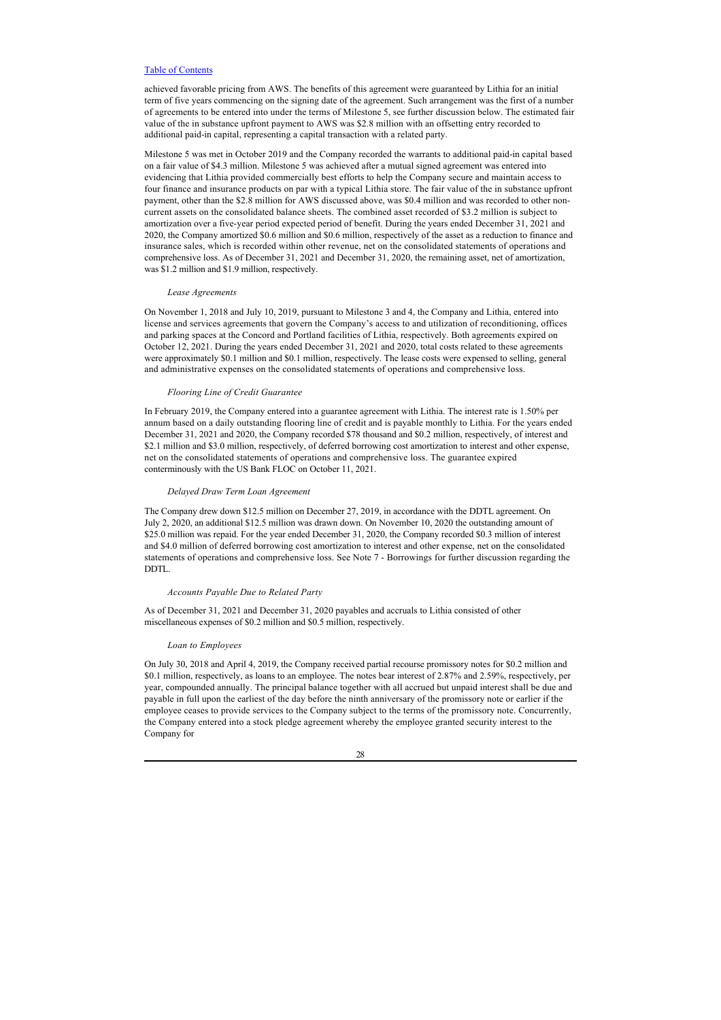achieved favorable pricing from AWS. The benefits of this agreement were guaranteed by Lithia for an initial term of five years commencing on the signing date of the agreement. Such arrangement was the first of a number of agreements to be entered into under the terms of Milestone 5, see further discussion below. The estimated fair value of the in substance upfront payment to AWS was \$2.8 million with an offsetting entry recorded to additional paid-in capital, representing a capital transaction with a related party.

Milestone 5 was met in October 2019 and the Company recorded the warrants to additional paid-in capital based on a fair value of \$4.3 million. Milestone 5 was achieved after a mutual signed agreement was entered into evidencing that Lithia provided commercially best efforts to help the Company secure and maintain access to four finance and insurance products on par with a typical Lithia store. The fair value of the in substance upfront payment, other than the \$2.8 million for AWS discussed above, was \$0.4 million and was recorded to other noncurrent assets on the consolidated balance sheets. The combined asset recorded of \$3.2 million is subject to amortization over a five-year period expected period of benefit. During the years ended December 31, 2021 and 2020, the Company amortized \$0.6 million and \$0.6 million, respectively of the asset as a reduction to finance and insurance sales, which is recorded within other revenue, net on the consolidated statements of operations and comprehensive loss. As of December 31, 2021 and December 31, 2020, the remaining asset, net of amortization, was \$1.2 million and \$1.9 million, respectively.

#### *Lease Agreements*

On November 1, 2018 and July 10, 2019, pursuant to Milestone 3 and 4, the Company and Lithia, entered into license and services agreements that govern the Company's access to and utilization of reconditioning, offices and parking spaces at the Concord and Portland facilities of Lithia, respectively. Both agreements expired on October 12, 2021. During the years ended December 31, 2021 and 2020, total costs related to these agreements were approximately \$0.1 million and \$0.1 million, respectively. The lease costs were expensed to selling, general and administrative expenses on the consolidated statements of operations and comprehensive loss.

#### *Flooring Line of Credit Guarantee*

In February 2019, the Company entered into a guarantee agreement with Lithia. The interest rate is 1.50% per annum based on a daily outstanding flooring line of credit and is payable monthly to Lithia. For the years ended December 31, 2021 and 2020, the Company recorded \$78 thousand and \$0.2 million, respectively, of interest and \$2.1 million and \$3.0 million, respectively, of deferred borrowing cost amortization to interest and other expense, net on the consolidated statements of operations and comprehensive loss. The guarantee expired conterminously with the US Bank FLOC on October 11, 2021.

#### *Delayed Draw Term Loan Agreement*

The Company drew down \$12.5 million on December 27, 2019, in accordance with the DDTL agreement. On July 2, 2020, an additional \$12.5 million was drawn down. On November 10, 2020 the outstanding amount of \$25.0 million was repaid. For the year ended December 31, 2020, the Company recorded \$0.3 million of interest and \$4.0 million of deferred borrowing cost amortization to interest and other expense, net on the consolidated statements of operations and comprehensive loss. See Note 7 - Borrowings for further discussion regarding the DDTL.

## *Accounts Payable Due to Related Party*

As of December 31, 2021 and December 31, 2020 payables and accruals to Lithia consisted of other miscellaneous expenses of \$0.2 million and \$0.5 million, respectively.

#### *Loan to Employees*

On July 30, 2018 and April 4, 2019, the Company received partial recourse promissory notes for \$0.2 million and \$0.1 million, respectively, as loans to an employee. The notes bear interest of 2.87% and 2.59%, respectively, per year, compounded annually. The principal balance together with all accrued but unpaid interest shall be due and payable in full upon the earliest of the day before the ninth anniversary of the promissory note or earlier if the employee ceases to provide services to the Company subject to the terms of the promissory note. Concurrently, the Company entered into a stock pledge agreement whereby the employee granted security interest to the Company for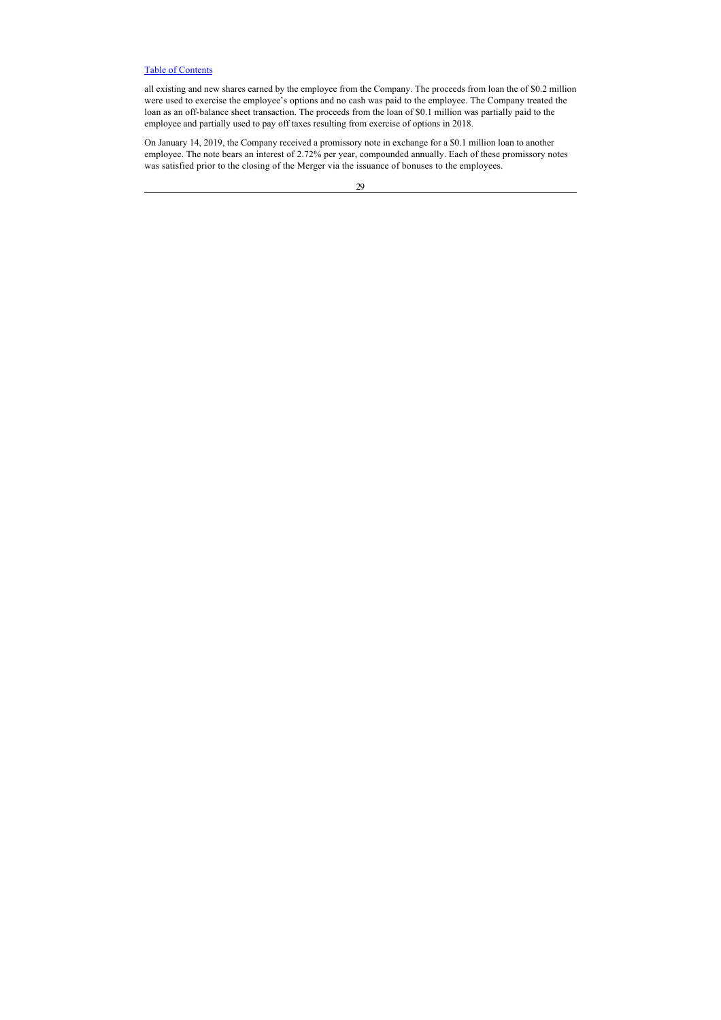all existing and new shares earned by the employee from the Company. The proceeds from loan the of \$0.2 million were used to exercise the employee's options and no cash was paid to the employee. The Company treated the loan as an off-balance sheet transaction. The proceeds from the loan of \$0.1 million was partially paid to the employee and partially used to pay off taxes resulting from exercise of options in 2018.

On January 14, 2019, the Company received a promissory note in exchange for a \$0.1 million loan to another employee. The note bears an interest of 2.72% per year, compounded annually. Each of these promissory notes was satisfied prior to the closing of the Merger via the issuance of bonuses to the employees.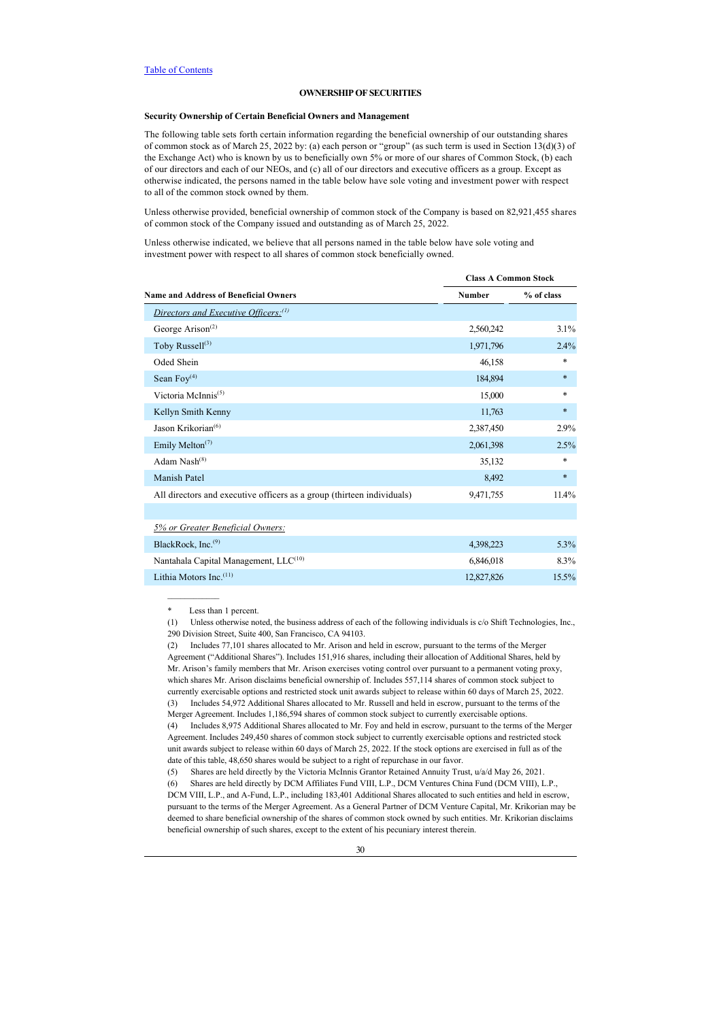## <span id="page-35-0"></span>**OWNERSHIP OF SECURITIES**

## **Security Ownership of Certain Beneficial Owners and Management**

The following table sets forth certain information regarding the beneficial ownership of our outstanding shares of common stock as of March 25, 2022 by: (a) each person or "group" (as such term is used in Section 13(d)(3) of the Exchange Act) who is known by us to beneficially own 5% or more of our shares of Common Stock, (b) each of our directors and each of our NEOs, and (c) all of our directors and executive officers as a group. Except as otherwise indicated, the persons named in the table below have sole voting and investment power with respect to all of the common stock owned by them.

Unless otherwise provided, beneficial ownership of common stock of the Company is based on 82,921,455 shares of common stock of the Company issued and outstanding as of March 25, 2022.

Unless otherwise indicated, we believe that all persons named in the table below have sole voting and investment power with respect to all shares of common stock beneficially owned.

|                                                                        |            | <b>Class A Common Stock</b> |  |  |  |
|------------------------------------------------------------------------|------------|-----------------------------|--|--|--|
| <b>Name and Address of Beneficial Owners</b>                           | Number     | % of class                  |  |  |  |
| Directors and Executive Officers: <sup>(1)</sup>                       |            |                             |  |  |  |
| George Arison <sup>(2)</sup>                                           | 2,560,242  | 3.1%                        |  |  |  |
| Toby Russell <sup>(3)</sup>                                            | 1,971,796  | 2.4%                        |  |  |  |
| Oded Shein                                                             | 46,158     | *                           |  |  |  |
| Sean $Foy(4)$                                                          | 184,894    | $\ast$                      |  |  |  |
| Victoria McInnis <sup>(5)</sup>                                        | 15,000     | *                           |  |  |  |
| Kellyn Smith Kenny                                                     | 11,763     | $\ast$                      |  |  |  |
| Jason Krikorian <sup>(6)</sup>                                         | 2,387,450  | 2.9%                        |  |  |  |
| Emily Melton <sup><math>(7)</math></sup>                               | 2,061,398  | 2.5%                        |  |  |  |
| Adam $Nash^{(8)}$                                                      | 35,132     | *                           |  |  |  |
| Manish Patel                                                           | 8,492      | $\ast$                      |  |  |  |
| All directors and executive officers as a group (thirteen individuals) | 9,471,755  | 11.4%                       |  |  |  |
|                                                                        |            |                             |  |  |  |
| 5% or Greater Beneficial Owners:                                       |            |                             |  |  |  |
| BlackRock, Inc. <sup>(9)</sup>                                         | 4,398,223  | 5.3%                        |  |  |  |
| Nantahala Capital Management, LLC <sup>(10)</sup>                      | 6,846,018  | 8.3%                        |  |  |  |
| Lithia Motors Inc. $(11)$                                              | 12,827,826 | 15.5%                       |  |  |  |
|                                                                        |            |                             |  |  |  |

Less than 1 percent.

 $\frac{1}{2}$  ,  $\frac{1}{2}$  ,  $\frac{1}{2}$  ,  $\frac{1}{2}$  ,  $\frac{1}{2}$  ,  $\frac{1}{2}$ 

<sup>(1)</sup> Unless otherwise noted, the business address of each of the following individuals is c/o Shift Technologies, Inc., 290 Division Street, Suite 400, San Francisco, CA 94103.

<sup>(2)</sup> Includes 77,101 shares allocated to Mr. Arison and held in escrow, pursuant to the terms of the Merger Agreement ("Additional Shares"). Includes 151,916 shares, including their allocation of Additional Shares, held by Mr. Arison's family members that Mr. Arison exercises voting control over pursuant to a permanent voting proxy, which shares Mr. Arison disclaims beneficial ownership of. Includes 557,114 shares of common stock subject to currently exercisable options and restricted stock unit awards subject to release within 60 days of March 25, 2022. (3) Includes 54,972 Additional Shares allocated to Mr. Russell and held in escrow, pursuant to the terms of the Merger Agreement. Includes 1,186,594 shares of common stock subject to currently exercisable options. (4) Includes 8,975 Additional Shares allocated to Mr. Foy and held in escrow, pursuant to the terms of the Merger Agreement. Includes 249,450 shares of common stock subject to currently exercisable options and restricted stock unit awards subject to release within 60 days of March 25, 2022. If the stock options are exercised in full as of the

date of this table, 48,650 shares would be subject to a right of repurchase in our favor.

<sup>(5)</sup> Shares are held directly by the Victoria McInnis Grantor Retained Annuity Trust, u/a/d May 26, 2021. (6) Shares are held directly by DCM Affiliates Fund VIII, L.P., DCM Ventures China Fund (DCM VIII), L.P., DCM VIII, L.P., and A-Fund, L.P., including 183,401 Additional Shares allocated to such entities and held in escrow, pursuant to the terms of the Merger Agreement. As a General Partner of DCM Venture Capital, Mr. Krikorian may be deemed to share beneficial ownership of the shares of common stock owned by such entities. Mr. Krikorian disclaims beneficial ownership of such shares, except to the extent of his pecuniary interest therein.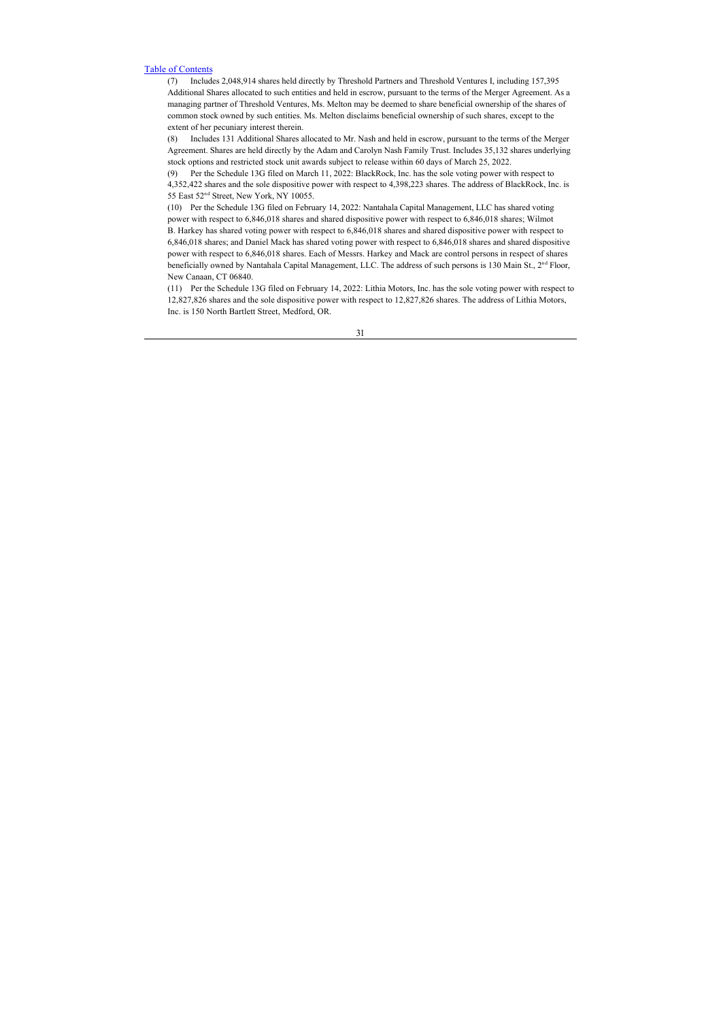(7) Includes 2,048,914 shares held directly by Threshold Partners and Threshold Ventures I, including 157,395 Additional Shares allocated to such entities and held in escrow, pursuant to the terms of the Merger Agreement. As a managing partner of Threshold Ventures, Ms. Melton may be deemed to share beneficial ownership of the shares of common stock owned by such entities. Ms. Melton disclaims beneficial ownership of such shares, except to the extent of her pecuniary interest therein.

(8) Includes 131 Additional Shares allocated to Mr. Nash and held in escrow, pursuant to the terms of the Merger Agreement. Shares are held directly by the Adam and Carolyn Nash Family Trust. Includes 35,132 shares underlying stock options and restricted stock unit awards subject to release within 60 days of March 25, 2022.

(9) Per the Schedule 13G filed on March 11, 2022: BlackRock, Inc. has the sole voting power with respect to 4,352,422 shares and the sole dispositive power with respect to 4,398,223 shares. The address of BlackRock, Inc. is 55 East 52<sup>nd</sup> Street, New York, NY 10055.

(10) Per the Schedule 13G filed on February 14, 2022: Nantahala Capital Management, LLC has shared voting power with respect to 6,846,018 shares and shared dispositive power with respect to 6,846,018 shares; Wilmot B. Harkey has shared voting power with respect to 6,846,018 shares and shared dispositive power with respect to 6,846,018 shares; and Daniel Mack has shared voting power with respect to 6,846,018 shares and shared dispositive power with respect to 6,846,018 shares. Each of Messrs. Harkey and Mack are control persons in respect of shares beneficially owned by Nantahala Capital Management, LLC. The address of such persons is 130 Main St., 2<sup>nd</sup> Floor, New Canaan, CT 06840.

(11) Per the Schedule 13G filed on February 14, 2022: Lithia Motors, Inc. has the sole voting power with respect to 12,827,826 shares and the sole dispositive power with respect to 12,827,826 shares. The address of Lithia Motors, Inc. is 150 North Bartlett Street, Medford, OR.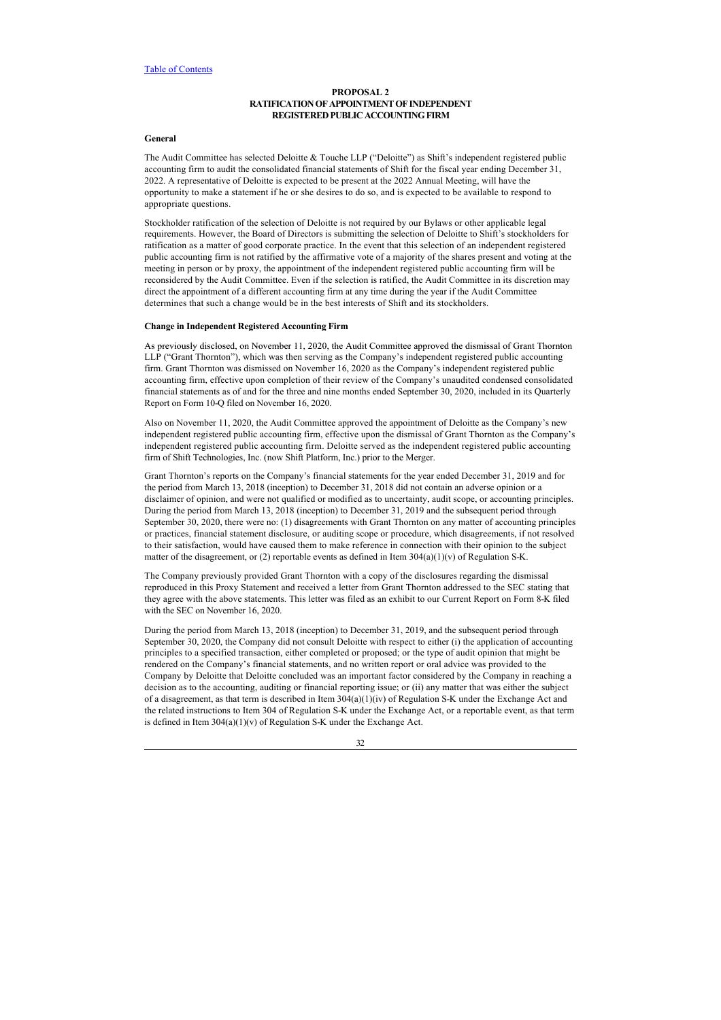## <span id="page-37-0"></span>**PROPOSAL 2 RATIFICATION OF APPOINTMENT OF INDEPENDENT REGISTERED PUBLIC ACCOUNTING FIRM**

## <span id="page-37-1"></span>**General**

The Audit Committee has selected Deloitte & Touche LLP ("Deloitte") as Shift's independent registered public accounting firm to audit the consolidated financial statements of Shift for the fiscal year ending December 31, 2022. A representative of Deloitte is expected to be present at the 2022 Annual Meeting, will have the opportunity to make a statement if he or she desires to do so, and is expected to be available to respond to appropriate questions.

Stockholder ratification of the selection of Deloitte is not required by our Bylaws or other applicable legal requirements. However, the Board of Directors is submitting the selection of Deloitte to Shift's stockholders for ratification as a matter of good corporate practice. In the event that this selection of an independent registered public accounting firm is not ratified by the affirmative vote of a majority of the shares present and voting at the meeting in person or by proxy, the appointment of the independent registered public accounting firm will be reconsidered by the Audit Committee. Even if the selection is ratified, the Audit Committee in its discretion may direct the appointment of a different accounting firm at any time during the year if the Audit Committee determines that such a change would be in the best interests of Shift and its stockholders.

### <span id="page-37-2"></span>**Change in Independent Registered Accounting Firm**

As previously disclosed, on November 11, 2020, the Audit Committee approved the dismissal of Grant Thornton LLP ("Grant Thornton"), which was then serving as the Company's independent registered public accounting firm. Grant Thornton was dismissed on November 16, 2020 as the Company's independent registered public accounting firm, effective upon completion of their review of the Company's unaudited condensed consolidated financial statements as of and for the three and nine months ended September 30, 2020, included in its Quarterly Report on Form 10-Q filed on November 16, 2020.

Also on November 11, 2020, the Audit Committee approved the appointment of Deloitte as the Company's new independent registered public accounting firm, effective upon the dismissal of Grant Thornton as the Company's independent registered public accounting firm. Deloitte served as the independent registered public accounting firm of Shift Technologies, Inc. (now Shift Platform, Inc.) prior to the Merger.

Grant Thornton's reports on the Company's financial statements for the year ended December 31, 2019 and for the period from March 13, 2018 (inception) to December 31, 2018 did not contain an adverse opinion or a disclaimer of opinion, and were not qualified or modified as to uncertainty, audit scope, or accounting principles. During the period from March 13, 2018 (inception) to December 31, 2019 and the subsequent period through September 30, 2020, there were no: (1) disagreements with Grant Thornton on any matter of accounting principles or practices, financial statement disclosure, or auditing scope or procedure, which disagreements, if not resolved to their satisfaction, would have caused them to make reference in connection with their opinion to the subject matter of the disagreement, or (2) reportable events as defined in Item  $304(a)(1)(v)$  of Regulation S-K.

The Company previously provided Grant Thornton with a copy of the disclosures regarding the dismissal reproduced in this Proxy Statement and received a letter from Grant Thornton addressed to the SEC stating that they agree with the above statements. This letter was filed as an exhibit to our Current Report on Form 8-K filed with the SEC on November 16, 2020.

During the period from March 13, 2018 (inception) to December 31, 2019, and the subsequent period through September 30, 2020, the Company did not consult Deloitte with respect to either (i) the application of accounting principles to a specified transaction, either completed or proposed; or the type of audit opinion that might be rendered on the Company's financial statements, and no written report or oral advice was provided to the Company by Deloitte that Deloitte concluded was an important factor considered by the Company in reaching a decision as to the accounting, auditing or financial reporting issue; or (ii) any matter that was either the subject of a disagreement, as that term is described in Item  $304(a)(1)(iv)$  of Regulation S-K under the Exchange Act and the related instructions to Item 304 of Regulation S-K under the Exchange Act, or a reportable event, as that term is defined in Item 304(a)(1)(v) of Regulation S-K under the Exchange Act.

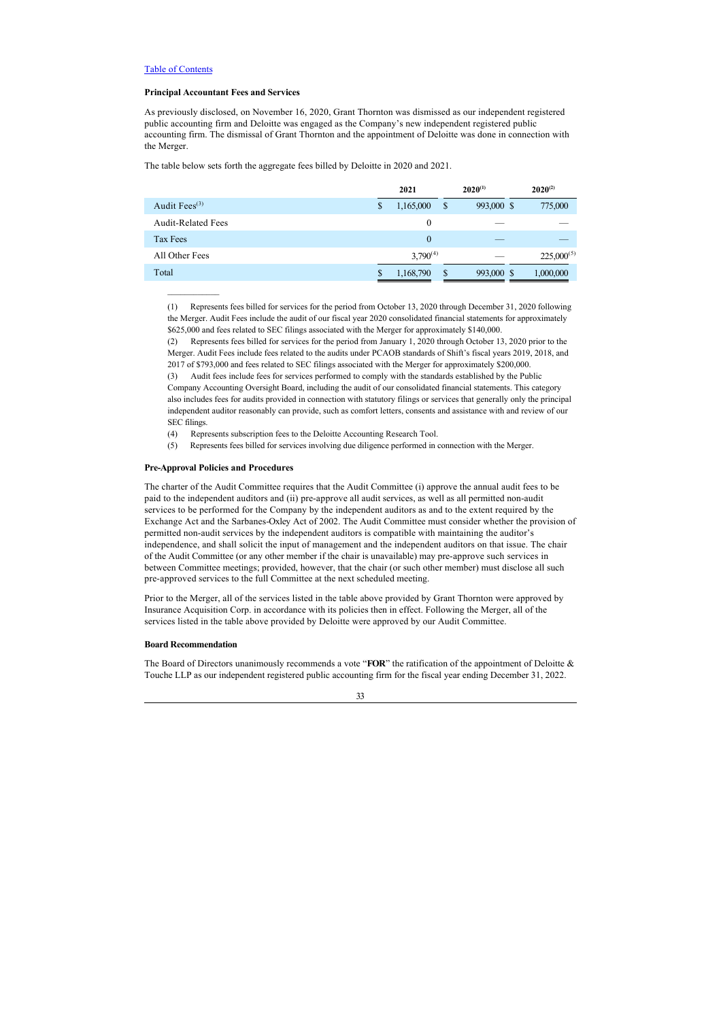## <span id="page-38-0"></span>**Principal Accountant Fees and Services**

As previously disclosed, on November 16, 2020, Grant Thornton was dismissed as our independent registered public accounting firm and Deloitte was engaged as the Company's new independent registered public accounting firm. The dismissal of Grant Thornton and the appointment of Deloitte was done in connection with the Merger.

The table below sets forth the aggregate fees billed by Deloitte in 2020 and 2021.

|                           | $2020^{(1)}$<br>2021 |               |            | $2020^{(2)}$    |  |  |
|---------------------------|----------------------|---------------|------------|-----------------|--|--|
| Audit Fees $^{(3)}$       | \$<br>1,165,000      | <sup>\$</sup> | 993,000 \$ | 775,000         |  |  |
| <b>Audit-Related Fees</b> | $\theta$             |               |            |                 |  |  |
| Tax Fees                  | $\theta$             |               |            |                 |  |  |
| All Other Fees            | $3.790^{(4)}$        |               |            | $225,000^{(5)}$ |  |  |
| Total                     | 1,168,790            | $\mathbb{S}$  | 993,000 \$ | 1,000,000       |  |  |
|                           |                      |               |            |                 |  |  |

(1) Represents fees billed for services for the period from October 13, 2020 through December 31, 2020 following the Merger. Audit Fees include the audit of our fiscal year 2020 consolidated financial statements for approximately \$625,000 and fees related to SEC filings associated with the Merger for approximately \$140,000.

(2) Represents fees billed for services for the period from January 1, 2020 through October 13, 2020 prior to the Merger. Audit Fees include fees related to the audits under PCAOB standards of Shift's fiscal years 2019, 2018, and 2017 of \$793,000 and fees related to SEC filings associated with the Merger for approximately \$200,000.

(3) Audit fees include fees for services performed to comply with the standards established by the Public Company Accounting Oversight Board, including the audit of our consolidated financial statements. This category also includes fees for audits provided in connection with statutory filings or services that generally only the principal independent auditor reasonably can provide, such as comfort letters, consents and assistance with and review of our SEC filings.

(4) Represents subscription fees to the Deloitte Accounting Research Tool.

(5) Represents fees billed for services involving due diligence performed in connection with the Merger.

## <span id="page-38-1"></span>**Pre-Approval Policies and Procedures**

 $\frac{1}{2}$  ,  $\frac{1}{2}$  ,  $\frac{1}{2}$  ,  $\frac{1}{2}$  ,  $\frac{1}{2}$  ,  $\frac{1}{2}$ 

The charter of the Audit Committee requires that the Audit Committee (i) approve the annual audit fees to be paid to the independent auditors and (ii) pre-approve all audit services, as well as all permitted non-audit services to be performed for the Company by the independent auditors as and to the extent required by the Exchange Act and the Sarbanes-Oxley Act of 2002. The Audit Committee must consider whether the provision of permitted non-audit services by the independent auditors is compatible with maintaining the auditor's independence, and shall solicit the input of management and the independent auditors on that issue. The chair of the Audit Committee (or any other member if the chair is unavailable) may pre-approve such services in between Committee meetings; provided, however, that the chair (or such other member) must disclose all such pre-approved services to the full Committee at the next scheduled meeting.

Prior to the Merger, all of the services listed in the table above provided by Grant Thornton were approved by Insurance Acquisition Corp. in accordance with its policies then in effect. Following the Merger, all of the services listed in the table above provided by Deloitte were approved by our Audit Committee.

#### <span id="page-38-2"></span>**Board Recommendation**

The Board of Directors unanimously recommends a vote "**FOR**" the ratification of the appointment of Deloitte & Touche LLP as our independent registered public accounting firm for the fiscal year ending December 31, 2022.

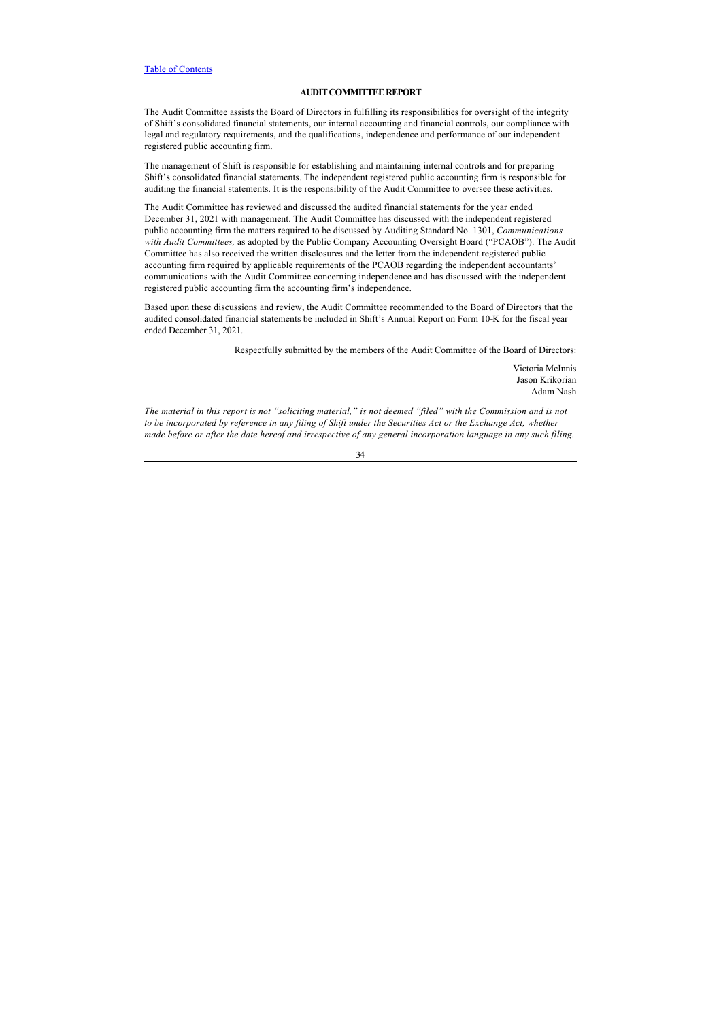## <span id="page-39-0"></span>**AUDIT COMMITTEE REPORT**

The Audit Committee assists the Board of Directors in fulfilling its responsibilities for oversight of the integrity of Shift's consolidated financial statements, our internal accounting and financial controls, our compliance with legal and regulatory requirements, and the qualifications, independence and performance of our independent registered public accounting firm.

The management of Shift is responsible for establishing and maintaining internal controls and for preparing Shift's consolidated financial statements. The independent registered public accounting firm is responsible for auditing the financial statements. It is the responsibility of the Audit Committee to oversee these activities.

The Audit Committee has reviewed and discussed the audited financial statements for the year ended December 31, 2021 with management. The Audit Committee has discussed with the independent registered public accounting firm the matters required to be discussed by Auditing Standard No. 1301, *Communications with Audit Committees,* as adopted by the Public Company Accounting Oversight Board ("PCAOB"). The Audit Committee has also received the written disclosures and the letter from the independent registered public accounting firm required by applicable requirements of the PCAOB regarding the independent accountants' communications with the Audit Committee concerning independence and has discussed with the independent registered public accounting firm the accounting firm's independence.

Based upon these discussions and review, the Audit Committee recommended to the Board of Directors that the audited consolidated financial statements be included in Shift's Annual Report on Form 10-K for the fiscal year ended December 31, 2021.

Respectfully submitted by the members of the Audit Committee of the Board of Directors:

Victoria McInnis Jason Krikorian Adam Nash

*The material in this report is not "soliciting material," is not deemed "filed" with the Commission and is not to be incorporated by reference in any filing of Shift under the Securities Act or the Exchange Act, whether made before or after the date hereof and irrespective of any general incorporation language in any such filing.*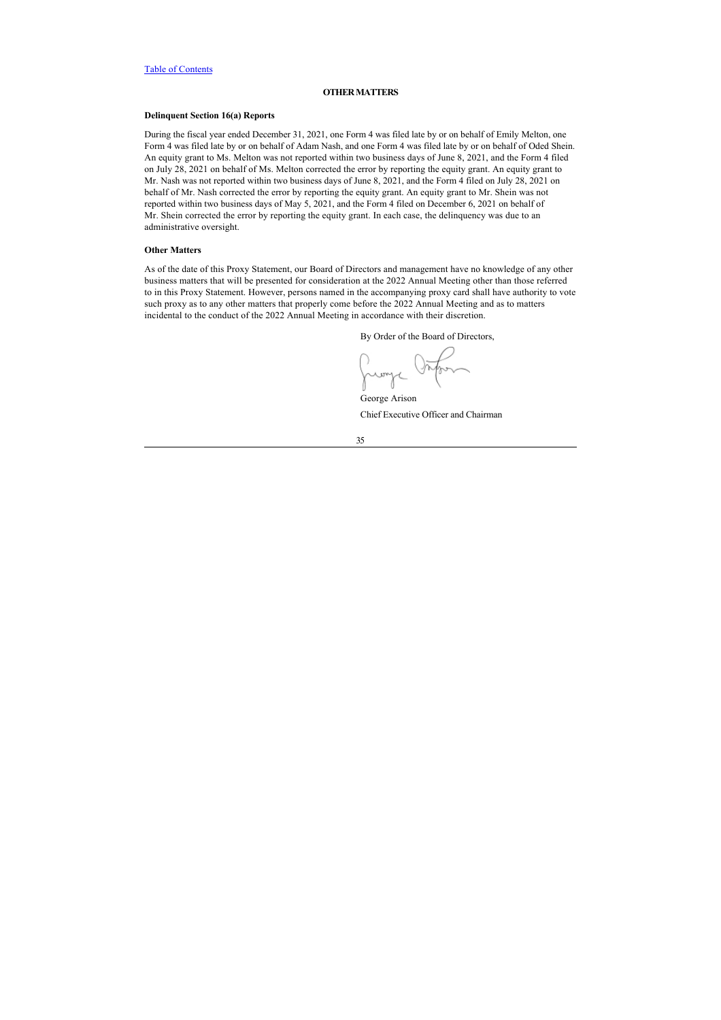## <span id="page-40-0"></span>**OTHER MATTERS**

## **Delinquent Section 16(a) Reports**

During the fiscal year ended December 31, 2021, one Form 4 was filed late by or on behalf of Emily Melton, one Form 4 was filed late by or on behalf of Adam Nash, and one Form 4 was filed late by or on behalf of Oded Shein. An equity grant to Ms. Melton was not reported within two business days of June 8, 2021, and the Form 4 filed on July 28, 2021 on behalf of Ms. Melton corrected the error by reporting the equity grant. An equity grant to Mr. Nash was not reported within two business days of June 8, 2021, and the Form 4 filed on July 28, 2021 on behalf of Mr. Nash corrected the error by reporting the equity grant. An equity grant to Mr. Shein was not reported within two business days of May 5, 2021, and the Form 4 filed on December 6, 2021 on behalf of Mr. Shein corrected the error by reporting the equity grant. In each case, the delinquency was due to an administrative oversight.

## **Other Matters**

As of the date of this Proxy Statement, our Board of Directors and management have no knowledge of any other business matters that will be presented for consideration at the 2022 Annual Meeting other than those referred to in this Proxy Statement. However, persons named in the accompanying proxy card shall have authority to vote such proxy as to any other matters that properly come before the 2022 Annual Meeting and as to matters incidental to the conduct of the 2022 Annual Meeting in accordance with their discretion.

By Order of the Board of Directors,

Jumpe VM George Arison

Chief Executive Officer and Chairman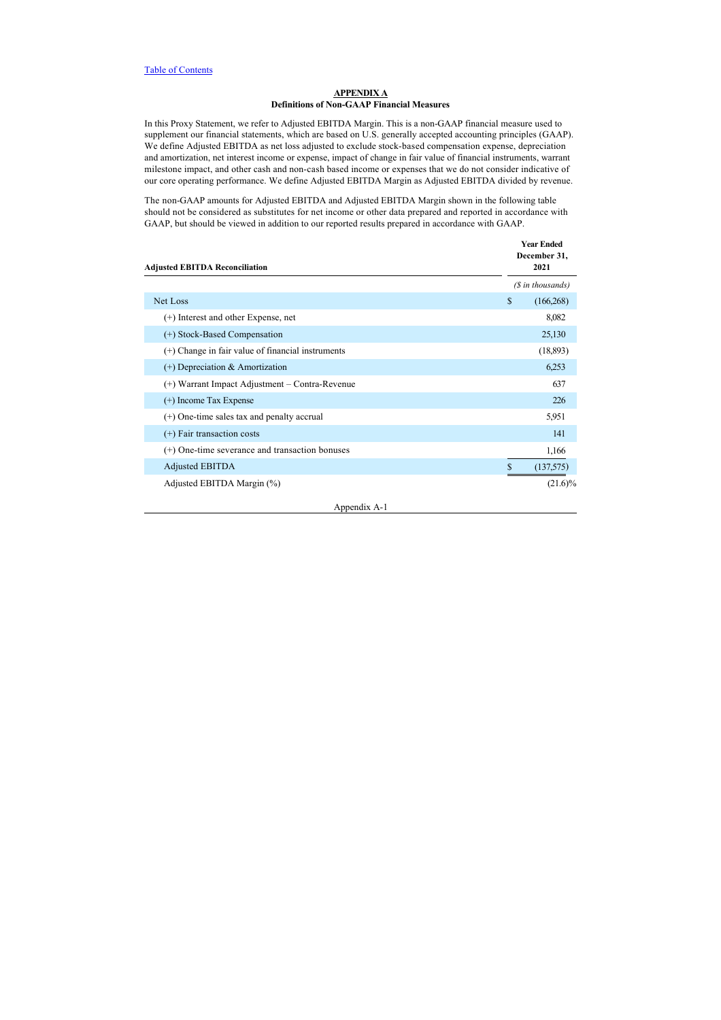## **APPENDIX A Definitions of Non-GAAP Financial Measures**

In this Proxy Statement, we refer to Adjusted EBITDA Margin. This is a non-GAAP financial measure used to supplement our financial statements, which are based on U.S. generally accepted accounting principles (GAAP). We define Adjusted EBITDA as net loss adjusted to exclude stock-based compensation expense, depreciation and amortization, net interest income or expense, impact of change in fair value of financial instruments, warrant milestone impact, and other cash and non-cash based income or expenses that we do not consider indicative of our core operating performance. We define Adjusted EBITDA Margin as Adjusted EBITDA divided by revenue.

The non-GAAP amounts for Adjusted EBITDA and Adjusted EBITDA Margin shown in the following table should not be considered as substitutes for net income or other data prepared and reported in accordance with GAAP, but should be viewed in addition to our reported results prepared in accordance with GAAP.

| <b>Adjusted EBITDA Reconciliation</b>               | <b>Year Ended</b><br>December 31,<br>2021 |
|-----------------------------------------------------|-------------------------------------------|
|                                                     | (\$ in thousands)                         |
| Net Loss                                            | \$<br>(166, 268)                          |
| (+) Interest and other Expense, net                 | 8,082                                     |
| (+) Stock-Based Compensation                        | 25,130                                    |
| $(+)$ Change in fair value of financial instruments | (18, 893)                                 |
| $(+)$ Depreciation & Amortization                   | 6,253                                     |
| (+) Warrant Impact Adjustment – Contra-Revenue      | 637                                       |
| $(+)$ Income Tax Expense                            | 226                                       |
| $(+)$ One-time sales tax and penalty accrual        | 5,951                                     |
| $(+)$ Fair transaction costs                        | 141                                       |
| $(+)$ One-time severance and transaction bonuses    | 1,166                                     |
| <b>Adjusted EBITDA</b>                              | \$<br>(137,575)                           |
| Adjusted EBITDA Margin (%)                          | $(21.6)\%$                                |

Appendix A-1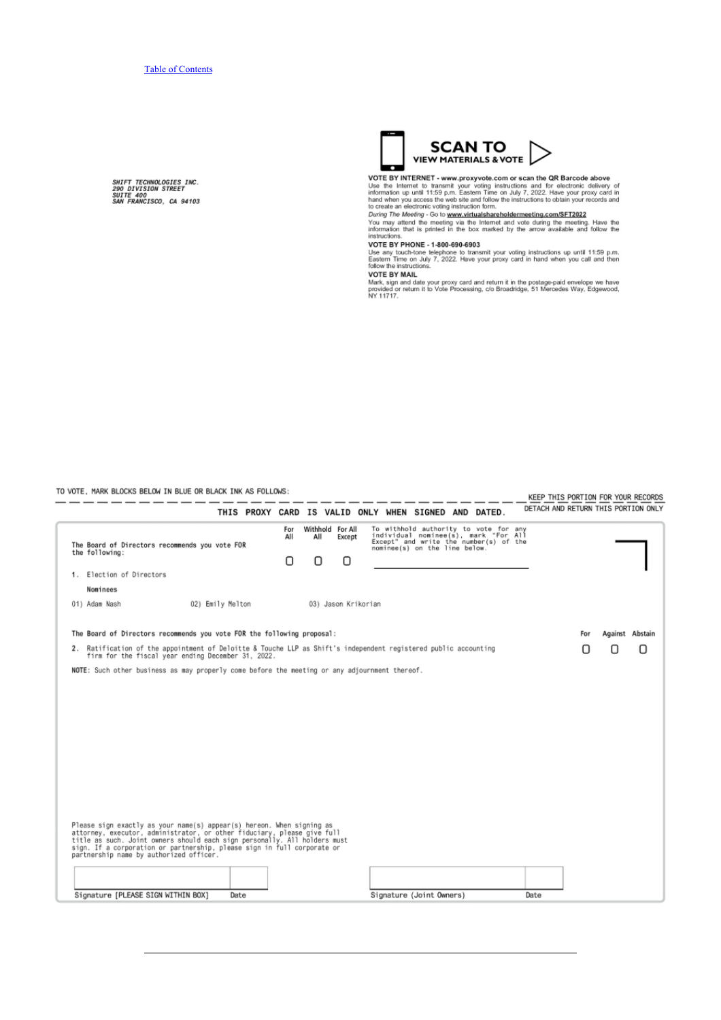**SHIFT TECHNOLOGIES INC.<br>290 DIVISION STREET<br>SUITE 400<br>SAN FRANCISCO, CA 94103** 



VOTE BY INTERNET - www.proxyvote.com or scan the QR Barcode above<br>Use the Internet to transmit your voting instructions and for electronic delivery of<br>information up until 11:59 p.m. Eastern Time on July 7, 2022. Have your

instructions

msuccions.<br>Use any touch-tone telephone to transmit your voting instructions up until 11:59 p.m.<br>Eastern Time on July 7, 2022. Have your proxy card in hand when you call and then<br>follow the instructions.

NOTE BY MAIL<br>Mark, sign and date your proxy card and return it in the postage-paid envelope we have<br>Mark, sign and date your proxy card and return it in the postage-paid envelope we have<br>NY 11717.

TO VOTE, MARK BLOCKS BELOW IN BLUE OR BLACK INK AS FOLLOWS:  $- - - -$ 

— **—** ---

KEEP THIS PORTION FOR YOUR RECORDS  $-$ DETACH AND RETURN THIS PORTION ONLY

|                                                                                                                                                                                                                                                                                                                                                     | THIS PROXY CARD IS VALID ONLY WHEN SIGNED AND DATED. |                              |                     |                          |                                                                                                                                                          | DETACH AND RETURN THIS PORTION ONLY |     |                 |   |
|-----------------------------------------------------------------------------------------------------------------------------------------------------------------------------------------------------------------------------------------------------------------------------------------------------------------------------------------------------|------------------------------------------------------|------------------------------|---------------------|--------------------------|----------------------------------------------------------------------------------------------------------------------------------------------------------|-------------------------------------|-----|-----------------|---|
| The Board of Directors recommends you vote FOR<br>the following:                                                                                                                                                                                                                                                                                    | For<br>All<br>Ο                                      | Withhold For All<br>All<br>n | Except<br>n         |                          | To withhold authority to vote for any<br>individual nominee(s), mark "For All<br>Except" and write the number(s) of the<br>nominee(s) on the line below. |                                     |     |                 |   |
| 1. Election of Directors                                                                                                                                                                                                                                                                                                                            |                                                      |                              |                     |                          |                                                                                                                                                          |                                     |     |                 |   |
| Nominees                                                                                                                                                                                                                                                                                                                                            |                                                      |                              |                     |                          |                                                                                                                                                          |                                     |     |                 |   |
| 02) Emily Melton<br>01) Adam Nash                                                                                                                                                                                                                                                                                                                   |                                                      |                              | 03) Jason Krikorian |                          |                                                                                                                                                          |                                     |     |                 |   |
| The Board of Directors recommends you vote FOR the following proposal:                                                                                                                                                                                                                                                                              |                                                      |                              |                     |                          |                                                                                                                                                          |                                     | For | Against Abstain |   |
| 2. Ratification of the appointment of Deloitte & Touche LLP as Shift's independent registered public accounting<br>firm for the fiscal year ending December 31, 2022.                                                                                                                                                                               |                                                      |                              |                     |                          |                                                                                                                                                          |                                     | Π   | Ω               | Ω |
| NOTE: Such other business as may properly come before the meeting or any adjournment thereof.                                                                                                                                                                                                                                                       |                                                      |                              |                     |                          |                                                                                                                                                          |                                     |     |                 |   |
| Please sign exactly as your name(s) appear(s) hereon. When signing as<br>attorney, executor, administrator, or other fiduciary, please give full<br>title as such. Joint owners should each sign personally. All holders must<br>sign. If a corporation or partnership, please sign in full corporate or<br>partnership name by authorized officer. |                                                      |                              |                     |                          |                                                                                                                                                          |                                     |     |                 |   |
|                                                                                                                                                                                                                                                                                                                                                     |                                                      |                              |                     |                          |                                                                                                                                                          |                                     |     |                 |   |
| Signature [PLEASE SIGN WITHIN BOX]<br>Date                                                                                                                                                                                                                                                                                                          |                                                      |                              |                     | Signature (Joint Owners) |                                                                                                                                                          | Date                                |     |                 |   |